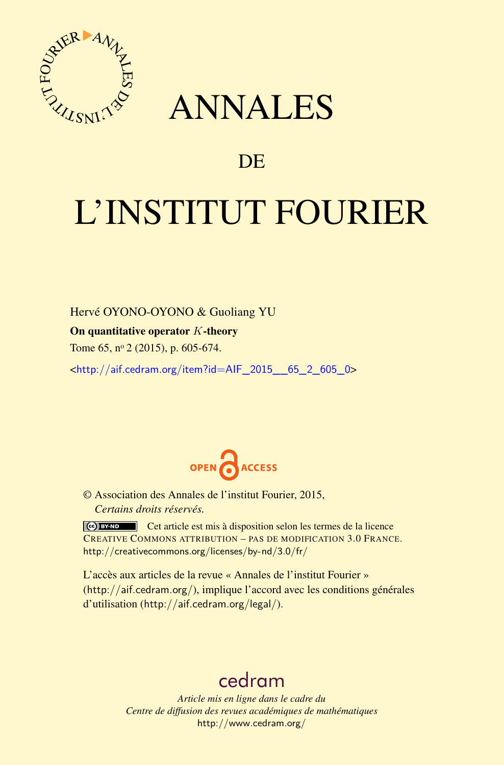

# ANNALES

# **DE**

# L'INSTITUT FOURIER

Hervé OYONO-OYONO & Guoliang YU

On quantitative operator *K*-theory

Tome 65, nº 2 (2015), p. 605-674.

<[http://aif.cedram.org/item?id=AIF\\_2015\\_\\_65\\_2\\_605\\_0](http://aif.cedram.org/item?id=AIF_2015__65_2_605_0)>



© Association des Annales de l'institut Fourier, 2015, *Certains droits réservés.*

Cet article est mis à disposition selon les termes de la licence CREATIVE COMMONS ATTRIBUTION – PAS DE MODIFICATION 3.0 FRANCE. <http://creativecommons.org/licenses/by-nd/3.0/fr/>

L'accès aux articles de la revue « Annales de l'institut Fourier » (<http://aif.cedram.org/>), implique l'accord avec les conditions générales d'utilisation (<http://aif.cedram.org/legal/>).

# [cedram](http://www.cedram.org/)

*Article mis en ligne dans le cadre du Centre de diffusion des revues académiques de mathématiques* <http://www.cedram.org/>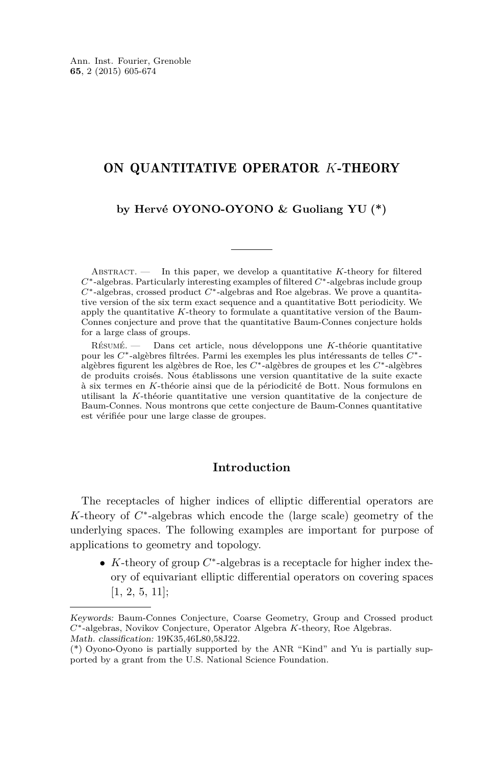# ON QUANTITATIVE OPERATOR *K*-THEORY

## **by Hervé OYONO-OYONO & Guoliang YU (\*)**

ABSTRACT.  $\qquad$  In this paper, we develop a quantitative *K*-theory for filtered *C*∗-algebras. Particularly interesting examples of filtered *C*∗-algebras include group *C*∗-algebras, crossed product *C*∗-algebras and Roe algebras. We prove a quantitative version of the six term exact sequence and a quantitative Bott periodicity. We apply the quantitative *K*-theory to formulate a quantitative version of the Baum-Connes conjecture and prove that the quantitative Baum-Connes conjecture holds for a large class of groups.

Résumé. — Dans cet article, nous développons une *K*-théorie quantitative pour les *C*∗-algèbres filtrées. Parmi les exemples les plus intéressants de telles *C*∗ algèbres figurent les algèbres de Roe, les *C*∗-algèbres de groupes et les *C*∗-algèbres de produits croisés. Nous établissons une version quantitative de la suite exacte à six termes en *K*-théorie ainsi que de la périodicité de Bott. Nous formulons en utilisant la *K*-théorie quantitative une version quantitative de la conjecture de Baum-Connes. Nous montrons que cette conjecture de Baum-Connes quantitative est vérifiée pour une large classe de groupes.

## **Introduction**

The receptacles of higher indices of elliptic differential operators are *K*-theory of *C*<sup>\*</sup>-algebras which encode the (large scale) geometry of the underlying spaces. The following examples are important for purpose of applications to geometry and topology.

 $\bullet$  *K*-theory of group  $C^*$ -algebras is a receptacle for higher index theory of equivariant elliptic differential operators on covering spaces [\[1,](#page-69-0) [2,](#page-69-0) [5,](#page-69-0) [11\]](#page-69-0);

Keywords: Baum-Connes Conjecture, Coarse Geometry, Group and Crossed product *C*∗-algebras, Novikov Conjecture, Operator Algebra *K*-theory, Roe Algebras. Math. classification: 19K35,46L80,58J22.

<sup>(\*)</sup> Oyono-Oyono is partially supported by the ANR "Kind" and Yu is partially supported by a grant from the U.S. National Science Foundation.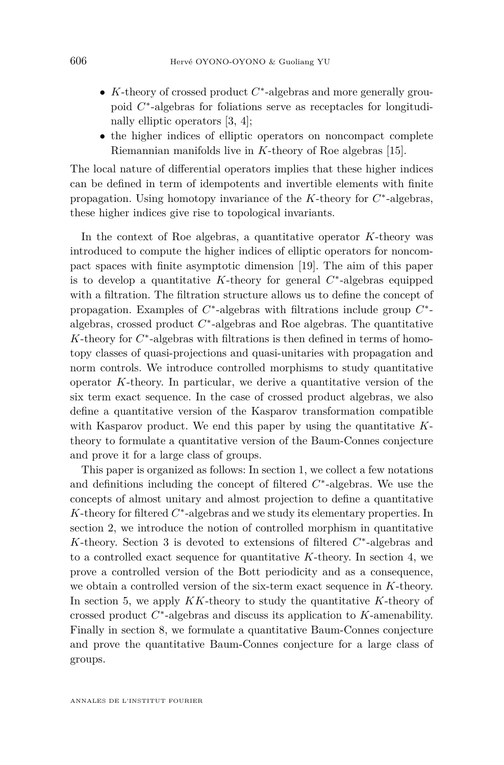- *K*-theory of crossed product *C* ∗ -algebras and more generally groupoid  $C^*$ -algebras for foliations serve as receptacles for longitudinally elliptic operators [\[3,](#page-69-0) [4\]](#page-69-0);
- the higher indices of elliptic operators on noncompact complete Riemannian manifolds live in *K*-theory of Roe algebras [\[15\]](#page-69-0).

The local nature of differential operators implies that these higher indices can be defined in term of idempotents and invertible elements with finite propagation. Using homotopy invariance of the *K*-theory for  $C^*$ -algebras, these higher indices give rise to topological invariants.

In the context of Roe algebras, a quantitative operator *K*-theory was introduced to compute the higher indices of elliptic operators for noncompact spaces with finite asymptotic dimension [\[19\]](#page-69-0). The aim of this paper is to develop a quantitative  $K$ -theory for general  $C^*$ -algebras equipped with a filtration. The filtration structure allows us to define the concept of propagation. Examples of  $C^*$ -algebras with filtrations include group  $C^*$ algebras, crossed product *C* ∗ -algebras and Roe algebras. The quantitative *K*-theory for  $C^*$ -algebras with filtrations is then defined in terms of homotopy classes of quasi-projections and quasi-unitaries with propagation and norm controls. We introduce controlled morphisms to study quantitative operator *K*-theory. In particular, we derive a quantitative version of the six term exact sequence. In the case of crossed product algebras, we also define a quantitative version of the Kasparov transformation compatible with Kasparov product. We end this paper by using the quantitative *K*theory to formulate a quantitative version of the Baum-Connes conjecture and prove it for a large class of groups.

This paper is organized as follows: In section 1, we collect a few notations and definitions including the concept of filtered *C* ∗ -algebras. We use the concepts of almost unitary and almost projection to define a quantitative *K*-theory for filtered  $C^*$ -algebras and we study its elementary properties. In section 2, we introduce the notion of controlled morphism in quantitative *K*-theory. Section 3 is devoted to extensions of filtered  $C^*$ -algebras and to a controlled exact sequence for quantitative *K*-theory. In section 4, we prove a controlled version of the Bott periodicity and as a consequence, we obtain a controlled version of the six-term exact sequence in *K*-theory. In section 5, we apply *KK*-theory to study the quantitative *K*-theory of crossed product *C* ∗ -algebras and discuss its application to *K*-amenability. Finally in section 8, we formulate a quantitative Baum-Connes conjecture and prove the quantitative Baum-Connes conjecture for a large class of groups.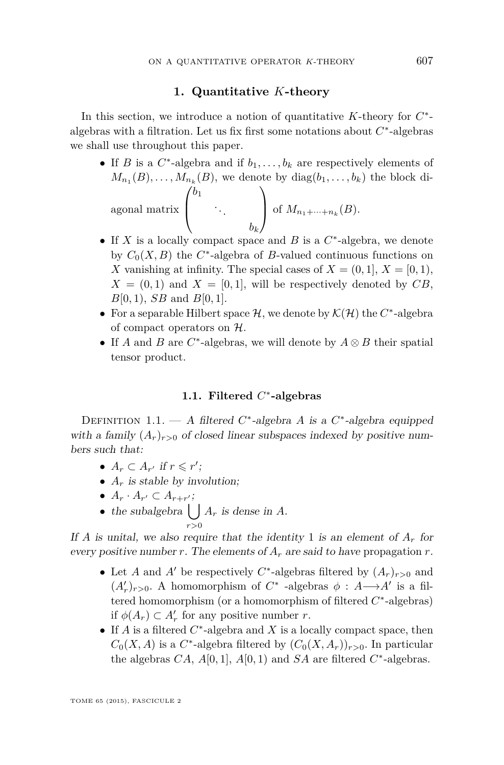#### **1. Quantitative** *K***-theory**

In this section, we introduce a notion of quantitative *K*-theory for *C* ∗ algebras with a filtration. Let us fix first some notations about  $C^*$ -algebras we shall use throughout this paper.

- If *B* is a  $C^*$ -algebra and if  $b_1, \ldots, b_k$  are respectively elements of  $M_{n_1}(B), \ldots, M_{n_k}(B)$ , we denote by  $diag(b_1, \ldots, b_k)$  the block diagonal matrix  $\sqrt{ }$  $\overline{ }$ *b*1 . . . *bk*  $\setminus$ of  $M_{n_1 + \dots + n_k}(B)$ .
- If  $X$  is a locally compact space and  $B$  is a  $C^*$ -algebra, we denote by  $C_0(X, B)$  the  $C^*$ -algebra of *B*-valued continuous functions on *X* vanishing at infinity. The special cases of  $X = (0, 1], X = [0, 1],$  $X = (0, 1)$  and  $X = [0, 1]$ , will be respectively denoted by CB, *B*[0*,* 1), *SB* and *B*[0*,* 1].
- For a separable Hilbert space  $H$ , we denote by  $K(H)$  the  $C^*$ -algebra of compact operators on  $H$ .
- If *A* and *B* are *C* ∗ -algebras, we will denote by *A* ⊗ *B* their spatial tensor product.

## **1.1. Filtered** *C* ∗ **-algebras**

DEFINITION 1.1. — A filtered C<sup>\*</sup>-algebra A is a C<sup>\*</sup>-algebra equipped with a family  $(A_r)_{r>0}$  of closed linear subspaces indexed by positive numbers such that:

- $A_r \subset A_{r'}$  if  $r \leq r'$ ;
- $A_r$  is stable by involution;
- $A_r \cdot A_{r'} \subset A_{r+r'};$
- the subalgebra  $\left( \begin{array}{c} \end{array} \right)$ *r>*0  $A_r$  is dense in  $A$ .

If *A* is unital, we also require that the identity 1 is an element of  $A_r$  for every positive number *r*. The elements of  $A_r$  are said to have propagation *r*.

- Let *A* and *A'* be respectively  $C^*$ -algebras filtered by  $(A_r)_{r>0}$  and  $(A'_r)_{r>0}$ . A homomorphism of  $C^*$  -algebras  $\phi : A \longrightarrow A'$  is a filtered homomorphism (or a homomorphism of filtered *C* ∗ -algebras) if  $\phi(A_r) \subset A'_r$  for any positive number *r*.
- If *A* is a filtered  $C^*$ -algebra and *X* is a locally compact space, then  $C_0(X, A)$  is a  $C^*$ -algebra filtered by  $(C_0(X, A_r))_{r>0}$ . In particular the algebras  $CA$ ,  $A[0,1]$ ,  $A[0,1)$  and  $SA$  are filtered  $C^*$ -algebras.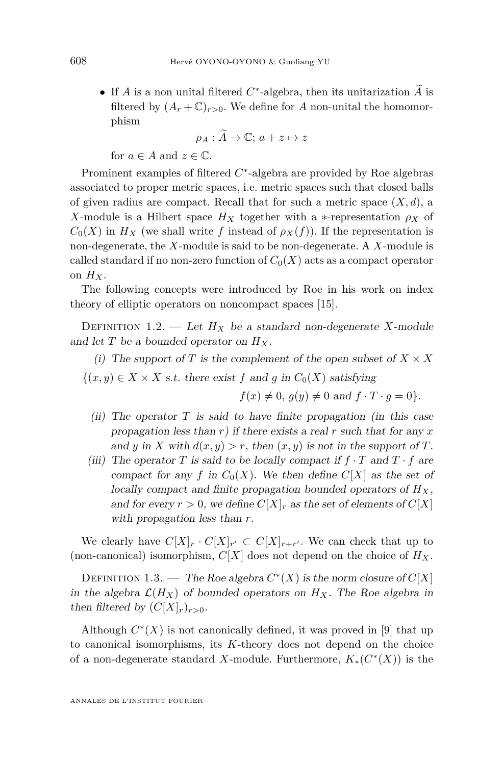• If *A* is a non unital filtered  $C^*$ -algebra, then its unitarization  $\tilde{A}$  is filtered by  $(A_r + \mathbb{C})_{r>0}$ . We define for *A* non-unital the homomorphism

$$
\rho_A : \widetilde{A} \to \mathbb{C}; \, a + z \mapsto z
$$

for  $a \in A$  and  $z \in \mathbb{C}$ .

Prominent examples of filtered  $C^*$ -algebra are provided by Roe algebras associated to proper metric spaces, i.e. metric spaces such that closed balls of given radius are compact. Recall that for such a metric space  $(X, d)$ , a *X*-module is a Hilbert space  $H_X$  together with a ∗-representation  $\rho_X$  of  $C_0(X)$  in  $H_X$  (we shall write f instead of  $\rho_X(f)$ ). If the representation is non-degenerate, the *X*-module is said to be non-degenerate. A *X*-module is called standard if no non-zero function of  $C_0(X)$  acts as a compact operator on  $H_X$ .

The following concepts were introduced by Roe in his work on index theory of elliptic operators on noncompact spaces [\[15\]](#page-69-0).

DEFINITION 1.2. — Let  $H_X$  be a standard non-degenerate *X*-module and let  $T$  be a bounded operator on  $H_X$ .

(i) The support of *T* is the complement of the open subset of  $X \times X$ 

 $\{(x, y) \in X \times X \text{ s.t. there exist } f \text{ and } g \text{ in } C_0(X) \text{ satisfying }$ 

 $f(x) \neq 0$ *,*  $g(y) \neq 0$  and  $f \cdot T \cdot g = 0$ *.* 

- (ii) The operator  $T$  is said to have finite propagation (in this case propagation less than *r*) if there exists a real *r* such that for any *x* and *y* in *X* with  $d(x, y) > r$ , then  $(x, y)$  is not in the support of *T*.
- (iii) The operator *T* is said to be locally compact if  $f \cdot T$  and  $T \cdot f$  are compact for any *f* in  $C_0(X)$ . We then define  $C[X]$  as the set of locally compact and finite propagation bounded operators of  $H_X$ , and for every  $r > 0$ , we define  $C[X]_r$  as the set of elements of  $C[X]$ with propagation less than *r*.

We clearly have  $C[X]_r \cdot C[X]_{r'} \subset C[X]_{r+r'}$ . We can check that up to (non-canonical) isomorphism,  $C[X]$  does not depend on the choice of  $H_X$ .

DEFINITION 1.3. — The Roe algebra  $C^*(X)$  is the norm closure of  $C[X]$ in the algebra  $\mathcal{L}(H_X)$  of bounded operators on  $H_X$ . The Roe algebra in then filtered by  $(C[X]_r)_{r>0}$ .

Although  $C^*(X)$  is not canonically defined, it was proved in [\[9\]](#page-69-0) that up to canonical isomorphisms, its *K*-theory does not depend on the choice of a non-degenerate standard *X*-module. Furthermore,  $K_*(C^*(X))$  is the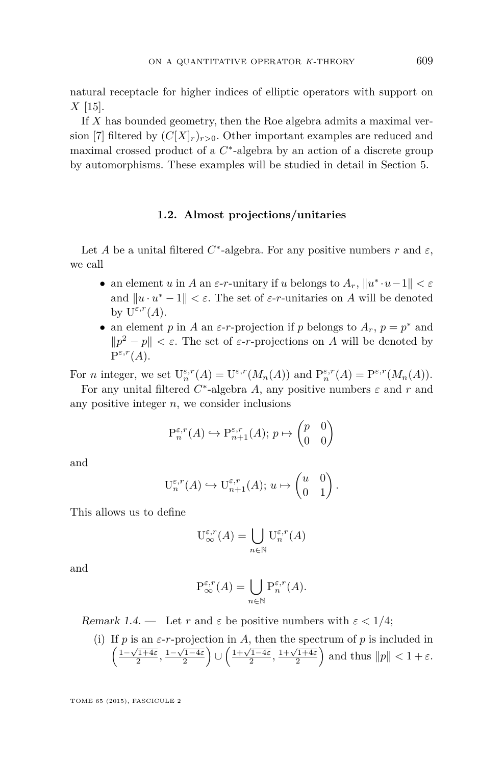<span id="page-5-0"></span>natural receptacle for higher indices of elliptic operators with support on *X* [\[15\]](#page-69-0).

If *X* has bounded geometry, then the Roe algebra admits a maximal ver-sion [\[7\]](#page-69-0) filtered by  $(C[X]_r)_{r>0}$ . Other important examples are reduced and maximal crossed product of a  $C^*$ -algebra by an action of a discrete group by automorphisms. These examples will be studied in detail in Section [5.](#page-53-0)

#### **1.2. Almost projections/unitaries**

Let *A* be a unital filtered  $C^*$ -algebra. For any positive numbers  $r$  and  $\varepsilon$ , we call

- an element *u* in *A* an  $\varepsilon$ -*r*-unitary if *u* belongs to  $A_r$ ,  $||u^* \cdot u 1|| < \varepsilon$ and  $||u \cdot u^* - 1|| < \varepsilon$ . The set of  $\varepsilon$ -*r*-unitaries on *A* will be denoted by  $U^{\varepsilon,r}(A)$ .
- an element *p* in *A* an  $\varepsilon$ -*r*-projection if *p* belongs to  $A_r$ ,  $p = p^*$  and  $||p^2 - p|| < \varepsilon$ . The set of  $\varepsilon$ -*r*-projections on *A* will be denoted by  $P^{\varepsilon,r}(A).$

For *n* integer, we set  $U_n^{\varepsilon,r}(A) = U^{\varepsilon,r}(M_n(A))$  and  $P_n^{\varepsilon,r}(A) = P^{\varepsilon,r}(M_n(A)).$ 

For any unital filtered  $C^*$ -algebra A, any positive numbers  $\varepsilon$  and  $r$  and any positive integer *n*, we consider inclusions

$$
\mathbf{P}_n^{\varepsilon,r}(A) \hookrightarrow \mathbf{P}_{n+1}^{\varepsilon,r}(A); \, p \mapsto \begin{pmatrix} p & 0 \\ 0 & 0 \end{pmatrix}
$$

and

$$
\mathbf{U}_{n}^{\varepsilon,r}(A) \hookrightarrow \mathbf{U}_{n+1}^{\varepsilon,r}(A); u \mapsto \begin{pmatrix} u & 0 \\ 0 & 1 \end{pmatrix}.
$$

This allows us to define

$$
\mathcal{U}^{\varepsilon,r}_{\infty}(A) = \bigcup_{n \in \mathbb{N}} \mathcal{U}^{\varepsilon,r}_{n}(A)
$$

and

$$
\mathcal{P}^{\varepsilon,r}_{\infty}(A) = \bigcup_{n \in \mathbb{N}} \mathcal{P}^{\varepsilon,r}_n(A).
$$

Remark 1.4. — Let *r* and  $\varepsilon$  be positive numbers with  $\varepsilon < 1/4$ ;

(i) If  $p$  is an  $\varepsilon$ -*r*-projection in  $A$ , then the spectrum of  $p$  is included in  $\left(\frac{1-\sqrt{1+4\varepsilon}}{2}, \frac{1-\sqrt{1-4\varepsilon}}{2}\right) \cup \left(\frac{1+\sqrt{1-4\varepsilon}}{2}, \frac{1+\sqrt{1+4\varepsilon}}{2}\right)$  and thus  $||p|| < 1 + \varepsilon$ .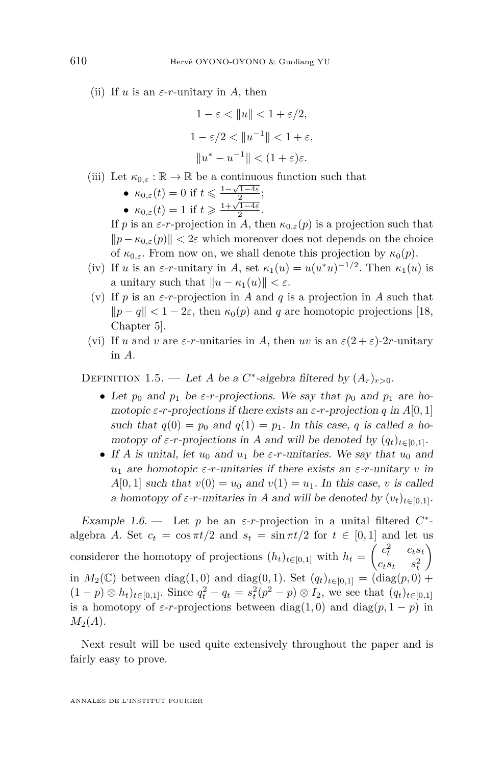<span id="page-6-0"></span>(ii) If *u* is an  $\varepsilon$ -*r*-unitary in *A*, then

$$
1 - \varepsilon < \|u\| < 1 + \varepsilon/2,
$$
\n
$$
1 - \varepsilon/2 < \|u^{-1}\| < 1 + \varepsilon,
$$
\n
$$
\|u^* - u^{-1}\| < (1 + \varepsilon)\varepsilon.
$$

- (iii) Let  $\kappa_{0,\varepsilon} : \mathbb{R} \to \mathbb{R}$  be a continuous function such that
	- $\kappa_{0,\varepsilon}(t) = 0$  if  $t \leq \frac{1-\sqrt{1-4\varepsilon}}{2}$ ;
	- $\kappa_{0,\varepsilon}(t) = 1$  if  $t \ge \frac{1+\sqrt{1-4\varepsilon}}{2}$ .

If *p* is an *ε*-*r*-projection in *A*, then  $\kappa_{0,\varepsilon}(p)$  is a projection such that  $||p - \kappa_{0,\varepsilon}(p)|| < 2\varepsilon$  which moreover does not depends on the choice of  $\kappa_{0,\varepsilon}$ . From now on, we shall denote this projection by  $\kappa_0(p)$ .

- (iv) If *u* is an  $\varepsilon$ -*r*-unitary in *A*, set  $\kappa_1(u) = u(u^*u)^{-1/2}$ . Then  $\kappa_1(u)$  is a unitary such that  $||u - \kappa_1(u)|| < \varepsilon$ .
- (v) If *p* is an  $\varepsilon$ -*r*-projection in *A* and *q* is a projection in *A* such that  $\|p - q\| < 1 - 2\varepsilon$ , then  $\kappa_0(p)$  and *q* are homotopic projections [\[18,](#page-69-0) Chapter 5].
- (vi) If *u* and *v* are *ε*-*r*-unitaries in *A*, then *uv* is an  $\varepsilon(2+\varepsilon)$ -2*r*-unitary in *A*.

DEFINITION 1.5. — Let *A* be a  $C^*$ -algebra filtered by  $(A_r)_{r>0}$ .

- Let  $p_0$  and  $p_1$  be  $\varepsilon$ -*r*-projections. We say that  $p_0$  and  $p_1$  are homotopic  $\varepsilon$ -*r*-projections if there exists an  $\varepsilon$ -*r*-projection *q* in *A*[0*,* 1] such that  $q(0) = p_0$  and  $q(1) = p_1$ . In this case, q is called a homotopy of  $\varepsilon$ -*r*-projections in *A* and will be denoted by  $(q_t)_{t \in [0,1]}$ .
- If *A* is unital, let  $u_0$  and  $u_1$  be  $\varepsilon$ -*r*-unitaries. We say that  $u_0$  and *u*<sup>1</sup> are homotopic *ε*-*r*-unitaries if there exists an *ε*-*r*-unitary *v* in  $A[0,1]$  such that  $v(0) = u_0$  and  $v(1) = u_1$ . In this case, *v* is called a homotopy of  $\varepsilon$ -*r*-unitaries in *A* and will be denoted by  $(v_t)_{t \in [0,1]}$ .

Example 1.6. — Let *p* be an  $\varepsilon$ -*r*-projection in a unital filtered  $C^*$ algebra *A*. Set  $c_t = \cos \pi t/2$  and  $s_t = \sin \pi t/2$  for  $t \in [0,1]$  and let us considerer the homotopy of projections  $(h_t)_{t \in [0,1]}$  with  $h_t = \begin{pmatrix} c_t^2 & c_ts_t \\ a & c_t^2 \end{pmatrix}$  $c_t s_t$   $s_t^2$  $\setminus$ in  $M_2(\mathbb{C})$  between diag(1,0) and diag(0,1). Set  $(q_t)_{t \in [0,1]} = (\text{diag}(p,0) +$  $(1-p) \otimes h_t)_{t \in [0,1]}$ . Since  $q_t^2 - q_t = s_t^2(p^2 - p) \otimes I_2$ , we see that  $(q_t)_{t \in [0,1]}$ is a homotopy of  $\varepsilon$ -*r*-projections between diag(1,0) and diag( $p$ , 1 −  $p$ ) in  $M_2(A)$ .

Next result will be used quite extensively throughout the paper and is fairly easy to prove.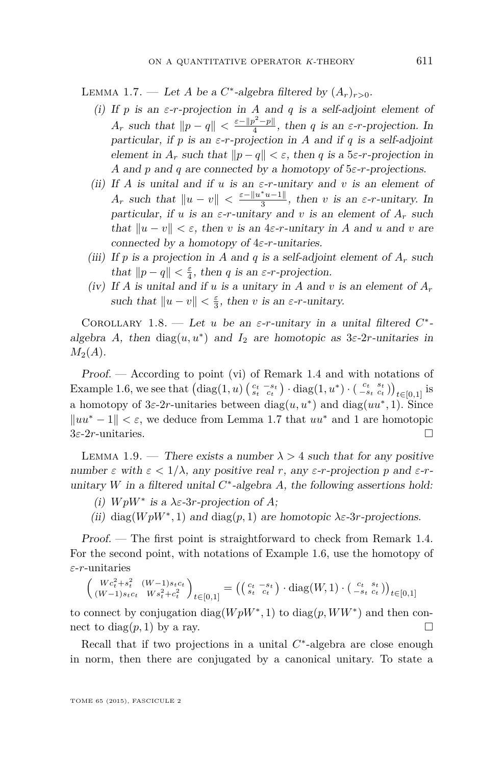<span id="page-7-0"></span>LEMMA 1.7. — Let *A* be a  $C^*$ -algebra filtered by  $(A_r)_{r>0}$ .

- (i) If  $p$  is an  $\varepsilon$ -*r*-projection in *A* and  $q$  is a self-adjoint element of *A*<sup>*r*</sup> such that  $||p - q|| < \frac{\varepsilon - ||p^2 - p||}{4}$  $\frac{f}{4}$ , then *q* is an *ε*-*r*-projection. In particular, if *p* is an  $\varepsilon$ -*r*-projection in *A* and if *q* is a self-adjoint element in  $A_r$  such that  $\|p-q\| < \varepsilon$ , then *q* is a 5 $\varepsilon$ -*r*-projection in *A* and *p* and *q* are connected by a homotopy of 5*ε*-*r*-projections.
- (ii) If *A* is unital and if *u* is an  $\varepsilon$ -*r*-unitary and *v* is an element of *A<sub>r</sub>* such that  $||u - v|| < \frac{\varepsilon - ||u^*u - 1||}{3}$  $\frac{u-1}{3}$ , then *v* is an *ε*-*r*-unitary. In particular, if *u* is an  $\varepsilon$ -*r*-unitary and *v* is an element of  $A_r$  such that  $||u - v|| < \varepsilon$ , then *v* is an 4 $\varepsilon$ -*r*-unitary in *A* and *u* and *v* are connected by a homotopy of 4*ε*-*r*-unitaries.
- (iii) If p is a projection in A and q is a self-adjoint element of  $A_r$  such that  $||p - q|| < \frac{\varepsilon}{4}$ , then *q* is an  $\varepsilon$ -*r*-projection.
- (iv) If *A* is unital and if *u* is a unitary in *A* and *v* is an element of  $A_r$ such that  $||u - v|| < \frac{\varepsilon}{3}$ , then *v* is an  $\varepsilon$ -*r*-unitary.

COROLLARY 1.8. — Let *u* be an  $\varepsilon$ -*r*-unitary in a unital filtered  $C^*$ algebra *A*, then  $diag(u, u^*)$  and  $I_2$  are homotopic as  $3\varepsilon$ -2*r*-unitaries in  $M_2(A)$ .

Proof. — According to point (vi) of Remark [1.4](#page-5-0) and with notations of Example [1.6,](#page-6-0) we see that  $(\text{diag}(1, u) \begin{pmatrix} c_t - s_t \\ s_t - c_t \end{pmatrix} \cdot \text{diag}(1, u^*) \cdot \begin{pmatrix} c_t & s_t \\ -s_t & c_t \end{pmatrix})_{t \in [0, 1]}$  is a homotopy of  $3\varepsilon$ -2*r*-unitaries between  $\text{diag}(u, u^*)$  and  $\text{diag}(uu^*, 1)$ . Since  $\|uu^* - 1\| < \varepsilon$ , we deduce from Lemma 1.7 that  $uu^*$  and 1 are homotopic 3*ε*-2*r*-unitaries.

LEMMA 1.9. — There exists a number  $\lambda > 4$  such that for any positive number  $\varepsilon$  with  $\varepsilon < 1/\lambda$ , any positive real r, any  $\varepsilon$ -r-projection p and  $\varepsilon$ -runitary  $W$  in a filtered unital  $C^*$ -algebra  $A$ , the following assertions hold:

- (i)  $WpW^*$  is a  $\lambda \varepsilon$ -3*r*-projection of *A*;
- (ii) diag( $WpW^*$ , 1) and diag( $p$ , 1) are homotopic  $\lambda \varepsilon$ -3*r*-projections.

Proof. — The first point is straightforward to check from Remark [1.4.](#page-5-0) For the second point, with notations of Example [1.6,](#page-6-0) use the homotopy of *ε*-*r*-unitaries

$$
\begin{pmatrix} Wc_t^2 + s_t^2 & (W-1)s_t c_t \\ (W-1)s_t c_t & Ws_t^2 + c_t^2 \end{pmatrix}_{t \in [0,1]} = \left( \begin{pmatrix} c_t & -s_t \\ s_t & c_t \end{pmatrix} \cdot \text{diag}(W, 1) \cdot \begin{pmatrix} c_t & s_t \\ -s_t & c_t \end{pmatrix} \right)_{t \in [0,1]}
$$

to connect by conjugation diag $(WpW^*, 1)$  to  $diag(p, WW^*)$  and then connect to diag $(p, 1)$  by a ray.

Recall that if two projections in a unital  $C^*$ -algebra are close enough in norm, then there are conjugated by a canonical unitary. To state a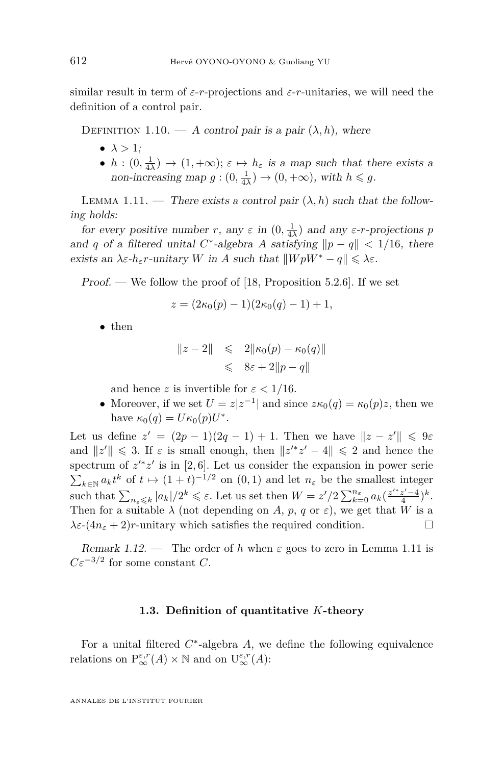<span id="page-8-0"></span>similar result in term of *ε*-*r*-projections and *ε*-*r*-unitaries, we will need the definition of a control pair.

DEFINITION 1.10. — A control pair is a pair  $(\lambda, h)$ , where

- $\bullet \lambda > 1$ :
- $h: (0, \frac{1}{4\lambda}) \to (1, +\infty); \varepsilon \mapsto h_{\varepsilon}$  is a map such that there exists a non-increasing map  $g:(0, \frac{1}{4\lambda}) \to (0, +\infty)$ , with  $h \leq g$ .

LEMMA 1.11. — There exists a control pair  $(\lambda, h)$  such that the following holds:

for every positive number *r*, any  $\varepsilon$  in  $(0, \frac{1}{4\lambda})$  and any  $\varepsilon$ -*r*-projections *p* and *q* of a filtered unital *C*<sup>\*</sup>-algebra *A* satisfying  $\|p - q\| < 1/16$ , there exists an  $\lambda \varepsilon$ -*h*<sub> $\varepsilon$ </sub>*r*-unitary *W* in *A* such that  $||WpW^* - q|| \leq \lambda \varepsilon$ .

Proof. — We follow the proof of [\[18,](#page-69-0) Proposition 5.2.6]. If we set

$$
z = (2\kappa_0(p) - 1)(2\kappa_0(q) - 1) + 1,
$$

• then

$$
||z - 2|| \leq 2||\kappa_0(p) - \kappa_0(q)||
$$
  

$$
\leq 8\varepsilon + 2||p - q||
$$

and hence *z* is invertible for  $\varepsilon < 1/16$ .

• Moreover, if we set  $U = z|z^{-1}|$  and since  $z\kappa_0(q) = \kappa_0(p)z$ , then we have  $\kappa_0(q) = U \kappa_0(p) U^*$ .

Let us define  $z' = (2p - 1)(2q - 1) + 1$ . Then we have  $||z - z'|| \leq 9\varepsilon$ and  $||z'|| \le 3$ . If  $\varepsilon$  is small enough, then  $||z'^*z' - 4|| \le 2$  and hence the spectrum of  $z'^*z'$  is in [2,6]. Let us consider the expansion in power serie  $\sum_{k \in \mathbb{N}} a_k t^k$  of  $t \mapsto (1+t)^{-1/2}$  on  $(0,1)$  and let  $n_\varepsilon$  be the smallest integer such that  $\sum_{n_{\varepsilon} \leqslant k} |a_k|/2^k \leqslant \varepsilon$ . Let us set then  $W = z'/2 \sum_{k=0}^{n_{\varepsilon}} a_k \left(\frac{z'^*z' - 4}{4}\right)^k$ . Then for a suitable  $\lambda$  (not depending on *A, p, q* or  $\varepsilon$ ), we get that *W* is a  $\lambda \varepsilon$ - $(4n_{\varepsilon} + 2)r$ -unitary which satisfies the required condition.

Remark 1.12. — The order of *h* when  $\varepsilon$  goes to zero in Lemma 1.11 is  $C\varepsilon^{-3/2}$  for some constant *C*.

#### **1.3. Definition of quantitative** *K***-theory**

For a unital filtered *C* ∗ -algebra *A*, we define the following equivalence relations on  $P_{\infty}^{\varepsilon,r}(A) \times \mathbb{N}$  and on  $U_{\infty}^{\varepsilon,r}(A)$ :

ANNALES DE L'INSTITUT FOURIER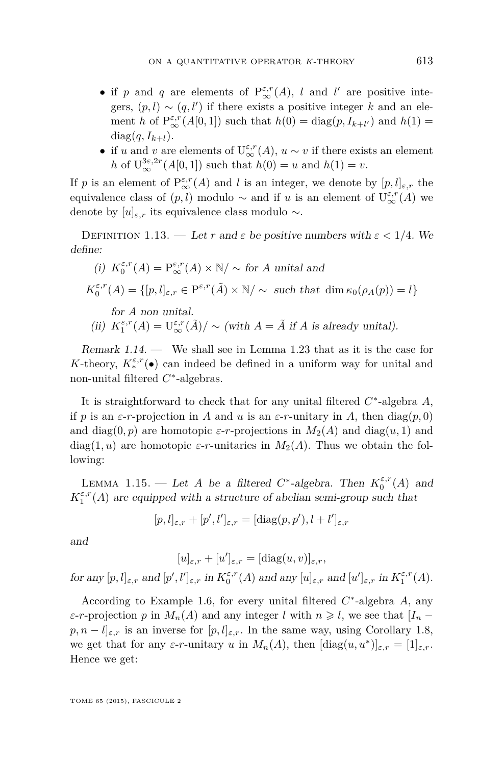- if *p* and *q* are elements of  $P^{\varepsilon,r}_{\infty}(A)$ , *l* and *l'* are positive integers,  $(p, l) \sim (q, l')$  if there exists a positive integer k and an element *h* of  $P_{\infty}^{\varepsilon,r}(A[0,1])$  such that  $h(0) = \text{diag}(p, I_{k+l'})$  and  $h(1) =$  $diag(q, I_{k+l}).$
- if *u* and *v* are elements of  $U^{ \varepsilon, r}_{\infty}(A), u \sim v$  if there exists an element *h* of  $U_{\infty}^{3\varepsilon,2r}(A[0,1])$  such that  $h(0) = u$  and  $h(1) = v$ .

If *p* is an element of  $P^{\varepsilon,r}_{\infty}(A)$  and *l* is an integer, we denote by  $[p, l]_{\varepsilon,r}$  the equivalence class of  $(p, l)$  modulo  $\sim$  and if *u* is an element of  $U^{\varepsilon,r}_{\infty}(A)$  we denote by  $[u]_{\varepsilon,r}$  its equivalence class modulo  $\sim$ .

DEFINITION 1.13. — Let *r* and  $\varepsilon$  be positive numbers with  $\varepsilon < 1/4$ . We define:

\n- (i) 
$$
K_0^{\varepsilon,r}(A) = P_{\infty}^{\varepsilon,r}(A) \times \mathbb{N}/\sim
$$
 for A unital and  $K_0^{\varepsilon,r}(A) = \{[p,l]_{\varepsilon,r} \in P^{\varepsilon,r}(\tilde{A}) \times \mathbb{N}/\sim \text{ such that } \dim \kappa_0(\rho_A(p)) = l\}$  for A non unital.
\n- (ii)  $K_1^{\varepsilon,r}(A) = U_{\infty}^{\varepsilon,r}(\tilde{A})/\sim (\text{with } A = \tilde{A} \text{ if } A \text{ is already unital}).$
\n

Remark 1.14. — We shall see in Lemma [1.23](#page-13-0) that as it is the case for *K*-theory,  $K_*^{\varepsilon,r}(\bullet)$  can indeed be defined in a uniform way for unital and non-unital filtered *C* ∗ -algebras.

It is straightforward to check that for any unital filtered *C* ∗ -algebra *A*, if *p* is an *ε*-*r*-projection in *A* and *u* is an *ε*-*r*-unitary in *A*, then diag(*p*, 0) and diag(0, p) are homotopic  $\varepsilon$ -*r*-projections in  $M_2(A)$  and diag(*u*, 1) and diag(1, *u*) are homotopic  $\varepsilon$ -*r*-unitaries in  $M_2(A)$ . Thus we obtain the following:

LEMMA 1.15. — Let *A* be a filtered  $C^*$ -algebra. Then  $K_0^{\varepsilon,r}(A)$  and  $K^{\varepsilon,r}_1(A)$  are equipped with a structure of abelian semi-group such that

$$
[p,l]_{\varepsilon,r}+[p',l']_{\varepsilon,r}=[\mathrm{diag}(p,p'),l+l']_{\varepsilon,r}
$$

and

$$
[u]_{\varepsilon,r} + [u']_{\varepsilon,r} = [\text{diag}(u,v)]_{\varepsilon,r},
$$

 $\int$ *for any*  $[p, l]_{\varepsilon,r}$  and  $[p', l']_{\varepsilon,r}$  in  $K_0^{\varepsilon,r}(A)$  and any  $[u]_{\varepsilon,r}$  and  $[u']_{\varepsilon,r}$  in  $K_1^{\varepsilon,r}(A)$ .

According to Example [1.6,](#page-6-0) for every unital filtered *C* ∗ -algebra *A*, any *ε*-*r*-projection *p* in  $M_n(A)$  and any integer *l* with  $n \geq l$ , we see that  $[I_n$  $p, n - l]_{\varepsilon,r}$  is an inverse for  $[p, l]_{\varepsilon,r}$ . In the same way, using Corollary [1.8,](#page-7-0) we get that for any  $\varepsilon$ -*r*-unitary *u* in  $M_n(A)$ , then  $[\text{diag}(u, u^*)]_{\varepsilon,r} = [1]_{\varepsilon,r}$ . Hence we get: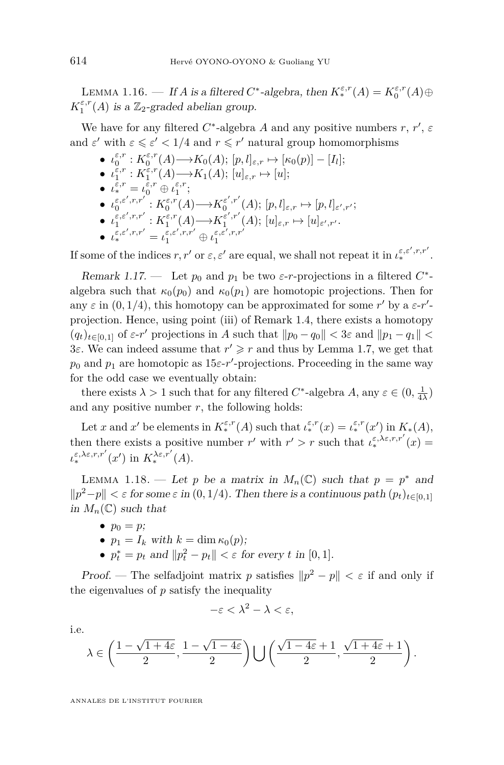<span id="page-10-0"></span>LEMMA 1.16. — If *A* is a filtered  $C^*$ -algebra, then  $K_*^{\varepsilon,r}(A) = K_0^{\varepsilon,r}(A) \oplus$  $K_1^{\varepsilon,r}(A)$  is a  $\mathbb{Z}_2$ -graded abelian group.

We have for any filtered  $C^*$ -algebra  $A$  and any positive numbers  $r, r', \varepsilon$ and  $\varepsilon'$  with  $\varepsilon \leq \varepsilon' < 1/4$  and  $r \leq r'$  natural group homomorphisms

- $\bullet$   $\iota_0^{\varepsilon,r}: K_0^{\varepsilon,r}(A) \longrightarrow K_0(A); [p, l]_{\varepsilon,r} \mapsto [\kappa_0(p)] [I_l];$
- $\iota_1^{\varepsilon,r}: K_1^{\varepsilon,r}(A) \longrightarrow K_1(A); [u]_{\varepsilon,r} \mapsto [u];$
- $\iota^{\varepsilon,r}_* = \iota^{\varepsilon,r}_0 \oplus \iota^{\varepsilon,r}_1;$
- $\bullet$   $\iota_0^{\varepsilon,\varepsilon',r,r'}: K_0^{\varepsilon,r}(A) \longrightarrow K_0^{\varepsilon',r'}(A); [p,l]_{\varepsilon,r} \mapsto [p,l]_{\varepsilon',r'};$
- $\bullet$   $\iota_1^{\varepsilon,\varepsilon',r,r'}: K_1^{\varepsilon,r}(A){\longrightarrow} K_1^{\varepsilon',r'}(A);\, [u]_{\varepsilon,r} \mapsto [u]_{\varepsilon',r'}.$
- $\iota^{\varepsilon,\varepsilon',r,r'}_* = \iota^{\varepsilon,\varepsilon',r,r'}_1 \oplus \iota^{\varepsilon,\varepsilon',r,r'}_1$

If some of the indices  $r, r'$  or  $\varepsilon, \varepsilon'$  are equal, we shall not repeat it in  $\iota_*^{\varepsilon, \varepsilon', r, r'}$ .

Remark 1.17. — Let  $p_0$  and  $p_1$  be two  $\varepsilon$ -*r*-projections in a filtered  $C^*$ algebra such that  $\kappa_0(p_0)$  and  $\kappa_0(p_1)$  are homotopic projections. Then for any  $\varepsilon$  in  $(0, 1/4)$ , this homotopy can be approximated for some r' by a  $\varepsilon$ -r'projection. Hence, using point (iii) of Remark [1.4,](#page-5-0) there exists a homotopy  $(q_t)_{t \in [0,1]}$  of  $\varepsilon$ -*r*' projections in *A* such that  $||p_0 - q_0|| < 3\varepsilon$  and  $||p_1 - q_1|| <$ 3*ε*. We can indeed assume that  $r' \geq r$  and thus by Lemma [1.7,](#page-7-0) we get that  $p_0$  and  $p_1$  are homotopic as  $15\varepsilon$ -*r*'-projections. Proceeding in the same way for the odd case we eventually obtain:

there exists  $\lambda > 1$  such that for any filtered  $C^*$ -algebra  $A$ , any  $\varepsilon \in (0, \frac{1}{4\lambda})$ and any positive number  $r$ , the following holds:

Let *x* and *x*' be elements in  $K_*^{\varepsilon,r}(A)$  such that  $\iota_*^{\varepsilon,r}(x) = \iota_*^{\varepsilon,r}(x')$  in  $K_*(A)$ , then there exists a positive number  $r'$  with  $r' > r$  such that  $\iota_*^{\varepsilon,\lambda\varepsilon,r,r'}(x) =$  $\iota_*^{\varepsilon,\lambda\varepsilon,r,r'}(x')$  in  $K_*^{\lambda\varepsilon,r'}(A)$ .

LEMMA 1.18. — Let *p* be a matrix in  $M_n(\mathbb{C})$  such that  $p = p^*$  and  $||p^2-p|| < \varepsilon$  for some  $\varepsilon$  in (0, 1/4). Then there is a continuous path  $(p_t)_{t \in [0,1]}$ in  $M_n(\mathbb{C})$  such that

- $p_0 = p$ ;
- $p_1 = I_k$  with  $k = \dim \kappa_0(p)$ ;
- $p_t^* = p_t$  and  $||p_t^2 p_t|| < \varepsilon$  for every *t* in [0, 1].

Proof. — The selfadjoint matrix *p* satisfies  $||p^2 - p|| < \varepsilon$  if and only if the eigenvalues of *p* satisfy the inequality

$$
-\varepsilon < \lambda^2 - \lambda < \varepsilon,
$$

i.e.

$$
\lambda \in \left(\frac{1-\sqrt{1+4\varepsilon}}{2}, \frac{1-\sqrt{1-4\varepsilon}}{2}\right) \bigcup \left(\frac{\sqrt{1-4\varepsilon}+1}{2}, \frac{\sqrt{1+4\varepsilon}+1}{2}\right).
$$

ANNALES DE L'INSTITUT FOURIER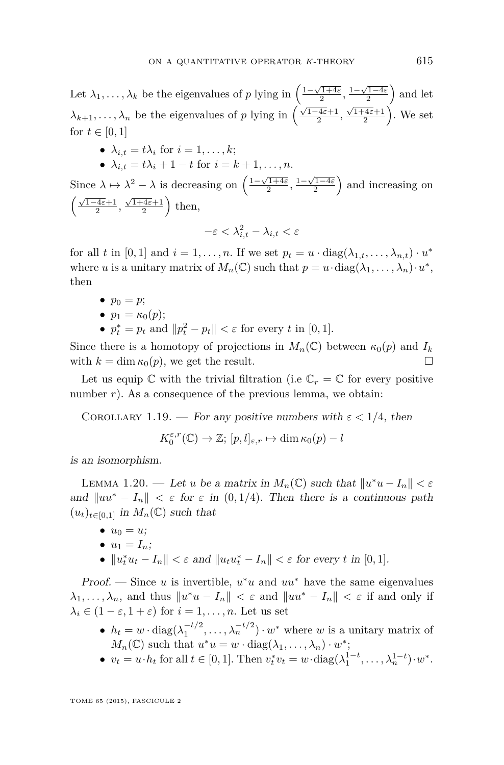<span id="page-11-0"></span>Let  $\lambda_1, \ldots, \lambda_k$  be the eigenvalues of *p* lying in  $\left(\frac{1-\sqrt{1+4\varepsilon}}{2}, \frac{1-\sqrt{1-4\varepsilon}}{2}\right)$  and let  $\lambda_{k+1}, \ldots, \lambda_n$  be the eigenvalues of *p* lying in  $\left(\frac{\sqrt{1-4\varepsilon}+1}{2}, \frac{\sqrt{1+4\varepsilon}+1}{2}\right)$ . We set for  $t \in [0, 1]$ 

- $\lambda_{i,t} = t\lambda_i$  for  $i = 1, \ldots, k;$
- $\lambda_{i,t} = t\lambda_{i} + 1 t$  for  $i = k + 1, ..., n$ .

Since  $\lambda \mapsto \lambda^2 - \lambda$  is decreasing on  $\left(\frac{1-\sqrt{1+4\varepsilon}}{2}, \frac{1-\sqrt{1-4\varepsilon}}{2}\right)$  and increasing on  $\left(\frac{\sqrt{1-4\varepsilon}+1}{2}, \frac{\sqrt{1+4\varepsilon}+1}{2}\right)$  then,  $-\varepsilon < \lambda_{i,t}^2 - \lambda_{i,t} < \varepsilon$ 

for all *t* in [0, 1] and  $i = 1, \ldots, n$ . If we set  $p_t = u \cdot \text{diag}(\lambda_{1,t}, \ldots, \lambda_{n,t}) \cdot u^*$ where *u* is a unitary matrix of  $M_n(\mathbb{C})$  such that  $p = u \cdot \text{diag}(\lambda_1, \dots, \lambda_n) \cdot u^*$ , then

- $p_0 = p$ ;
- $p_1 = \kappa_0(p)$ ;
- $p_t^* = p_t$  and  $||p_t^2 p_t|| < \varepsilon$  for every *t* in [0, 1].

Since there is a homotopy of projections in  $M_n(\mathbb{C})$  between  $\kappa_0(p)$  and  $I_k$ with  $k = \dim \kappa_0(p)$ , we get the result.

Let us equip  $\mathbb C$  with the trivial filtration (i.e  $\mathbb C_r = \mathbb C$  for every positive number *r*). As a consequence of the previous lemma, we obtain:

COROLLARY 1.19. — For any positive numbers with  $\varepsilon < 1/4$ , then

 $K_0^{\varepsilon,r}(\mathbb{C}) \to \mathbb{Z}; [p, l]_{\varepsilon,r} \mapsto \dim \kappa_0(p) - l$ 

is an isomorphism.

LEMMA 1.20. — Let *u* be a matrix in  $M_n(\mathbb{C})$  such that  $||u^*u - I_n|| < \varepsilon$ and  $\|uu^* - I_n\| < \varepsilon$  for  $\varepsilon$  in  $(0, 1/4)$ . Then there is a continuous path  $(u_t)_{t \in [0,1]}$  in  $M_n(\mathbb{C})$  such that

- $u_0 = u$ ;
- $u_1 = I_n$ ;
- $||u_t^* u_t I_n|| < \varepsilon$  and  $||u_t u_t^* I_n|| < \varepsilon$  for every *t* in [0, 1].

Proof. — Since  $u$  is invertible,  $u^*u$  and  $uu^*$  have the same eigenvalues  $\lambda_1, \ldots, \lambda_n$ , and thus  $||u^*u - I_n|| < \varepsilon$  and  $||uu^* - I_n|| < \varepsilon$  if and only if  $\lambda_i \in (1 - \varepsilon, 1 + \varepsilon)$  for  $i = 1, \dots, n$ . Let us set

- $h_t = w \cdot \text{diag}(\lambda_1^{-t/2}, \dots, \lambda_n^{-t/2}) \cdot w^*$  where *w* is a unitary matrix of  $M_n(\mathbb{C})$  such that  $u^*u = w \cdot \text{diag}(\lambda_1, \ldots, \lambda_n) \cdot w^*$ ;
- $v_t = u \cdot h_t$  for all  $t \in [0, 1]$ . Then  $v_t^* v_t = w \cdot \text{diag}(\lambda_1^{1-t}, \dots, \lambda_n^{1-t}) \cdot w^*$ .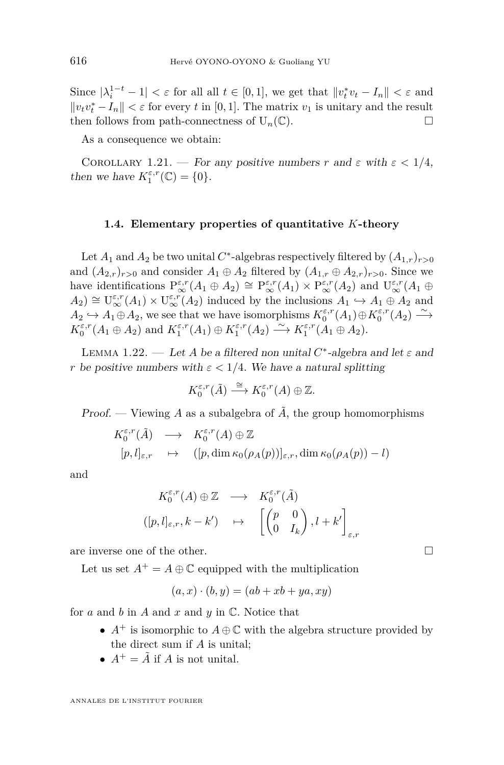<span id="page-12-0"></span>Since  $|\lambda_i^{1-t} - 1| < \varepsilon$  for all all  $t \in [0, 1]$ , we get that  $||v_t^* v_t - I_n|| < \varepsilon$  and  $||v_t v_t^* - I_n|| < \varepsilon$  for every *t* in [0, 1]. The matrix  $v_1$  is unitary and the result then follows from path-connectness of  $U_n(\mathbb{C})$ .

As a consequence we obtain:

COROLLARY 1.21. — For any positive numbers *r* and  $\varepsilon$  with  $\varepsilon < 1/4$ , then we have  $K_1^{\varepsilon,r}(\mathbb{C}) = \{0\}.$ 

#### **1.4. Elementary properties of quantitative** *K***-theory**

Let  $A_1$  and  $A_2$  be two unital  $C^*$ -algebras respectively filtered by  $(A_{1,r})_{r>0}$ and  $(A_{2,r})_{r>0}$  and consider  $A_1 \oplus A_2$  filtered by  $(A_{1,r} \oplus A_{2,r})_{r>0}$ . Since we have identifications  $P_{\infty}^{\varepsilon,r}(A_1 \oplus A_2) \cong P_{\infty}^{\varepsilon,r}(A_1) \times P_{\infty}^{\varepsilon,r}(A_2)$  and  $U_{\infty}^{\varepsilon,r}(A_1 \oplus A_2)$  $A_2$ )  $\cong$   $\mathbb{U}^{\varepsilon,r}_{\infty}(A_1) \times \mathbb{U}^{\varepsilon,r}_{\infty}(A_2)$  induced by the inclusions  $A_1 \hookrightarrow A_1 \oplus A_2$  and  $A_2 \hookrightarrow A_1 \oplus A_2$ , we see that we have isomorphisms  $K_0^{\varepsilon,r}(A_1) \oplus K_0^{\varepsilon,r}(A_2) \longrightarrow$  $K_0^{\varepsilon,r}(A_1 \oplus A_2)$  and  $K_1^{\varepsilon,r}(A_1) \oplus K_1^{\varepsilon,r}(A_2) \longrightarrow K_1^{\varepsilon,r}(A_1 \oplus A_2)$ .

LEMMA 1.22. — Let *A* be a filtered non unital  $C^*$ -algebra and let  $\varepsilon$  and *r* be positive numbers with  $\varepsilon < 1/4$ . We have a natural splitting

$$
K_0^{\varepsilon,r}(\tilde{A}) \stackrel{\cong}{\longrightarrow} K_0^{\varepsilon,r}(A) \oplus \mathbb{Z}.
$$

Proof. — Viewing A as a subalgebra of  $\tilde{A}$ , the group homomorphisms

$$
K_0^{\varepsilon,r}(\tilde{A}) \longrightarrow K_0^{\varepsilon,r}(A) \oplus \mathbb{Z}
$$
  
\n
$$
[p,l]_{\varepsilon,r} \longrightarrow ([p,\dim \kappa_0(\rho_A(p))]_{\varepsilon,r}, \dim \kappa_0(\rho_A(p))-l)
$$

and

$$
K_0^{\varepsilon,r}(A) \oplus \mathbb{Z} \longrightarrow K_0^{\varepsilon,r}(\tilde{A})
$$
  
\n
$$
([p,l]_{\varepsilon,r}, k-k') \longrightarrow \left[ \begin{pmatrix} p & 0 \\ 0 & I_k \end{pmatrix}, l+k' \right]_{\varepsilon,r}
$$

are inverse one of the other.

Let us set  $A^+ = A \oplus \mathbb{C}$  equipped with the multiplication

$$
(a, x) \cdot (b, y) = (ab + xb + ya, xy)
$$

for *a* and *b* in *A* and *x* and *y* in C. Notice that

- $A^+$  is isomorphic to  $A \oplus \mathbb{C}$  with the algebra structure provided by the direct sum if *A* is unital;
- $A^+ = \tilde{A}$  if *A* is not unital.

ANNALES DE L'INSTITUT FOURIER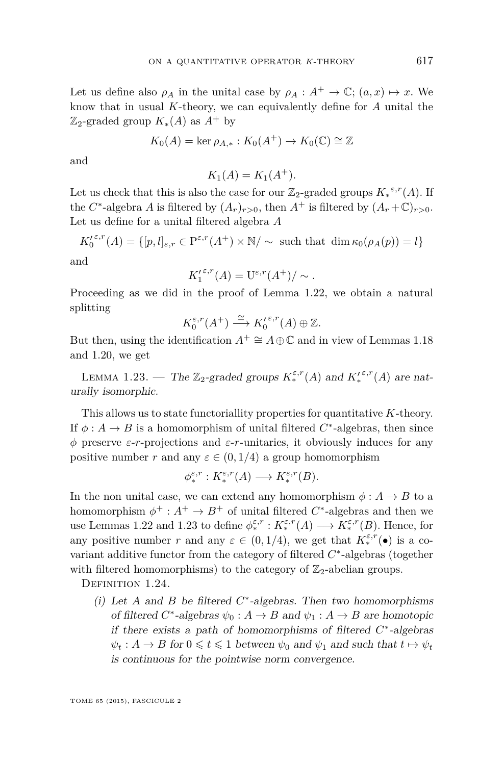<span id="page-13-0"></span>Let us define also  $\rho_A$  in the unital case by  $\rho_A : A^+ \to \mathbb{C}$ ;  $(a, x) \mapsto x$ . We know that in usual *K*-theory, we can equivalently define for *A* unital the  $\mathbb{Z}_2$ -graded group  $K_*(A)$  as  $A^+$  by

$$
K_0(A) = \ker \rho_{A,*} : K_0(A^+) \to K_0(\mathbb{C}) \cong \mathbb{Z}
$$

and

$$
K_1(A) = K_1(A^+).
$$

Let us check that this is also the case for our  $\mathbb{Z}_2$ -graded groups  $K_*^{\varepsilon,r}(A)$ . If the *C*<sup>\*</sup>-algebra *A* is filtered by  $(A_r)_{r>0}$ , then  $A^+$  is filtered by  $(A_r + \mathbb{C})_{r>0}$ . Let us define for a unital filtered algebra *A*

 $K_0^{( \varepsilon, r}(A) = \{ [p, l]_{\varepsilon, r} \in \mathbb{P}^{\varepsilon, r}(A^+) \times \mathbb{N}/\sim \text{ such that } \dim \kappa_0(\rho_A(p)) = l \}$ and

$$
\operatorname{nd}
$$

$$
K_1^{\prime\,\varepsilon,r}(A) = \mathrm{U}^{\varepsilon,r}(A^+)/\sim.
$$

Proceeding as we did in the proof of Lemma [1.22,](#page-12-0) we obtain a natural splitting

$$
K_0^{\varepsilon,r}(A^+) \stackrel{\cong}{\longrightarrow} K_0^{\prime\,\varepsilon,r}(A) \oplus \mathbb{Z}.
$$

But then, using the identification  $A^+ \cong A \oplus \mathbb{C}$  and in view of Lemmas [1.18](#page-10-0) and [1.20,](#page-11-0) we get

LEMMA 1.23. — The  $\mathbb{Z}_2$ -graded groups  $K_*^{\varepsilon,r}(A)$  and  $K_*^{\varepsilon,r}(A)$  are naturally isomorphic.

This allows us to state functoriallity properties for quantitative *K*-theory. If  $\phi: A \to B$  is a homomorphism of unital filtered  $C^*$ -algebras, then since *φ* preserve *ε*-*r*-projections and *ε*-*r*-unitaries, it obviously induces for any positive number *r* and any  $\varepsilon \in (0, 1/4)$  a group homomorphism

$$
\phi_*^{\varepsilon,r}: K_*^{\varepsilon,r}(A) \longrightarrow K_*^{\varepsilon,r}(B).
$$

In the non unital case, we can extend any homomorphism  $\phi: A \to B$  to a homomorphism  $\phi^+ : A^+ \to B^+$  of unital filtered  $C^*$ -algebras and then we use Lemmas [1.22](#page-12-0) and 1.23 to define  $\phi_*^{\varepsilon,r}: K_*^{\varepsilon,r}(A) \longrightarrow K_*^{\varepsilon,r}(B)$ . Hence, for any positive number *r* and any  $\varepsilon \in (0, 1/4)$ , we get that  $K_*^{\varepsilon,r}(\bullet)$  is a covariant additive functor from the category of filtered  $C^*$ -algebras (together with filtered homomorphisms) to the category of  $\mathbb{Z}_2$ -abelian groups.

DEFINITION 1.24.

(i) Let  $A$  and  $B$  be filtered  $C^*$ -algebras. Then two homomorphisms of filtered  $C^*$ -algebras  $\psi_0: A \to B$  and  $\psi_1: A \to B$  are homotopic if there exists a path of homomorphisms of filtered *C* ∗ -algebras  $\psi_t : A \to B$  for  $0 \leq t \leq 1$  between  $\psi_0$  and  $\psi_1$  and such that  $t \mapsto \psi_t$ is continuous for the pointwise norm convergence.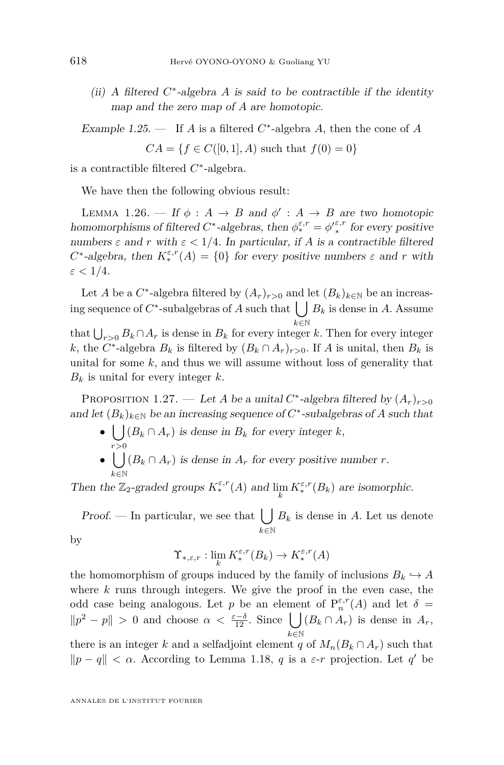<span id="page-14-0"></span>(ii) A filtered *C* ∗ -algebra *A* is said to be contractible if the identity map and the zero map of *A* are homotopic.

Example 1.25. — If *A* is a filtered  $C^*$ -algebra *A*, then the cone of *A* 

 $CA = \{f \in C([0, 1], A) \text{ such that } f(0) = 0\}$ 

is a contractible filtered *C* ∗ -algebra.

We have then the following obvious result:

LEMMA 1.26. — If  $\phi : A \rightarrow B$  and  $\phi' : A \rightarrow B$  are two homotopic homomorphisms of filtered  $C^*$ -algebras, then  $\phi_*^{\varepsilon,r} = {\phi'}_*^{\varepsilon,r}$  for every positive numbers  $\varepsilon$  and  $r$  with  $\varepsilon < 1/4$ . In particular, if A is a contractible filtered *C*<sup>\*</sup>-algebra, then  $K_*^{\varepsilon,r}(A) = \{0\}$  for every positive numbers  $\varepsilon$  and *r* with  $\varepsilon < 1/4$ .

Let *A* be a  $C^*$ -algebra filtered by  $(A_r)_{r>0}$  and let  $(B_k)_{k\in\mathbb{N}}$  be an increasing sequence of  $C^*$ -subalgebras of *A* such that  $\bigcup B_k$  is dense in *A*. Assume *k*∈N

that  $\bigcup_{r>0} B_k \cap A_r$  is dense in  $B_k$  for every integer *k*. Then for every integer *k*, the *C*<sup>\*</sup>-algebra  $B_k$  is filtered by  $(B_k \cap A_r)_{r>0}$ . If *A* is unital, then  $B_k$  is unital for some *k*, and thus we will assume without loss of generality that  $B_k$  is unital for every integer  $k$ .

PROPOSITION 1.27. — Let *A* be a unital  $C^*$ -algebra filtered by  $(A_r)_{r>0}$ and let  $(B_k)_{k \in \mathbb{N}}$  be an increasing sequence of  $C^*$ -subalgebras of A such that

- $\bullet$   $\bigcup (B_k \cap A_r)$  is dense in  $B_k$  for every integer *k*, *r>*0
- $\bullet$   $\vert \ \vert$ *k*∈N  $(B_k \cap A_r)$  is dense in  $A_r$  for every positive number *r*.

Then the  $\mathbb{Z}_2$ -graded groups  $K_*^{\varepsilon,r}(A)$  and  $\lim_k K_*^{\varepsilon,r}(B_k)$  are isomorphic.

Proof. — In particular, we see that  $\left\lfloor \ \right\rfloor$ *k*∈N  $B_k$  is dense in  $A$ . Let us denote

by

$$
\Upsilon_{*,\varepsilon,r}: \lim_k K_*^{\varepsilon,r}(B_k) \to K_*^{\varepsilon,r}(A)
$$

the homomorphism of groups induced by the family of inclusions  $B_k \hookrightarrow A$ where *k* runs through integers. We give the proof in the even case, the odd case being analogous. Let *p* be an element of  $P_n^{\varepsilon,r}(A)$  and let  $\delta =$  $||p^2 - p|| > 0$  and choose *α* <  $\frac{\varepsilon - \delta}{12}$ . Since **U** *k*∈N  $(B_k \cap A_r)$  is dense in  $A_r$ , there is an integer *k* and a selfadjoint element *q* of  $M_n(B_k \cap A_r)$  such that  $||p - q|| < \alpha$ . According to Lemma [1.18,](#page-10-0) *q* is a *ε*-*r* projection. Let *q*<sup>*'*</sup> be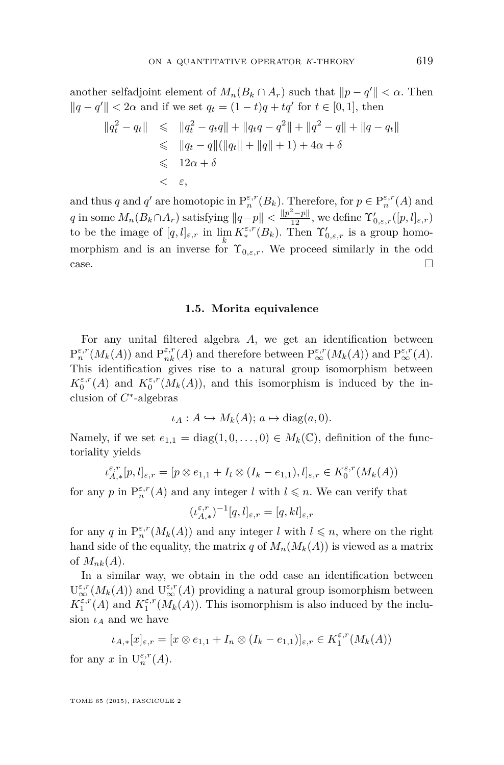another selfadjoint element of  $M_n(B_k \cap A_r)$  such that  $||p - q'|| < \alpha$ . Then  $||q - q'||$  < 2*α* and if we set  $q_t = (1 - t)q + tq'$  for  $t \in [0, 1]$ , then

$$
\|q_t^2 - q_t\| \le \|q_t^2 - q_t q\| + \|q_t q - q^2\| + \|q^2 - q\| + \|q - q_t\|
$$
  
\n
$$
\le \|q_t - q\| (\|q_t\| + \|q\| + 1) + 4\alpha + \delta
$$
  
\n
$$
\le 12\alpha + \delta
$$
  
\n
$$
< \varepsilon,
$$

and thus *q* and *q'* are homotopic in  $P_n^{\varepsilon,r}(B_k)$ . Therefore, for  $p \in P_n^{\varepsilon,r}(A)$  and  $q$  in some  $M_n(B_k \cap A_r)$  satisfying  $||q-p|| < \frac{||p^2-p||}{12}$ , we define  $\Upsilon'_{0,\varepsilon,r}([p,l]_{\varepsilon,r})$ to be the image of  $[q, l]_{\varepsilon,r}$  in  $\lim_{h \to \infty} K_*^{\varepsilon,r}(B_k)$ . Then  $\Upsilon'_{0,\varepsilon,r}$  is a group homomorphism and is an inverse for  $\Upsilon_{0,\varepsilon,r}$ . We proceed similarly in the odd  $\Box$ 

#### **1.5. Morita equivalence**

For any unital filtered algebra *A*, we get an identification between  $P_n^{\varepsilon,r}(M_k(A))$  and  $P_{nk}^{\varepsilon,r}(A)$  and therefore between  $P_{\infty}^{\varepsilon,r}(M_k(A))$  and  $P_{\infty}^{\varepsilon,r}(A)$ . This identification gives rise to a natural group isomorphism between  $K_0^{\varepsilon,r}(A)$  and  $K_0^{\varepsilon,r}(M_k(A))$ , and this isomorphism is induced by the inclusion of *C* ∗ -algebras

$$
\iota_A: A \hookrightarrow M_k(A); \, a \mapsto \text{diag}(a,0).
$$

Namely, if we set  $e_{1,1} = \text{diag}(1, 0, \ldots, 0) \in M_k(\mathbb{C})$ , definition of the functoriality yields

$$
\iota_{A,*}^{\varepsilon,r}[p,l]_{\varepsilon,r}=[p\otimes e_{1,1}+I_{l}\otimes (I_{k}-e_{1,1}),l]_{\varepsilon,r}\in K_{0}^{\varepsilon,r}(M_{k}(A))
$$

for any *p* in  $P_n^{\varepsilon,r}(A)$  and any integer *l* with  $l \leq n$ . We can verify that

$$
(\iota_{A,*}^{\varepsilon,r})^{-1}[q,l]_{\varepsilon,r}=[q,kl]_{\varepsilon,r}
$$

for any *q* in  $P_n^{\varepsilon,r}(M_k(A))$  and any integer *l* with  $l \leq n$ , where on the right hand side of the equality, the matrix *q* of  $M_n(M_k(A))$  is viewed as a matrix of  $M_{nk}(A)$ .

In a similar way, we obtain in the odd case an identification between  $\mathrm{U}^{\varepsilon,r}_{\infty}(M_k(A))$  and  $\mathrm{U}^{\varepsilon,r}_{\infty}(A)$  providing a natural group isomorphism between  $K_1^{\varepsilon,r}(A)$  and  $K_1^{\varepsilon,r}(M_k(A))$ . This isomorphism is also induced by the inclusion  $\iota_A$  and we have

$$
\iota_{A,*}[x]_{\varepsilon,r} = [x \otimes e_{1,1} + I_n \otimes (I_k - e_{1,1})]_{\varepsilon,r} \in K_1^{\varepsilon,r}(M_k(A))
$$

for any  $x$  in  $U_n^{\varepsilon,r}(A)$ .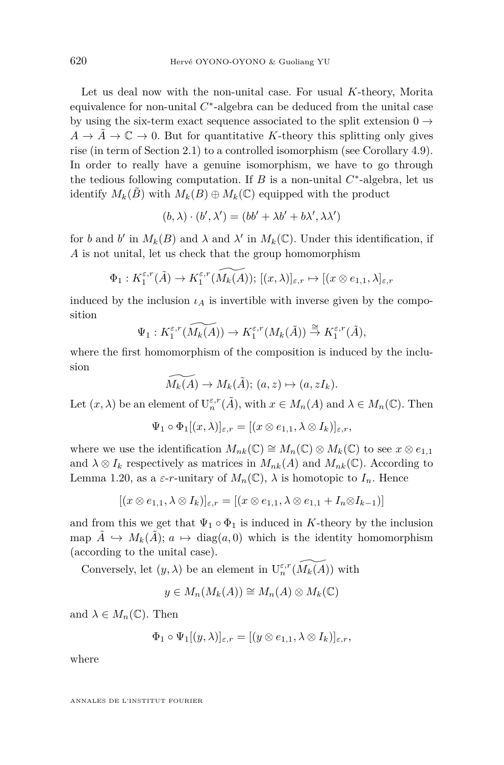Let us deal now with the non-unital case. For usual *K*-theory, Morita equivalence for non-unital  $C^*$ -algebra can be deduced from the unital case by using the six-term exact sequence associated to the split extension  $0\rightarrow$  $A \to \tilde{A} \to \mathbb{C} \to 0$ . But for quantitative *K*-theory this splitting only gives rise (in term of Section [2.1\)](#page-21-0) to a controlled isomorphism (see Corollary [4.9\)](#page-53-0). In order to really have a genuine isomorphism, we have to go through the tedious following computation. If  $B$  is a non-unital  $C^*$ -algebra, let us identify  $M_k(\tilde{B})$  with  $M_k(B) \oplus M_k(\mathbb{C})$  equipped with the product

$$
(b, \lambda) \cdot (b', \lambda') = (bb' + \lambda b' + b\lambda', \lambda \lambda')
$$

for *b* and *b*<sup> $\prime$ </sup> in  $M_k(B)$  and  $\lambda$  and  $\lambda'$  in  $M_k(\mathbb{C})$ . Under this identification, if *A* is not unital, let us check that the group homomorphism

$$
\Phi_1: K_1^{\varepsilon,r}(\tilde{A}) \to K_1^{\varepsilon,r}(\widetilde{M_k(A)}); [(x,\lambda)]_{\varepsilon,r} \mapsto [(x \otimes e_{1,1}, \lambda]_{\varepsilon,r}]
$$

induced by the inclusion  $i_A$  is invertible with inverse given by the composition

$$
\Psi_1: K_1^{\varepsilon,r}(\widetilde{M_k(A)}) \to K_1^{\varepsilon,r}(M_k(\tilde{A})) \stackrel{\cong}{\to} K_1^{\varepsilon,r}(\tilde{A}),
$$

where the first homomorphism of the composition is induced by the inclusion

 $\widetilde{M_k(A)} \to M_k(\tilde{A}); (a, z) \mapsto (a, zI_k).$ 

Let  $(x, \lambda)$  be an element of  $U_n^{\varepsilon,r}(\tilde{A})$ , with  $x \in M_n(A)$  and  $\lambda \in M_n(\mathbb{C})$ . Then

$$
\Psi_1 \circ \Phi_1[(x,\lambda)]_{\varepsilon,r} = [(x \otimes e_{1,1}, \lambda \otimes I_k)]_{\varepsilon,r},
$$

where we use the identification  $M_{nk}(\mathbb{C}) \cong M_n(\mathbb{C}) \otimes M_k(\mathbb{C})$  to see  $x \otimes e_{1,1}$ and  $\lambda \otimes I_k$  respectively as matrices in  $M_{nk}(A)$  and  $M_{nk}(\mathbb{C})$ . According to Lemma [1.20,](#page-11-0) as a  $\varepsilon$ -*r*-unitary of  $M_n(\mathbb{C})$ ,  $\lambda$  is homotopic to  $I_n$ . Hence

$$
[(x \otimes e_{1,1}, \lambda \otimes I_k)]_{\varepsilon,r} = [(x \otimes e_{1,1}, \lambda \otimes e_{1,1} + I_n \otimes I_{k-1})]
$$

and from this we get that  $\Psi_1 \circ \Phi_1$  is induced in *K*-theory by the inclusion map  $\tilde{A} \hookrightarrow M_k(\tilde{A}); a \mapsto \text{diag}(a, 0)$  which is the identity homomorphism (according to the unital case).

Conversely, let  $(y, \lambda)$  be an element in  $U_n^{\varepsilon, r}(\widetilde{M_k(A)})$  with

$$
y \in M_n(M_k(A)) \cong M_n(A) \otimes M_k(\mathbb{C})
$$

and  $\lambda \in M_n(\mathbb{C})$ . Then

$$
\Phi_1\circ\Psi_1[(y,\lambda)]_{\varepsilon,r}=[(y\otimes e_{1,1},\lambda\otimes I_k)]_{\varepsilon,r},
$$

where

ANNALES DE L'INSTITUT FOURIER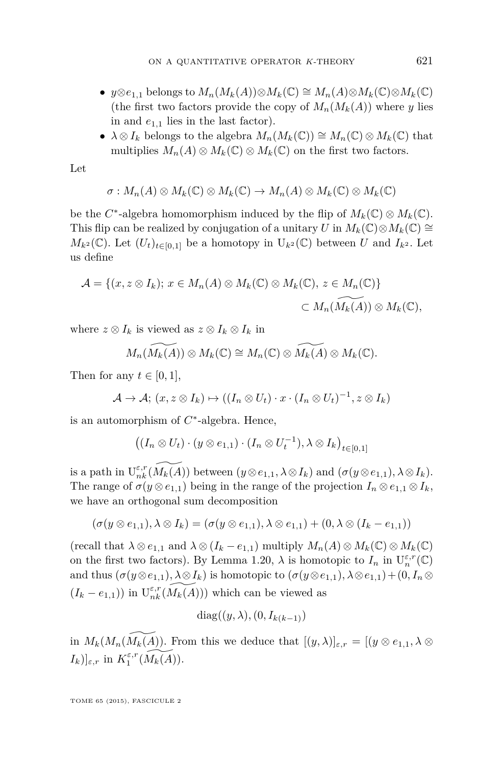- $y \otimes e_{1,1}$  belongs to  $M_n(M_k(A)) \otimes M_k(\mathbb{C}) \cong M_n(A) \otimes M_k(\mathbb{C}) \otimes M_k(\mathbb{C})$ (the first two factors provide the copy of  $M_n(M_k(A))$  where *y* lies in and  $e_{1,1}$  lies in the last factor).
- $\lambda \otimes I_k$  belongs to the algebra  $M_n(M_k(\mathbb{C})) \cong M_n(\mathbb{C}) \otimes M_k(\mathbb{C})$  that multiplies  $M_n(A) \otimes M_k(\mathbb{C}) \otimes M_k(\mathbb{C})$  on the first two factors.

Let

$$
\sigma: M_n(A) \otimes M_k(\mathbb{C}) \otimes M_k(\mathbb{C}) \to M_n(A) \otimes M_k(\mathbb{C}) \otimes M_k(\mathbb{C})
$$

be the  $C^*$ -algebra homomorphism induced by the flip of  $M_k(\mathbb{C}) \otimes M_k(\mathbb{C})$ . This flip can be realized by conjugation of a unitary *U* in  $M_k(\mathbb{C}) \otimes M_k(\mathbb{C}) \cong$  $M_{k^2}(\mathbb{C})$ . Let  $(U_t)_{t\in[0,1]}$  be a homotopy in  $U_{k^2}(\mathbb{C})$  between *U* and  $I_{k^2}$ . Let us define

$$
\mathcal{A} = \{ (x, z \otimes I_k) ; x \in M_n(A) \otimes M_k(\mathbb{C}) \otimes M_k(\mathbb{C}), z \in M_n(\mathbb{C}) \}
$$
  

$$
\subset M_n(\widetilde{M_k(A)}) \otimes M_k(\mathbb{C}),
$$

where  $z \otimes I_k$  is viewed as  $z \otimes I_k \otimes I_k$  in

$$
M_n(\widetilde{M_k(A)}) \otimes M_k(\mathbb{C}) \cong M_n(\mathbb{C}) \otimes \widetilde{M_k(A)} \otimes M_k(\mathbb{C}).
$$

Then for any  $t \in [0, 1]$ ,

$$
\mathcal{A} \to \mathcal{A}; (x, z \otimes I_k) \mapsto ((I_n \otimes U_t) \cdot x \cdot (I_n \otimes U_t)^{-1}, z \otimes I_k)
$$

is an automorphism of *C* ∗ -algebra. Hence,

$$
((I_n \otimes U_t) \cdot (y \otimes e_{1,1}) \cdot (I_n \otimes U_t^{-1}), \lambda \otimes I_k)_{t \in [0,1]}
$$

is a path in  $U_{nk}^{\varepsilon,r}(\widetilde{M_k(A)})$  between  $(y \otimes e_{1,1}, \lambda \otimes I_k)$  and  $(\sigma(y \otimes e_{1,1}), \lambda \otimes I_k)$ . The range of  $\sigma(y \otimes e_{1,1})$  being in the range of the projection  $I_n \otimes e_{1,1} \otimes I_k$ , we have an orthogonal sum decomposition

$$
(\sigma(y \otimes e_{1,1}), \lambda \otimes I_k) = (\sigma(y \otimes e_{1,1}), \lambda \otimes e_{1,1}) + (0, \lambda \otimes (I_k - e_{1,1}))
$$

 $(\text{recall that } \lambda \otimes e_{1,1} \text{ and } \lambda \otimes (I_k - e_{1,1}) \text{ multiply } M_n(A) \otimes M_k(\mathbb{C}) \otimes M_k(\mathbb{C})$ on the first two factors). By Lemma [1.20,](#page-11-0)  $\lambda$  is homotopic to  $I_n$  in  $U_n^{\varepsilon,r}(\mathbb{C})$ and thus  $(\sigma(y \otimes e_{1,1}), \lambda \otimes I_k)$  is homotopic to  $(\sigma(y \otimes e_{1,1}), \lambda \otimes e_{1,1}) + (0, I_n \otimes I_k)$  $(I_k - e_{1,1})$ ) in  $\widetilde{U_{nk}^{\varepsilon,r}(M_k(A))}$  which can be viewed as

$$
diag((y,\lambda),(0,I_{k(k-1)})
$$

in  $M_k(M_n(M_k(A))$ . From this we deduce that  $[(y, \lambda)]_{\varepsilon,r} = [(y \otimes e_{1,1}, \lambda \otimes$  $[I_k]$ <sub> $\varepsilon, r$ </sub> in  $K_1^{\varepsilon,r}(\widetilde{M_k(A)})$ .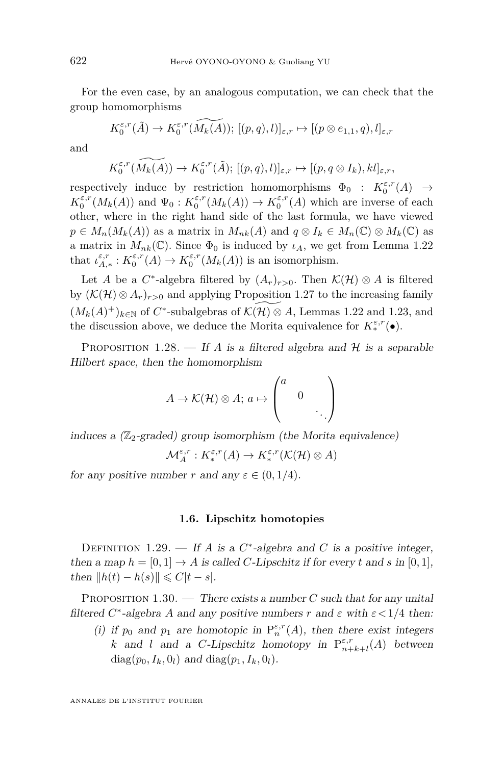<span id="page-18-0"></span>For the even case, by an analogous computation, we can check that the group homomorphisms

$$
K_0^{\varepsilon,r}(\tilde{A}) \to K_0^{\varepsilon,r}(\widetilde{M_k(A)}); [(p,q),l)]_{\varepsilon,r} \mapsto [(p \otimes e_{1,1}, q),l]_{\varepsilon,r}
$$

and

$$
K_0^{\varepsilon,r}(\widetilde{M_k(A)}) \to K_0^{\varepsilon,r}(\tilde{A}); [(p,q),l)]_{\varepsilon,r} \mapsto [(p,q \otimes I_k),kl]_{\varepsilon,r},
$$

respectively induce by restriction homomorphisms  $\Phi_0 : K_0^{\varepsilon,r}(A) \to$  $K_0^{\varepsilon,r}(M_k(A))$  and  $\Psi_0: K_0^{\varepsilon,r}(M_k(A)) \to K_0^{\varepsilon,r}(A)$  which are inverse of each other, where in the right hand side of the last formula, we have viewed  $p \in M_n(M_k(A))$  as a matrix in  $M_{nk}(A)$  and  $q \otimes I_k \in M_n(\mathbb{C}) \otimes M_k(\mathbb{C})$  as a matrix in  $M_{nk}(\mathbb{C})$ . Since  $\Phi_0$  is induced by  $\iota_A$ , we get from Lemma [1.22](#page-12-0) that  $\iota_{A,*}^{\varepsilon,r}: K_0^{\varepsilon,r}(A) \to K_0^{\varepsilon,r}(M_k(A))$  is an isomorphism.

Let *A* be a  $C^*$ -algebra filtered by  $(A_r)_{r>0}$ . Then  $\mathcal{K}(\mathcal{H}) \otimes A$  is filtered by  $(\mathcal{K}(\mathcal{H}) \otimes A_r)_{r>0}$  and applying Proposition [1.27](#page-14-0) to the increasing family  $(M_k(A)^+)_{k \in \mathbb{N}}$  of  $C^*$ -subalgebras of  $\widetilde{\mathcal{K}(\mathcal{H}) \otimes A}$ , Lemmas [1.22](#page-12-0) and [1.23,](#page-13-0) and the discussion above, we deduce the Morita equivalence for  $K^{\varepsilon,r}_*(\bullet)$ .

PROPOSITION 1.28. — If *A* is a filtered algebra and  $H$  is a separable Hilbert space, then the homomorphism

$$
A \to \mathcal{K}(\mathcal{H}) \otimes A; \, a \mapsto \begin{pmatrix} a & & \\ & 0 & \\ & & \ddots \end{pmatrix}
$$

induces a  $(\mathbb{Z}_2$ -graded) group isomorphism (the Morita equivalence)

$$
\mathcal{M}_A^{\varepsilon,r}: K_*^{\varepsilon,r}(A) \to K_*^{\varepsilon,r}(\mathcal{K}(\mathcal{H}) \otimes A)
$$

for any positive number *r* and any  $\varepsilon \in (0, 1/4)$ .

#### **1.6. Lipschitz homotopies**

DEFINITION 1.29. — If *A* is a  $C^*$ -algebra and *C* is a positive integer, then a map  $h = [0, 1] \rightarrow A$  is called *C*-Lipschitz if for every *t* and *s* in [0, 1],  $t$ hen  $||h(t) - h(s)|| \leq C|t - s|$ .

PROPOSITION 1.30. — There exists a number *C* such that for any unital filtered  $C^*$ -algebra  $A$  and any positive numbers  $r$  and  $\varepsilon$  with  $\varepsilon < 1/4$  then:

(i) if  $p_0$  and  $p_1$  are homotopic in  $P_n^{\varepsilon,r}(A)$ , then there exist integers *k* and *l* and a *C*-Lipschitz homotopy in  $P_{n+k+l}^{\varepsilon,r}(A)$  between  $diag(p_0, I_k, 0_l)$  and  $diag(p_1, I_k, 0_l)$ .

ANNALES DE L'INSTITUT FOURIER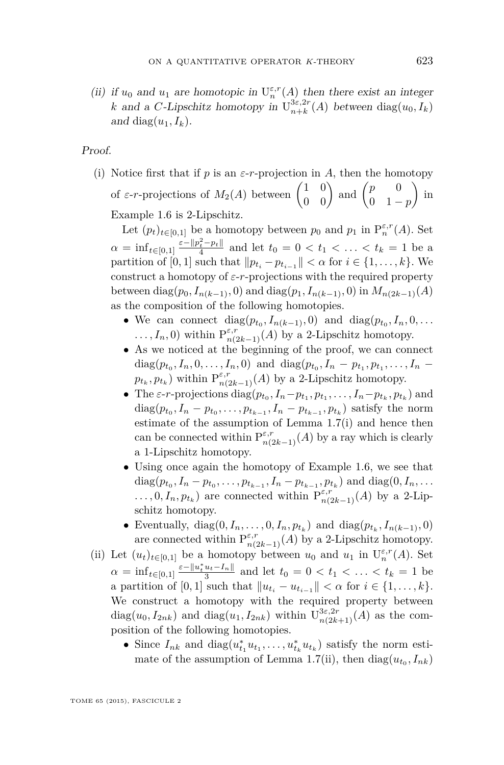(ii) if  $u_0$  and  $u_1$  are homotopic in  $U_n^{\varepsilon,r}(A)$  then there exist an integer *k* and a *C*-Lipschitz homotopy in  $U_{n+k}^{3\varepsilon,2r}(A)$  between  $diag(u_0, I_k)$ and diag $(u_1, I_k)$ .

Proof.

(i) Notice first that if *p* is an  $\varepsilon$ -*r*-projection in *A*, then the homotopy of  $\varepsilon$ -*r*-projections of  $M_2(A)$  between  $\begin{pmatrix} 1 & 0 \\ 0 & 0 \end{pmatrix}$  and  $\begin{pmatrix} p & 0 \\ 0 & 1 \end{pmatrix}$ 0 1 − *p*  $\big)$  in Example [1.6](#page-6-0) is 2-Lipschitz.

Let  $(p_t)_{t \in [0,1]}$  be a homotopy between  $p_0$  and  $p_1$  in  $P_n^{\varepsilon,r}(A)$ . Set  $\alpha = \inf_{t \in [0,1]} \frac{\varepsilon - \|p_t^2 - p_t\|}{4}$  and let  $t_0 = 0 < t_1 < \ldots < t_k = 1$  be a partition of [0, 1] such that  $||p_{t_i} - p_{t_{i-1}}|| < \alpha$  for  $i \in \{1, ..., k\}$ . We construct a homotopy of  $\varepsilon$ -*r*-projections with the required property  $b$ etween diag( $p_0, I_{n(k-1)}, 0$ ) and diag( $p_1, I_{n(k-1)}, 0$ ) in  $M_{n(2k-1)}(A)$ as the composition of the following homotopies.

- We can connect  $diag(p_{t_0}, I_{n(k-1)}, 0)$  and  $diag(p_{t_0}, I_n, 0, \ldots)$  $\dots, I_n, 0$ ) within  $P_{n(2k-1)}^{\varepsilon,r}(A)$  by a 2-Lipschitz homotopy.
- As we noticed at the beginning of the proof, we can connect  $diag(p_{t_0}, I_n, 0, \ldots, I_n, 0)$  and  $diag(p_{t_0}, I_n - p_{t_1}, p_{t_1}, \ldots, I_n - p_{t_n})$  $p_{t_k}, p_{t_k}$ ) within  $P^{\varepsilon,r}_{n(2k-1)}(A)$  by a 2-Lipschitz homotopy.
- The  $\varepsilon$ -*r*-projections diag $(p_{t_0}, I_n p_{t_1}, p_{t_1}, \ldots, I_n p_{t_k}, p_{t_k})$  and  $diag(p_{t_0}, I_n - p_{t_0}, \ldots, p_{t_{k-1}}, I_n - p_{t_{k-1}}, p_{t_k})$  satisfy the norm estimate of the assumption of Lemma [1.7\(](#page-7-0)i) and hence then can be connected within  $P^{\varepsilon,r}_{n(2k-1)}(A)$  by a ray which is clearly a 1-Lipschitz homotopy.
- Using once again the homotopy of Example [1.6,](#page-6-0) we see that  $diag(p_{t_0}, I_n - p_{t_0}, \ldots, p_{t_{k-1}}, I_n - p_{t_{k-1}}, p_{t_k})$  and  $diag(0, I_n, \ldots)$  $\dots, 0, I_n, p_{t_k}$  are connected within  $P_{n(2k-1)}^{\varepsilon,r}(A)$  by a 2-Lipschitz homotopy.
- Eventually, diag $(0, I_n, \ldots, 0, I_n, p_{t_k})$  and diag $(p_{t_k}, I_{n(k-1)}, 0)$ are connected within  $P^{\varepsilon,r}_{n(2k-1)}(A)$  by a 2-Lipschitz homotopy.
- (ii) Let  $(u_t)_{t \in [0,1]}$  be a homotopy between  $u_0$  and  $u_1$  in  $U_n^{\varepsilon,r}(A)$ . Set  $\alpha = \inf_{t \in [0,1]} \frac{\varepsilon - \|u_t^* u_t - I_n\|}{3}$  and let  $t_0 = 0 < t_1 < \ldots < t_k = 1$  be a partition of [0, 1] such that  $||u_{t_i} - u_{t_{i-1}}|| < \alpha$  for  $i \in \{1, ..., k\}$ . We construct a homotopy with the required property between diag $(u_0, I_{2nk})$  and diag $(u_1, I_{2nk})$  within  $\mathrm{U}_{n(2k+1)}^{3\varepsilon, 2r}(A)$  as the composition of the following homotopies.
	- Since  $I_{nk}$  and  $diag(u_{t_1}^* u_{t_1}, \ldots, u_{t_k}^* u_{t_k})$  satisfy the norm esti-mate of the assumption of Lemma [1.7\(](#page-7-0)ii), then  $diag(u_{t_0}, I_{nk})$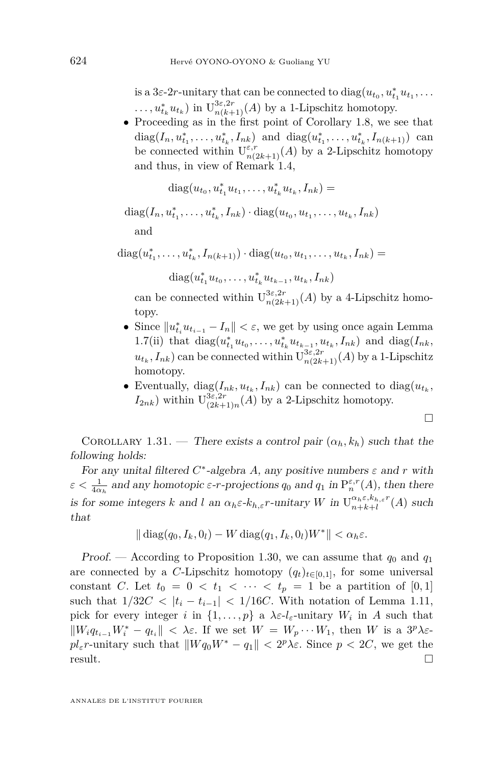<span id="page-20-0"></span>is a 3*ε*-2*r*-unitary that can be connected to  $diag(u_{t_0}, u_{t_1}^* u_{t_1}, \dots)$  $\ldots$ ,  $u_{t_k}^* u_{t_k}$ ) in  $\mathrm{U}_{n(k+1)}^{3\varepsilon,2r}(A)$  by a 1-Lipschitz homotopy.

• Proceeding as in the first point of Corollary [1.8,](#page-7-0) we see that  $diag(I_n, u_{t_1}^*, \ldots, u_{t_k}^*, I_{nk})$  and  $diag(u_{t_1}^*, \ldots, u_{t_k}^*, I_{n(k+1)})$  can be connected within  $U_{n(2k+1)}^{\varepsilon,r}(A)$  by a 2-Lipschitz homotopy and thus, in view of Remark [1.4,](#page-5-0)

$$
diag(u_{t_0}, u_{t_1}^*u_{t_1}, \dots, u_{t_k}^*u_{t_k}, I_{nk}) =
$$

 $diag(I_n, u_{t_1}^*, \ldots, u_{t_k}^*, I_{nk}) \cdot diag(u_{t_0}, u_{t_1}, \ldots, u_{t_k}, I_{nk})$ 

and

 $diag(u_{t_1}^*, \ldots, u_{t_k}^*, I_{n(k+1)}) \cdot diag(u_{t_0}, u_{t_1}, \ldots, u_{t_k}, I_{nk}) =$ 

 $diag(u_{t_1}^* u_{t_0}, \ldots, u_{t_k}^* u_{t_{k-1}}, u_{t_k}, I_{nk})$ 

can be connected within  $\mathrm{U}_{n(2k+1)}^{3\varepsilon,2r}(A)$  by a 4-Lipschitz homotopy.

- Since  $||u_{t_i}^* u_{t_{i-1}} I_n|| < \varepsilon$ , we get by using once again Lemma  $1.7$ (ii) that  $diag(u_{t_1}^* u_{t_0}, \ldots, u_{t_k}^* u_{t_{k-1}}, u_{t_k}, I_{nk})$  and  $diag(I_{nk}, I_{nk})$  $u_{t_k}, I_{nk}$ ) can be connected within  $\mathrm{U}_{n(2k+1)}^{3\varepsilon, 2r}(A)$  by a 1-Lipschitz homotopy.
- Eventually,  $diag(I_{nk}, u_{t_k}, I_{nk})$  can be connected to  $diag(u_{t_k},$  $I_{2nk}$ ) within  $U_{(2k+1)}^{3\varepsilon,2r}$  $\sum_{(2k+1)n}^{3\varepsilon,2r}(A)$  by a 2-Lipschitz homotopy.

$$
\Box
$$

COROLLARY 1.31. — There exists a control pair  $(\alpha_h, k_h)$  such that the following holds:

For any unital filtered  $C^*$ -algebra A, any positive numbers  $\varepsilon$  and  $r$  with  $\varepsilon < \frac{1}{4\alpha_h}$  and any homotopic  $\varepsilon$ -*r*-projections  $q_0$  and  $q_1$  in  $P_n^{\varepsilon,r}(A)$ , then there is for some integers *k* and *l* an  $\alpha_h \varepsilon$ -*k*<sub>*h*, $\varepsilon$ </sub>*r*-unitary *W* in  $U_{n+k+l}^{\alpha_h \varepsilon, k_{h,\varepsilon}r}(A)$  such that

$$
\|\operatorname{diag}(q_0, I_k, 0_l) - W \operatorname{diag}(q_1, I_k, 0_l)W^*\| < \alpha_h \varepsilon.
$$

Proof. — According to Proposition [1.30,](#page-18-0) we can assume that  $q_0$  and  $q_1$ are connected by a *C*-Lipschitz homotopy  $(q_t)_{t\in[0,1]}$ , for some universal constant *C*. Let  $t_0 = 0 < t_1 < \cdots < t_p = 1$  be a partition of [0,1] such that  $1/32C < |t_i - t_{i-1}| < 1/16C$ . With notation of Lemma [1.11,](#page-8-0) pick for every integer *i* in  $\{1, \ldots, p\}$  a  $\lambda \varepsilon \cdot l_{\varepsilon}$ -unitary  $W_i$  in A such that  $\|W_i q_{t_{i-1}} W_i^* - q_{t_i}\| < \lambda \varepsilon$ . If we set  $W = W_p \cdots W_1$ , then *W* is a  $3^p \lambda \varepsilon$  $pl_{\varepsilon}r$ -unitary such that  $\|W q_0 W^* - q_1\| < 2^p \lambda \varepsilon$ . Since  $p < 2C$ , we get the  $r$ esult.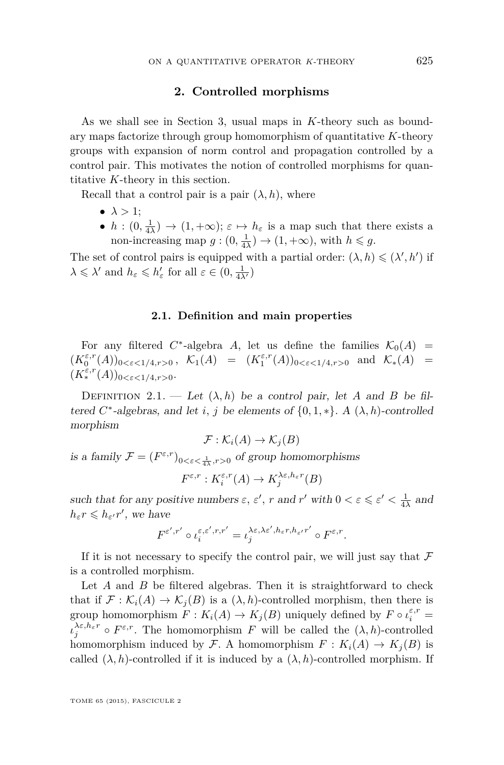#### **2. Controlled morphisms**

<span id="page-21-0"></span>As we shall see in Section [3,](#page-25-0) usual maps in *K*-theory such as boundary maps factorize through group homomorphism of quantitative *K*-theory groups with expansion of norm control and propagation controlled by a control pair. This motivates the notion of controlled morphisms for quantitative *K*-theory in this section.

Recall that a control pair is a pair  $(\lambda, h)$ , where

- $\bullet \lambda > 1$ :
- $h: (0, \frac{1}{4\lambda}) \to (1, +\infty); \varepsilon \mapsto h_{\varepsilon}$  is a map such that there exists a non-increasing map  $g:(0, \frac{1}{4\lambda}) \to (1, +\infty)$ , with  $h \leq g$ .

The set of control pairs is equipped with a partial order:  $(\lambda, h) \leq (\lambda', h')$  if  $\lambda \leq \lambda'$  and  $h_{\varepsilon} \leq h'_{\varepsilon}$  for all  $\varepsilon \in (0, \frac{1}{4\lambda'})$ 

#### **2.1. Definition and main properties**

For any filtered  $C^*$ -algebra *A*, let us define the families  $K_0(A)$  =  $(K_0^{\varepsilon,r}(A))_{0<\varepsilon<1/4,r>0}$ ,  $\mathcal{K}_1(A) = (K_1^{\varepsilon,r}(A))_{0<\varepsilon<1/4,r>0}$  and  $\mathcal{K}_*(A)$  =  $(K^{\varepsilon,r}_*(A))_{0<\varepsilon<1/4,r>0}.$ 

DEFINITION 2.1. — Let  $(\lambda, h)$  be a control pair, let *A* and *B* be filtered  $C^*$ -algebras, and let *i*, *j* be elements of  $\{0, 1, *\}$ . A  $(\lambda, h)$ -controlled morphism

$$
\mathcal{F}: \mathcal{K}_i(A) \to \mathcal{K}_j(B)
$$

is a family  $\mathcal{F} = (F^{\varepsilon,r})_{0 < \varepsilon < \frac{1}{4\lambda}, r > 0}$  of group homomorphisms

$$
F^{\varepsilon,r}: K_i^{\varepsilon,r}(A) \to K_j^{\lambda\varepsilon,h_\varepsilon r}(B)
$$

such that for any positive numbers  $\varepsilon$ ,  $\varepsilon'$ ,  $r$  and  $r'$  with  $0 < \varepsilon \leqslant \varepsilon' < \frac{1}{4\lambda}$  and  $h_{\varepsilon}r \leqslant h_{\varepsilon'}r'$ , we have

$$
F^{\varepsilon',r'}\circ\iota_i^{\varepsilon,\varepsilon',r,r'}=\iota_j^{\lambda\varepsilon,\lambda\varepsilon',h_\varepsilon r,h_{\varepsilon'}r'}\circ F^{\varepsilon,r}.
$$

If it is not necessary to specify the control pair, we will just say that  $\mathcal F$ is a controlled morphism.

Let *A* and *B* be filtered algebras. Then it is straightforward to check that if  $\mathcal{F}: \mathcal{K}_i(A) \to \mathcal{K}_i(B)$  is a  $(\lambda, h)$ -controlled morphism, then there is group homomorphism  $F: K_i(A) \to K_j(B)$  uniquely defined by  $F \circ \iota_i^{\varepsilon,r} =$  $\iota_j^{\lambda \varepsilon, h_\varepsilon r} \circ F^{\varepsilon,r}$ . The homomorphism *F* will be called the  $(\lambda, h)$ -controlled homomorphism induced by F. A homomorphism  $F: K_i(A) \to K_i(B)$  is called  $(\lambda, h)$ -controlled if it is induced by a  $(\lambda, h)$ -controlled morphism. If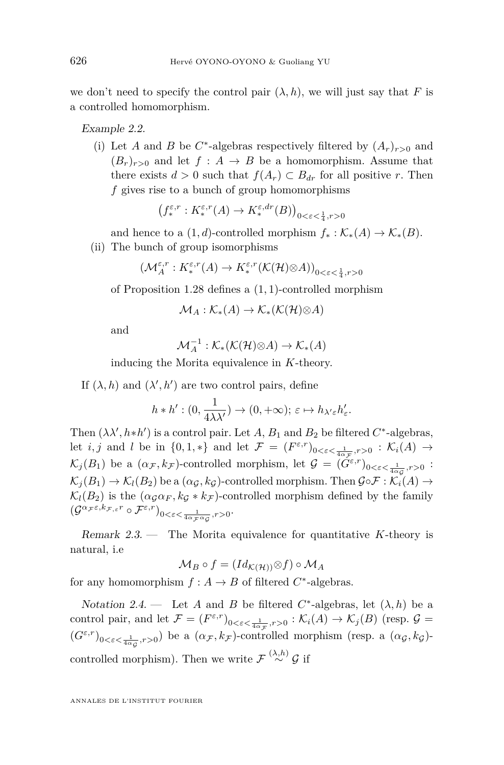<span id="page-22-0"></span>we don't need to specify the control pair  $(\lambda, h)$ , we will just say that F is a controlled homomorphism.

Example 2.2.

(i) Let *A* and *B* be *C*<sup>\*</sup>-algebras respectively filtered by  $(A_r)_{r>0}$  and  $(B_r)_{r>0}$  and let  $f: A \rightarrow B$  be a homomorphism. Assume that there exists  $d > 0$  such that  $f(A_r) \subset B_{dr}$  for all positive *r*. Then *f* gives rise to a bunch of group homomorphisms

$$
\left(f_*^{\varepsilon,r}:K_*^{\varepsilon,r}(A)\to K_*^{\varepsilon,dr}(B)\right)_{0<\varepsilon<\frac{1}{4},r>0}
$$

and hence to a  $(1, d)$ -controlled morphism  $f_* : \mathcal{K}_*(A) \to \mathcal{K}_*(B)$ .

(ii) The bunch of group isomorphisms

$$
\left(\mathcal{M}_{A}^{\varepsilon,r}:K_{*}^{\varepsilon,r}(A)\to K_{*}^{\varepsilon,r}(\mathcal{K}(\mathcal{H})\otimes A)\right)_{0<\varepsilon<\frac{1}{4},r>0}
$$

of Proposition [1.28](#page-18-0) defines a (1*,* 1)-controlled morphism

 $\mathcal{M}_A : \mathcal{K}_*(A) \to \mathcal{K}_*(\mathcal{K}(\mathcal{H}) \otimes A)$ 

and

$$
\mathcal{M}_A^{-1} : \mathcal{K}_*(\mathcal{K}(\mathcal{H}) \otimes A) \to \mathcal{K}_*(A)
$$

inducing the Morita equivalence in *K*-theory.

If  $(\lambda, h)$  and  $(\lambda', h')$  are two control pairs, define

$$
h * h' : (0, \frac{1}{4\lambda\lambda'}) \to (0, +\infty); \, \varepsilon \mapsto h_{\lambda'\varepsilon}h'_{\varepsilon}.
$$

Then  $(\lambda \lambda', h * h')$  is a control pair. Let *A*,  $B_1$  and  $B_2$  be filtered  $C^*$ -algebras, let *i, j* and *l* be in  $\{0,1,*\}$  and let  $\mathcal{F} = (F^{\varepsilon,r})_{0<\varepsilon<\frac{1}{4\alpha_{\mathcal{F}}},r>0} : \mathcal{K}_i(A) \to$  $\mathcal{K}_j(B_1)$  be a  $(\alpha_{\mathcal{F}}, k_{\mathcal{F}})$ -controlled morphism, let  $\mathcal{G} = (\check{G}^{\varepsilon,r})_{0 < \varepsilon < \frac{1}{4\alpha_{\mathcal{G}}}, r > 0}$ :  $\mathcal{K}_i(B_1) \to \mathcal{K}_i(B_2)$  be a  $(\alpha_{\mathcal{G}}, k_{\mathcal{G}})$ -controlled morphism. Then  $\mathcal{G} \circ \mathcal{F} : \mathcal{K}_i(A) \to$  $\mathcal{K}_l(B_2)$  is the  $(\alpha_{\mathcal{G}} \alpha_F, k_{\mathcal{G}} * k_{\mathcal{F}})$ -controlled morphism defined by the family  $\left(\mathcal{G}^{\alpha_{\mathcal{F}}\varepsilon,k_{\mathcal{F},\varepsilon}r}\circ\mathcal{F}^{\varepsilon,r}\right)_{0<\varepsilon<\frac{1}{4\alpha_{\mathcal{F}}\alpha_{\mathcal{G}}},r>0}.$ 

Remark 2.3. — The Morita equivalence for quantitative *K*-theory is natural, i.e

$$
\mathcal{M}_B \circ f = (Id_{\mathcal{K}(\mathcal{H}))} \otimes f) \circ \mathcal{M}_A
$$

for any homomorphism  $f : A \to B$  of filtered  $C^*$ -algebras.

Notation 2.4. — Let *A* and *B* be filtered  $C^*$ -algebras, let  $(\lambda, h)$  be a control pair, and let  $\mathcal{F} = (F^{\varepsilon,r})_{0 < \varepsilon < \frac{1}{4\alpha \mathcal{F}}, r > 0} : \mathcal{K}_i(A) \to \mathcal{K}_j(B)$  (resp.  $\mathcal{G} =$  $(G^{\varepsilon,r})_{0<\varepsilon<\frac{1}{4\alpha_{\mathcal{G}}},r>0}$  be a  $(\alpha_{\mathcal{F}},k_{\mathcal{F}})$ -controlled morphism (resp. a  $(\alpha_{\mathcal{G}},k_{\mathcal{G}})$ controlled morphism). Then we write  $\mathcal{F} \stackrel{(\lambda,h)}{\sim} \mathcal{G}$  if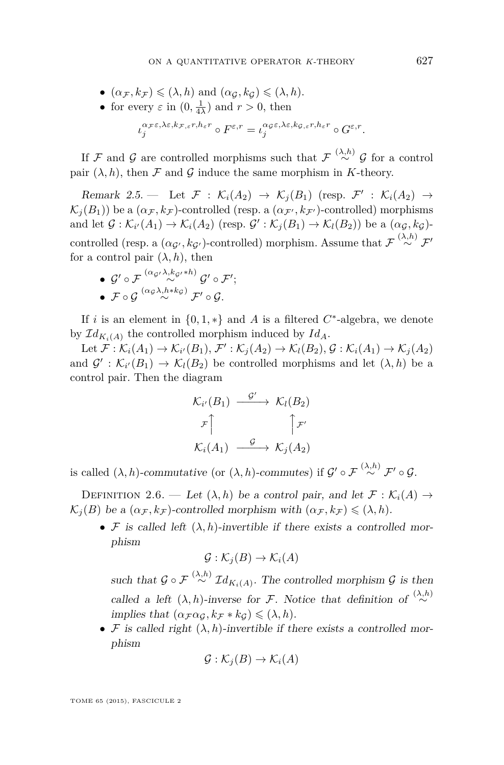- <span id="page-23-0"></span>•  $(\alpha_{\mathcal{F}}, k_{\mathcal{F}}) \leqslant (\lambda, h)$  and  $(\alpha_{\mathcal{G}}, k_{\mathcal{G}}) \leqslant (\lambda, h)$ .
- for every  $\varepsilon$  in  $(0, \frac{1}{4\lambda})$  and  $r > 0$ , then

$$
\iota_j^{\alpha_{\mathcal{F}} \varepsilon, \lambda \varepsilon, k_{\mathcal{F},\varepsilon} r, h_\varepsilon r} \circ F^{\varepsilon,r} = \iota_j^{\alpha_{\mathcal{G}} \varepsilon, \lambda \varepsilon, k_{\mathcal{G},\varepsilon} r, h_\varepsilon r} \circ G^{\varepsilon,r}.
$$

If  $\mathcal F$  and  $\mathcal G$  are controlled morphisms such that  $\mathcal F \stackrel{(\lambda,h)}{\sim} \mathcal G$  for a control pair  $(\lambda, h)$ , then F and G induce the same morphism in K-theory.

Remark 2.5. — Let  $\mathcal{F}$  :  $\mathcal{K}_i(A_2) \rightarrow \mathcal{K}_j(B_1)$  (resp.  $\mathcal{F}'$  :  $\mathcal{K}_i(A_2) \rightarrow$  $\mathcal{K}_i(B_1)$ ) be a  $(\alpha_F, k_F)$ -controlled (resp. a  $(\alpha_{F'}, k_{F'})$ -controlled) morphisms and let  $\mathcal{G}: \mathcal{K}_{i'}(A_1) \to \mathcal{K}_i(A_2)$  (resp.  $\mathcal{G}': \mathcal{K}_j(B_1) \to \mathcal{K}_l(B_2)$ ) be a  $(\alpha_{\mathcal{G}}, k_{\mathcal{G}})$ controlled (resp. a  $(\alpha_{\mathcal{G}'}, k_{\mathcal{G}'})$ -controlled) morphism. Assume that  $\mathcal{F} \stackrel{(\lambda, h)}{\sim} \mathcal{F}'$ for a control pair  $(\lambda, h)$ , then

- ${\cal G}'\circ {\cal F} \stackrel{(\alpha_{{\cal G}'}}{\sim} ^{\lambda,k_{{\cal G}'}*h)}{\sim} {\cal G}'\circ {\cal F}';$
- F G (*α*<sup>G</sup> *λ,h*∗*k*<sup>G</sup> ) ∼ F<sup>0</sup> G*.*

If *i* is an element in  $\{0,1,*\}$  and *A* is a filtered  $C^*$ -algebra, we denote by  $\mathcal{I}d_{K_i(A)}$  the controlled morphism induced by  $Id_A$ .

Let  $\mathcal{F}: \mathcal{K}_i(A_1) \to \mathcal{K}_{i'}(B_1), \mathcal{F}': \mathcal{K}_j(A_2) \to \mathcal{K}_l(B_2), \mathcal{G}: \mathcal{K}_i(A_1) \to \mathcal{K}_j(A_2)$ and  $\mathcal{G}' : \mathcal{K}_{i'}(B_1) \to \mathcal{K}_l(B_2)$  be controlled morphisms and let  $(\lambda, h)$  be a control pair. Then the diagram

$$
\begin{aligned}\n\mathcal{K}_{i'}(B_1) & \xrightarrow{\mathcal{G}'} & \mathcal{K}_l(B_2) \\
\downarrow^{\mathcal{F}} & \uparrow^{\mathcal{F}} \\
\mathcal{K}_i(A_1) & \xrightarrow{\mathcal{G}} & \mathcal{K}_j(A_2)\n\end{aligned}
$$

is called  $(\lambda, h)$ -commutative (or  $(\lambda, h)$ -commutes) if  $\mathcal{G}' \circ \mathcal{F} \stackrel{(\lambda, h)}{\sim} \mathcal{F}' \circ \mathcal{G}$ .

DEFINITION 2.6. — Let  $(\lambda, h)$  be a control pair, and let  $\mathcal{F}: \mathcal{K}_i(A) \to$  $\mathcal{K}_j(B)$  be a  $(\alpha_{\mathcal{F}}, k_{\mathcal{F}})$ -controlled morphism with  $(\alpha_{\mathcal{F}}, k_{\mathcal{F}}) \leq (\lambda, h)$ .

•  $\mathcal F$  is called left  $(\lambda, h)$ -invertible if there exists a controlled morphism

$$
\mathcal{G} : \mathcal{K}_j(B) \to \mathcal{K}_i(A)
$$

such that  $\mathcal{G} \circ \mathcal{F} \stackrel{(\lambda,h)}{\sim} \mathcal{I} d_{K_i(A)}$ . The controlled morphism  $\mathcal{G}$  is then called a left  $(\lambda, h)$ -inverse for F. Notice that definition of  $\stackrel{(\lambda, h)}{\sim}$ implies that  $(\alpha_{\mathcal{F}} \alpha_{\mathcal{G}}, k_{\mathcal{F}} * k_{\mathcal{G}}) \leq (\lambda, h)$ .

• F is called right  $(\lambda, h)$ -invertible if there exists a controlled morphism

$$
\mathcal{G} : \mathcal{K}_j(B) \to \mathcal{K}_i(A)
$$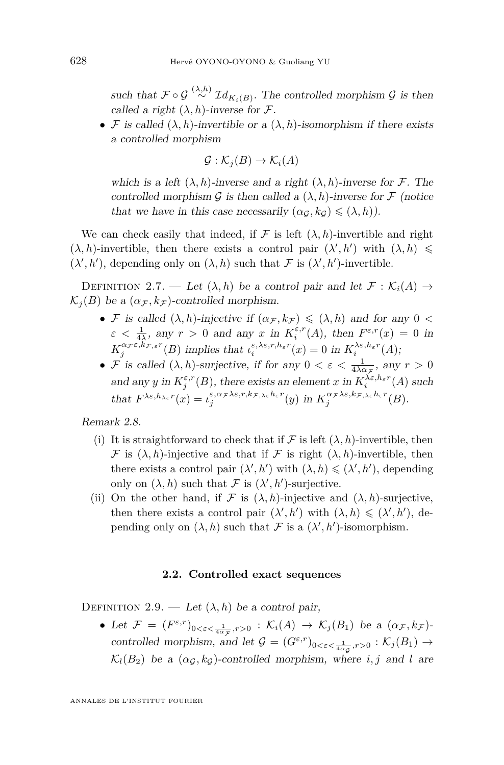<span id="page-24-0"></span>such that  $\mathcal{F} \circ \mathcal{G} \stackrel{(\lambda,h)}{\sim} \mathcal{I}d_{K_i(B)}$ . The controlled morphism  $\mathcal{G}$  is then called a right  $(\lambda, h)$ -inverse for  $\mathcal{F}$ .

• F is called  $(\lambda, h)$ -invertible or a  $(\lambda, h)$ -isomorphism if there exists a controlled morphism

$$
\mathcal{G} : \mathcal{K}_j(B) \to \mathcal{K}_i(A)
$$

which is a left  $(\lambda, h)$ -inverse and a right  $(\lambda, h)$ -inverse for F. The controlled morphism G is then called a  $(\lambda, h)$ -inverse for F (notice that we have in this case necessarily  $(\alpha_G, k_G) \leq (\lambda, h)$ ).

We can check easily that indeed, if  $\mathcal F$  is left  $(\lambda, h)$ -invertible and right  $(\lambda, h)$ -invertible, then there exists a control pair  $(\lambda', h')$  with  $(\lambda, h) \leq$  $(\lambda', h')$ , depending only on  $(\lambda, h)$  such that F is  $(\lambda', h')$ -invertible.

DEFINITION 2.7. — Let  $(\lambda, h)$  be a control pair and let  $\mathcal{F}: \mathcal{K}_i(A) \to$  $\mathcal{K}_i(B)$  be a  $(\alpha_{\mathcal{F}}, k_{\mathcal{F}})$ -controlled morphism.

- F is called  $(\lambda, h)$ -injective if  $(\alpha_{\mathcal{F}}, k_{\mathcal{F}}) \leq (\lambda, h)$  and for any  $0 <$  $\varepsilon < \frac{1}{4\lambda}$ , any  $r > 0$  and any *x* in  $K_i^{\varepsilon,r}(A)$ , then  $F^{\varepsilon,r}(x) = 0$  in  $K_j^{\alpha, \pi, \varepsilon, k, \pi, \varepsilon}$ <sup>*f*</sup>(*B*) implies that  $\iota_i^{\varepsilon, \lambda \varepsilon, r, h_\varepsilon r}(x) = 0$  in  $K_i^{\lambda \varepsilon, h_\varepsilon r}(A)$ ;
- *F* is called  $(\lambda, h)$ -surjective, if for any  $0 < \varepsilon < \frac{1}{4\lambda\alpha_{\mathcal{F}}},$  any  $r > 0$ and any *y* in  $K_j^{\varepsilon,r}(B)$ , there exists an element *x* in  $K_i^{\lambda \varepsilon, h_\varepsilon r}(A)$  such that  $F^{\lambda \varepsilon, h_{\lambda \varepsilon}r}(x) = \iota_j^{\varepsilon, \alpha_{\mathcal{F}}\lambda \varepsilon, r, k_{\mathcal{F},\lambda \varepsilon}h_{\varepsilon}r}(y)$  in  $K_j^{\alpha_{\mathcal{F}}\lambda \varepsilon, k_{\mathcal{F},\lambda \varepsilon}h_{\varepsilon}r}(B)$ .

Remark 2.8.

- (i) It is straightforward to check that if  $\mathcal F$  is left  $(\lambda, h)$ -invertible, then F is  $(\lambda, h)$ -injective and that if F is right  $(\lambda, h)$ -invertible, then there exists a control pair  $(\lambda', h')$  with  $(\lambda, h) \leq (\lambda', h')$ , depending only on  $(\lambda, h)$  such that F is  $(\lambda', h')$ -surjective.
- (ii) On the other hand, if  $\mathcal F$  is  $(\lambda, h)$ -injective and  $(\lambda, h)$ -surjective, then there exists a control pair  $(\lambda', h')$  with  $(\lambda, h) \leq (\lambda', h')$ , depending only on  $(\lambda, h)$  such that F is a  $(\lambda', h')$ -isomorphism.

#### **2.2. Controlled exact sequences**

DEFINITION 2.9. — Let  $(\lambda, h)$  be a control pair,

• Let  $\mathcal{F} = (F^{\varepsilon,r})_{0<\varepsilon<\frac{1}{4\alpha\pi},r>0} : \mathcal{K}_i(A) \to \mathcal{K}_j(B_1)$  be a  $(\alpha_{\mathcal{F}}, k_{\mathcal{F}})$ - $\text{controlled morphism, and let } \mathcal{G} = (G^{\varepsilon,r})_{0 < \varepsilon < \frac{1}{4\alpha_{\mathcal{G}}}, r > 0} : \mathcal{K}_j(B_1) \to$  $\mathcal{K}_l(B_2)$  be a  $(\alpha_{\mathcal{G}}, k_{\mathcal{G}})$ -controlled morphism, where *i, j* and *l* are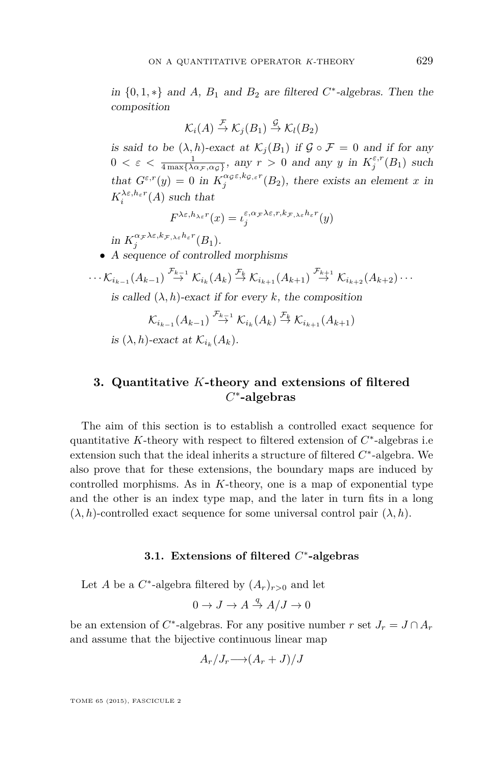<span id="page-25-0"></span>in  $\{0, 1, *\}$  and  $A$ ,  $B_1$  and  $B_2$  are filtered  $C^*$ -algebras. Then the composition

$$
\mathcal{K}_i(A) \stackrel{\mathcal{F}}{\rightarrow} \mathcal{K}_j(B_1) \stackrel{\mathcal{G}}{\rightarrow} \mathcal{K}_l(B_2)
$$

is said to be  $(\lambda, h)$ -exact at  $\mathcal{K}_j(B_1)$  if  $\mathcal{G} \circ \mathcal{F} = 0$  and if for any  $0 < \varepsilon < \frac{1}{4 \max\{\lambda \alpha \tau, \alpha \sigma\}}, \text{ any } r > 0 \text{ and any } y \text{ in } K_j^{\varepsilon, r}(B_1) \text{ such}$ that  $G^{\varepsilon,r}(y) = 0$  in  $K_j^{\alpha_{\mathcal{G}}\varepsilon,k_{\mathcal{G},\varepsilon}r}(B_2)$ , there exists an element *x* in  $K_i^{\lambda \varepsilon, h_\varepsilon r}(A)$  such that

$$
F^{\lambda \varepsilon, h_{\lambda \varepsilon}r}(x) = \iota_j^{\varepsilon, \alpha_{\mathcal{F}}\lambda \varepsilon, r, k_{\mathcal{F},\lambda \varepsilon}h_{\varepsilon}r}(y)
$$

 $\inf_{j} K_j^{\alpha_{\mathcal{F}} \lambda \varepsilon, k_{\mathcal{F},\lambda \varepsilon} h_{\varepsilon} r}(B_1).$ 

• A sequence of controlled morphisms

$$
\cdots \mathcal{K}_{i_{k-1}}(A_{k-1}) \stackrel{\mathcal{F}_{k-1}}{\rightarrow} \mathcal{K}_{i_k}(A_k) \stackrel{\mathcal{F}_k}{\rightarrow} \mathcal{K}_{i_{k+1}}(A_{k+1}) \stackrel{\mathcal{F}_{k+1}}{\rightarrow} \mathcal{K}_{i_{k+2}}(A_{k+2}) \cdots
$$
  
is called  $(\lambda, h)$ -exact if for every k, the composition

$$
\mathcal{K}_{i_{k-1}}(A_{k-1}) \stackrel{\mathcal{F}_{k-1}}{\to} \mathcal{K}_{i_k}(A_k) \stackrel{\mathcal{F}_k}{\to} \mathcal{K}_{i_{k+1}}(A_{k+1})
$$

is  $(\lambda, h)$ -exact at  $\mathcal{K}_{i_k}(A_k)$ .

# **3. Quantitative** *K***-theory and extensions of filtered** *C* ∗ **-algebras**

The aim of this section is to establish a controlled exact sequence for quantitative *K*-theory with respect to filtered extension of *C* ∗ -algebras i.e extension such that the ideal inherits a structure of filtered  $C^*$ -algebra. We also prove that for these extensions, the boundary maps are induced by controlled morphisms. As in *K*-theory, one is a map of exponential type and the other is an index type map, and the later in turn fits in a long  $(\lambda, h)$ -controlled exact sequence for some universal control pair  $(\lambda, h)$ .

## **3.1. Extensions of filtered** *C* ∗ **-algebras**

Let *A* be a  $C^*$ -algebra filtered by  $(A_r)_{r>0}$  and let

$$
0 \to J \to A \stackrel{q}{\to} A/J \to 0
$$

be an extension of  $C^*$ -algebras. For any positive number  $r$  set  $J_r = J \cap A_r$ and assume that the bijective continuous linear map

$$
A_r/J_r \longrightarrow (A_r+J)/J
$$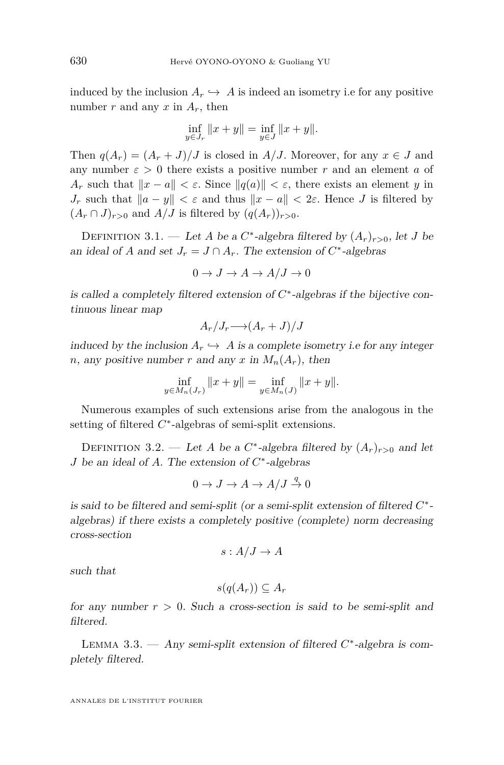induced by the inclusion  $A_r \hookrightarrow A$  is indeed an isometry i.e for any positive number  $r$  and any  $x$  in  $A_r$ , then

$$
\inf_{y \in J_r} ||x + y|| = \inf_{y \in J} ||x + y||.
$$

Then  $q(A_r) = (A_r + J)/J$  is closed in *A/J*. Moreover, for any  $x \in J$  and any number  $\varepsilon > 0$  there exists a positive number *r* and an element *a* of *A<sub>r</sub>* such that  $||x - a|| < \varepsilon$ . Since  $||q(a)|| < \varepsilon$ , there exists an element *y* in *J<sub>r</sub>* such that  $||a - y|| < \varepsilon$  and thus  $||x - a|| < 2\varepsilon$ . Hence *J* is filtered by  $(A_r \cap J)_{r>0}$  and  $A/J$  is filtered by  $(q(A_r))_{r>0}$ .

DEFINITION 3.1. — Let *A* be a  $C^*$ -algebra filtered by  $(A_r)_{r>0}$ , let *J* be an ideal of *A* and set  $J_r = J \cap A_r$ . The extension of  $C^*$ -algebras

$$
0 \to J \to A \to A/J \to 0
$$

is called a completely filtered extension of *C* ∗ -algebras if the bijective continuous linear map

$$
A_r/J_r \longrightarrow (A_r+J)/J
$$

induced by the inclusion  $A_r \hookrightarrow A$  is a complete isometry i.e for any integer *n*, any positive number *r* and any *x* in  $M_n(A_r)$ , then

$$
\inf_{y \in M_n(J_r)} \|x + y\| = \inf_{y \in M_n(J)} \|x + y\|.
$$

Numerous examples of such extensions arise from the analogous in the setting of filtered  $C^*$ -algebras of semi-split extensions.

DEFINITION 3.2. — Let *A* be a  $C^*$ -algebra filtered by  $(A_r)_{r>0}$  and let *J* be an ideal of *A*. The extension of *C* ∗ -algebras

$$
0 \to J \to A \to A/J \stackrel{q}{\to} 0
$$

is said to be filtered and semi-split (or a semi-split extension of filtered *C* ∗ algebras) if there exists a completely positive (complete) norm decreasing cross-section

$$
s: A/J \to A
$$

such that

$$
s(q(A_r)) \subseteq A_r
$$

for any number  $r > 0$ . Such a cross-section is said to be semi-split and filtered.

LEMMA 3.3. — Any semi-split extension of filtered  $C^*$ -algebra is completely filtered.

<span id="page-26-0"></span>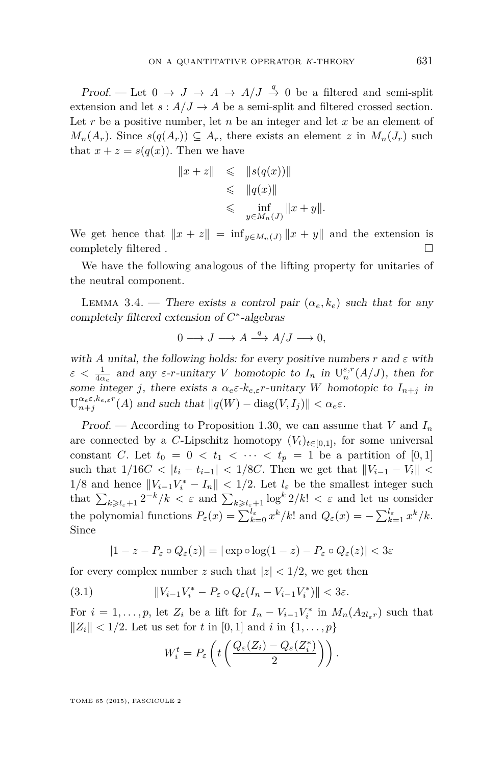<span id="page-27-0"></span>Proof. — Let  $0 \to J \to A \to A/J \stackrel{q}{\to} 0$  be a filtered and semi-split extension and let  $s: A/J \to A$  be a semi-split and filtered crossed section. Let r be a positive number, let n be an integer and let x be an element of  $M_n(A_r)$ . Since  $s(q(A_r)) \subseteq A_r$ , there exists an element *z* in  $M_n(J_r)$  such that  $x + z = s(q(x))$ . Then we have

$$
||x+z|| \leq ||s(q(x))||
$$
  
\n
$$
\leq ||q(x)||
$$
  
\n
$$
\leq \inf_{y \in M_n(J)} ||x+y||.
$$

We get hence that  $||x + z|| = \inf_{y \in M_n(J)} ||x + y||$  and the extension is completely filtered .  $\Box$ 

We have the following analogous of the lifting property for unitaries of the neutral component.

LEMMA 3.4. — There exists a control pair  $(\alpha_e, k_e)$  such that for any completely filtered extension of *C* ∗ -algebras

$$
0 \longrightarrow J \longrightarrow A \stackrel{q}{\longrightarrow} A/J \longrightarrow 0,
$$

with *A* unital, the following holds: for every positive numbers  $r$  and  $\varepsilon$  with  $\varepsilon < \frac{1}{4\alpha_e}$  and any  $\varepsilon$ -*r*-unitary *V* homotopic to  $I_n$  in  $U_n^{\varepsilon,r}(A/J)$ , then for some integer *j*, there exists a  $\alpha_e \varepsilon \cdot k_{e,\varepsilon} r$ -unitary *W* homotopic to  $I_{n+j}$  in  $U_{n+j}^{\alpha_e \varepsilon, k_{e,\varepsilon}r}(A)$  and such that  $||q(W) - \text{diag}(V, I_j)|| < \alpha_e \varepsilon$ .

Proof. — According to Proposition [1.30,](#page-18-0) we can assume that *V* and  $I_n$ are connected by a *C*-Lipschitz homotopy  $(V_t)_{t\in[0,1]}$ , for some universal constant *C*. Let  $t_0 = 0 < t_1 < \cdots < t_p = 1$  be a partition of [0,1] such that  $1/16C < |t_i - t_{i-1}| < 1/8C$ . Then we get that  $||V_{i-1} - V_i|| <$ 1/8 and hence  $||V_{i-1}V_i^* - I_n||$  < 1/2. Let  $l_\varepsilon$  be the smallest integer such that  $\sum_{k\geqslant l_{\varepsilon}+1} 2^{-k}/k < \varepsilon$  and  $\sum_{k\geqslant l_{\varepsilon}+1} \log^k 2/k! < \varepsilon$  and let us consider the polynomial functions  $P_{\varepsilon}(x) = \sum_{k=0}^{l_{\varepsilon}} x^{k}/k!$  and  $Q_{\varepsilon}(x) = -\sum_{k=1}^{l_{\varepsilon}} x^{k}/k$ . Since

$$
|1 - z - P_{\varepsilon} \circ Q_{\varepsilon}(z)| = |\exp \circ \log(1 - z) - P_{\varepsilon} \circ Q_{\varepsilon}(z)| < 3\varepsilon
$$

for every complex number *z* such that  $|z| < 1/2$ , we get then

(3.1) 
$$
||V_{i-1}V_i^* - P_{\varepsilon} \circ Q_{\varepsilon}(I_n - V_{i-1}V_i^*)|| < 3\varepsilon.
$$

For  $i = 1, \ldots, p$ , let  $Z_i$  be a lift for  $I_n - V_{i-1}V_i^*$  in  $M_n(A_{2l_{\varepsilon}r})$  such that  $||Z_i|| < 1/2$ . Let us set for *t* in [0, 1] and *i* in  $\{1, ..., p\}$ 

$$
W_i^t = P_{\varepsilon}\left(t\left(\frac{Q_{\varepsilon}(Z_i) - Q_{\varepsilon}(Z_i^*)}{2}\right)\right).
$$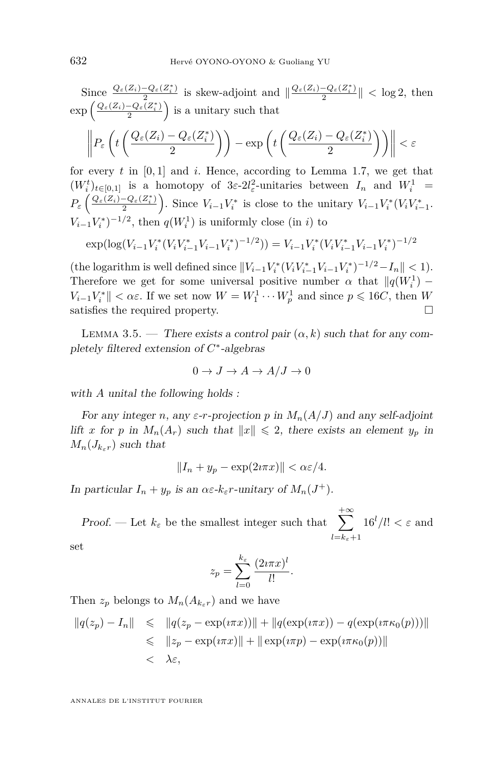<span id="page-28-0"></span>Since 
$$
\frac{Q_{\varepsilon}(Z_i) - Q_{\varepsilon}(Z_i^*)}{2}
$$
 is skew-adjoint and  $\|\frac{Q_{\varepsilon}(Z_i) - Q_{\varepsilon}(Z_i^*)}{2}\| < \log 2$ , then  
\n $\exp\left(\frac{Q_{\varepsilon}(Z_i) - Q_{\varepsilon}(Z_i^*)}{2}\right)$  is a unitary such that\n
$$
\left\|P_{\varepsilon}\left(t\left(\frac{Q_{\varepsilon}(Z_i) - Q_{\varepsilon}(Z_i^*)}{2}\right)\right) - \exp\left(t\left(\frac{Q_{\varepsilon}(Z_i) - Q_{\varepsilon}(Z_i^*)}{2}\right)\right)\right\| < \varepsilon
$$
\nfor every *t* in [0, 1] and *i*. Hence, according to Lemma 1.7, we get that

for every  $t$  in  $[0,1]$  and  $i$ . Hence, according to Lemma [1.7,](#page-7-0) we get that  $(W_i^t)_{t \in [0,1]}$  is a homotopy of  $3\varepsilon - 2l_\varepsilon^2$ -unitaries between  $I_n$  and  $W_i^1$  =  $P_{\varepsilon}\left(\frac{Q_{\varepsilon}(Z_i)-Q_{\varepsilon}(Z_i^*)}{2}\right)$  $\left[\frac{-Q_{\varepsilon}(Z_i^*)}{2}\right)$ . Since  $V_{i-1}V_i^*$  is close to the unitary  $V_{i-1}V_i^*(V_iV_{i-1}^*)$ .  $V_{i-1}V_i^*$ <sup> $-1/2$ </sup>, then  $q(W_i^1)$  is uniformly close (in *i*) to

$$
\exp(\log(V_{i-1}V_i^*(V_iV_{i-1}^*V_{i-1}V_i^*)^{-1/2})) = V_{i-1}V_i^*(V_iV_{i-1}^*V_{i-1}V_i^*)^{-1/2}
$$

 $(\text{the logarithm is well defined since } ||V_{i-1}V_i^*(V_iV_{i-1}^*V_{i-1}V_i^*)^{-1/2} - I_n || < 1$ . Therefore we get for some universal positive number  $\alpha$  that  $\|q(W_i^1) V_{i-1}V_i^*$  | <  $\alpha\varepsilon$ . If we set now  $W = W_1^1 \cdots W_p^1$  and since  $p \leq 16C$ , then *W* satisfies the required property.  $\hfill \square$ 

LEMMA 3.5. — There exists a control pair  $(\alpha, k)$  such that for any completely filtered extension of *C* ∗ -algebras

$$
0 \to J \to A \to A/J \to 0
$$

with *A* unital the following holds :

For any integer *n*, any  $\varepsilon$ -*r*-projection *p* in  $M_n(A/J)$  and any self-adjoint lift *x* for *p* in  $M_n(A_r)$  such that  $||x|| \le 2$ , there exists an element  $y_p$  in  $M_n(J_{k+r})$  such that

$$
||I_n + y_p - \exp(2i\pi x)|| < \alpha \varepsilon / 4.
$$

In particular  $I_n + y_p$  is an  $\alpha \varepsilon \cdot k_\varepsilon r$ -unitary of  $M_n(J^+)$ .

Proof. — Let  $k_{\varepsilon}$  be the smallest integer such that  $\sum_{\varepsilon}^{+\infty}$ *l*=*kε*+1  $16^l/l! < \varepsilon$  and

set

$$
z_p = \sum_{l=0}^{k_{\varepsilon}} \frac{(2i\pi x)^l}{l!}
$$

*.*

Then  $z_p$  belongs to  $M_n(A_{k_\varepsilon r})$  and we have

$$
||q(z_p) - I_n|| \le ||q(z_p - \exp(i\pi x))|| + ||q(\exp(i\pi x)) - q(\exp(i\pi \kappa_0(p)))||
$$
  
\n
$$
\le ||z_p - \exp(i\pi x)|| + ||\exp(i\pi p) - \exp(i\pi \kappa_0(p))||
$$
  
\n
$$
< \lambda \varepsilon,
$$

ANNALES DE L'INSTITUT FOURIER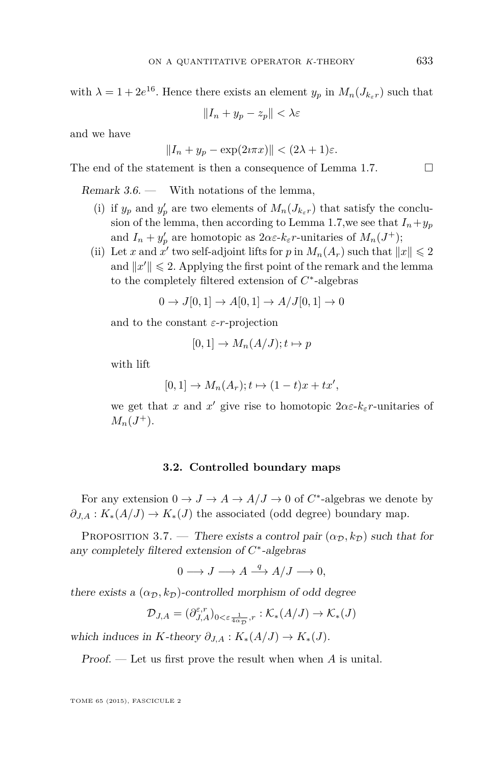<span id="page-29-0"></span>with  $\lambda = 1 + 2e^{16}$ . Hence there exists an element  $y_p$  in  $M_n(J_{k_\varepsilon r})$  such that

$$
||I_n + y_p - z_p|| < \lambda \varepsilon
$$

and we have

$$
||I_n + y_p - \exp(2i\pi x)|| < (2\lambda + 1)\varepsilon.
$$

The end of the statement is then a consequence of Lemma [1.7.](#page-7-0)  $\Box$ 

Remark  $3.6.$  — With notations of the lemma.

- (i) if  $y_p$  and  $y'_p$  are two elements of  $M_n(J_{k_\varepsilon r})$  that satisfy the conclu-sion of the lemma, then according to Lemma [1.7,](#page-7-0) we see that  $I_n + y_p$ and  $I_n + y'_p$  are homotopic as  $2\alpha \varepsilon \cdot k_\varepsilon r$ -unitaries of  $M_n(J^+)$ ;
- (ii) Let *x* and  $x'$  two self-adjoint lifts for *p* in  $M_n(A_r)$  such that  $||x|| \leq 2$ and  $||x'|| \leq 2$ . Applying the first point of the remark and the lemma to the completely filtered extension of *C* ∗ -algebras

$$
0 \to J[0,1] \to A[0,1] \to A/J[0,1] \to 0
$$

and to the constant *ε*-*r*-projection

$$
[0,1] \to M_n(A/J); t \mapsto p
$$

with lift

$$
[0,1] \to M_n(A_r); t \mapsto (1-t)x + tx',
$$

we get that *x* and *x'* give rise to homotopic  $2\alpha \varepsilon$ - $k_{\varepsilon}$ *r*-unitaries of  $M_n(J^+).$ 

#### **3.2. Controlled boundary maps**

For any extension  $0 \to J \to A \to A/J \to 0$  of  $C^*$ -algebras we denote by  $\partial_{J,A}: K_*(A/J) \to K_*(J)$  the associated (odd degree) boundary map.

PROPOSITION 3.7. — There exists a control pair  $(\alpha_{\mathcal{D}}, k_{\mathcal{D}})$  such that for any completely filtered extension of *C* ∗ -algebras

$$
0 \longrightarrow J \longrightarrow A \stackrel{q}{\longrightarrow} A/J \longrightarrow 0,
$$

there exists a  $(\alpha_{\mathcal{D}}, k_{\mathcal{D}})$ -controlled morphism of odd degree

$$
\mathcal{D}_{J, A} = (\partial_{J, A}^{\varepsilon, r})_{0 < \varepsilon \frac{1}{4\alpha_{\mathcal{D}}}, r} : \mathcal{K}_*(A/J) \to \mathcal{K}_*(J)
$$

which induces in *K*-theory  $\partial_{J,A}: K_*(A/J) \to K_*(J)$ .

Proof. — Let us first prove the result when when *A* is unital.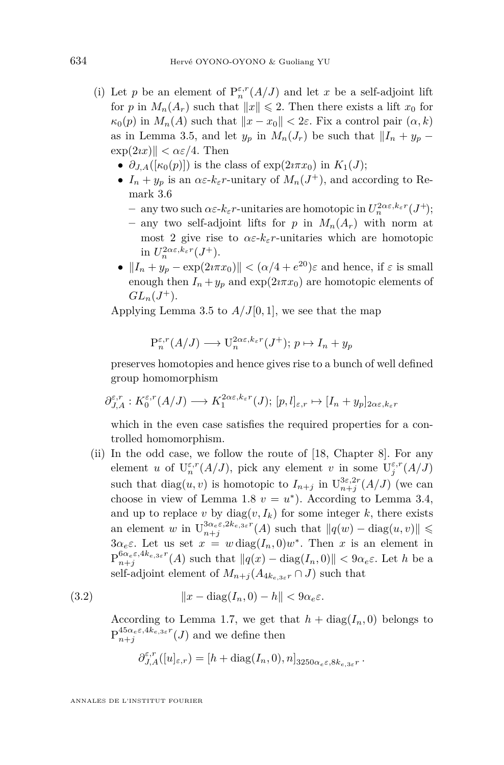- <span id="page-30-0"></span>(i) Let  $p$  be an element of  $\mathrm{P}^{\varepsilon,r}_n(A/J)$  and let  $x$  be a self-adjoint lift for *p* in  $M_n(A_r)$  such that  $||x|| \le 2$ . Then there exists a lift  $x_0$  for  $\kappa_0(p)$  in  $M_n(A)$  such that  $||x - x_0|| < 2\varepsilon$ . Fix a control pair  $(\alpha, k)$ as in Lemma [3.5,](#page-28-0) and let  $y_p$  in  $M_n(J_r)$  be such that  $||I_n + y_p \exp(2ix)$   $\leq \alpha \varepsilon/4$ . Then
	- $\partial_{JA}([\kappa_0(p)])$  is the class of  $\exp(2i\pi x_0)$  in  $K_1(J)$ ;
	- $I_n + y_p$  is an  $\alpha \varepsilon$ - $k_{\varepsilon} r$ -unitary of  $M_n(J^+)$ , and according to Remark [3.6](#page-29-0)
		- $-\infty$  *any two such*  $\alpha \varepsilon$ *-* $k_{\varepsilon}$ *r***-unitaries are homotopic in**  $U_n^{2\alpha\varepsilon, k_{\varepsilon}r}(J^+)$ **;**
		- **–** any two self-adjoint lifts for *p* in *Mn*(*Ar*) with norm at most 2 give rise to  $\alpha \varepsilon$ - $k_{\varepsilon}$ *r*-unitaries which are homotopic in  $U_n^{2\alpha\varepsilon, k_\varepsilon r}(J^+).$
	- $||I_n + y_p \exp(2i\pi x_0)|| < (\alpha/4 + e^{20})\varepsilon$  and hence, if  $\varepsilon$  is small enough then  $I_n + y_p$  and  $\exp(2i\pi x_0)$  are homotopic elements of  $GL_n(J^+).$

Applying Lemma [3.5](#page-28-0) to  $A/J[0,1]$ , we see that the map

$$
P_n^{\varepsilon,r}(A/J) \longrightarrow U_n^{2\alpha\varepsilon,k_{\varepsilon}r}(J^+); \ p \mapsto I_n + y_p
$$

preserves homotopies and hence gives rise to a bunch of well defined group homomorphism

$$
\partial_{J,A}^{\varepsilon,r}: K_0^{\varepsilon,r}(A/J) \longrightarrow K_1^{2\alpha\varepsilon,k_\varepsilon}f}(J); [p,l]_{\varepsilon,r} \mapsto [I_n+y_p]_{2\alpha\varepsilon,k_\varepsilon}f
$$

which in the even case satisfies the required properties for a controlled homomorphism.

(ii) In the odd case, we follow the route of [\[18,](#page-69-0) Chapter 8]. For any element *u* of  $U_n^{\varepsilon,r}(A/J)$ , pick any element *v* in some  $U_j^{\varepsilon,r}(A/J)$ such that  $diag(u, v)$  is homotopic to  $I_{n+j}$  in  $U_{n+j}^{3\varepsilon, 2r}(A/J)$  (we can choose in view of Lemma [1.8](#page-7-0)  $v = u^*$ ). According to Lemma [3.4,](#page-27-0) and up to replace *v* by  $diag(v, I_k)$  for some integer *k*, there exists an element *w* in  $U_{n+j}^{3\alpha_{e}\varepsilon,2k_{e,3\varepsilon}r}(A)$  such that  $||q(w) - \text{diag}(u, v)|| \leq$ 3α<sub>e</sub>ε. Let us set  $x = w \operatorname{diag}(I_n, 0)w^*$ . Then *x* is an element in  $P_{n+j}^{6\alpha_e \varepsilon, 4k_e, 3\varepsilon^r}(A)$  such that  $||q(x) - \text{diag}(I_n, 0)|| < 9\alpha_e \varepsilon$ . Let *h* be a self-adjoint element of  $M_{n+j}(A_{4k_{e,3}*T} \cap J)$  such that

(3.2) 
$$
||x - \text{diag}(I_n, 0) - h|| < 9\alpha_e \varepsilon.
$$

According to Lemma [1.7,](#page-7-0) we get that  $h + \text{diag}(I_n, 0)$  belongs to  $P_{n+j}^{45\alpha_e\varepsilon,4k_e,3\varepsilon}$ <sup>*r*</sup>(*J*) and we define then

$$
\partial_{J,A}^{\varepsilon,r}([u]_{\varepsilon,r}) = [h + \text{diag}(I_n,0),n]_{3250\alpha_{\varepsilon}\varepsilon,8k_{\varepsilon,3\varepsilon}r}.
$$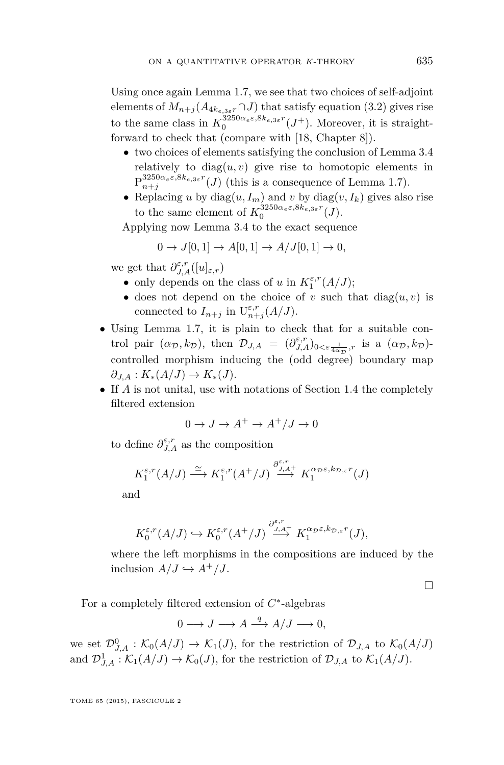Using once again Lemma [1.7,](#page-7-0) we see that two choices of self-adjoint elements of  $M_{n+j}(A_{4k_{e,3\varepsilon}r}\cap J)$  that satisfy equation [\(3.2\)](#page-30-0) gives rise to the same class in  $K_0^{3250\alpha_e\varepsilon,8k_e,3\varepsilon}r(J^+)$ . Moreover, it is straightforward to check that (compare with [\[18,](#page-69-0) Chapter 8]).

- two choices of elements satisfying the conclusion of Lemma [3.4](#page-27-0) relatively to  $diag(u, v)$  give rise to homotopic elements in  $P^{3250\alpha_e\varepsilon,8k_{e,3\varepsilon}r}_{n+j}(J)$  (this is a consequence of Lemma [1.7\)](#page-7-0).
- Replacing *u* by diag $(u, I_m)$  and *v* by diag $(v, I_k)$  gives also rise to the same element of  $K_0^{3250\alpha_e\varepsilon,8k_{e,3\varepsilon}r}(J)$ .

Applying now Lemma [3.4](#page-27-0) to the exact sequence

$$
0 \to J[0,1] \to A[0,1] \to A/J[0,1] \to 0,
$$

we get that  $\partial_{J,A}^{\varepsilon,r}([u]_{\varepsilon,r})$ 

- only depends on the class of *u* in  $K_1^{\varepsilon,r}(A/J)$ ;
- does not depend on the choice of  $v$  such that  $diag(u, v)$  is connected to  $I_{n+j}$  in  $U_{n+j}^{\varepsilon,r}(A/J)$ .
- Using Lemma [1.7,](#page-7-0) it is plain to check that for a suitable control pair  $(\alpha_{\mathcal{D}}, k_{\mathcal{D}})$ , then  $\mathcal{D}_{J,A} = (\partial_{J,A}^{\varepsilon,r})_{0<\varepsilon\frac{1}{4\alpha_{\mathcal{D}}},r}$  is a  $(\alpha_{\mathcal{D}}, k_{\mathcal{D}})$ controlled morphism inducing the (odd degree) boundary map  $\partial_{J,A}: K_*(A/J) \to K_*(J).$
- If *A* is not unital, use with notations of Section [1.4](#page-12-0) the completely filtered extension

$$
0 \to J \to A^+ \to A^+/J \to 0
$$

to define  $\partial_{J,A}^{\varepsilon,r}$  as the composition

$$
K_1^{\varepsilon,r}(A/J) \xrightarrow{\cong} K_1^{\varepsilon,r}(A^+/J) \xrightarrow{\partial_{J,A^+}^{\varepsilon,r}} K_1^{\alpha_{\mathcal{D}}\varepsilon,k_{\mathcal{D},\varepsilon}r}(J)
$$

and

$$
K_0^{\varepsilon,r}(A/J) \hookrightarrow K_0^{\varepsilon,r}(A^+/J) \xrightarrow{\partial_{J,A^+}^{\varepsilon,r}} K_1^{\alpha_{\mathcal{D}}\varepsilon,k_{\mathcal{D},\varepsilon}r}(J),
$$

where the left morphisms in the compositions are induced by the inclusion  $A/J \hookrightarrow A^+/J$ .

 $\Box$ 

For a completely filtered extension of *C* ∗ -algebras

$$
0 \longrightarrow J \longrightarrow A \stackrel{q}{\longrightarrow} A/J \longrightarrow 0,
$$

we set  $\mathcal{D}_{J,A}^0$  :  $\mathcal{K}_0(A/J) \to \mathcal{K}_1(J)$ , for the restriction of  $\mathcal{D}_{J,A}$  to  $\mathcal{K}_0(A/J)$ and  $\mathcal{D}_{J,A}^1 : \mathcal{K}_1(A/J) \to \mathcal{K}_0(J)$ , for the restriction of  $\mathcal{D}_{J,A}$  to  $\mathcal{K}_1(A/J)$ .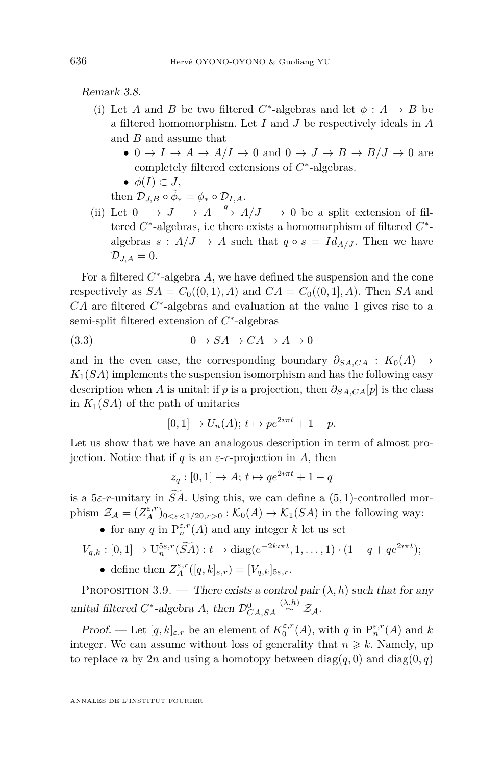<span id="page-32-0"></span>Remark 3.8.

- (i) Let *A* and *B* be two filtered  $C^*$ -algebras and let  $\phi : A \rightarrow B$  be a filtered homomorphism. Let *I* and *J* be respectively ideals in *A* and *B* and assume that
	- $0 \to I \to A \to A/I \to 0$  and  $0 \to J \to B \to B/J \to 0$  are completely filtered extensions of *C* ∗ -algebras.
	- $\bullet$   $\phi(I) \subset J$ ,

then  $\mathcal{D}_{J,B} \circ \tilde{\phi}_* = \phi_* \circ \mathcal{D}_{I,A}.$ 

(ii) Let  $0 \longrightarrow J \longrightarrow A \stackrel{q}{\longrightarrow} A/J \longrightarrow 0$  be a split extension of filtered  $C^*$ -algebras, i.e there exists a homomorphism of filtered  $C^*$ algebras  $s : A/J \to A$  such that  $q \circ s = Id_{A/J}$ . Then we have  $\mathcal{D}_{J,A}=0.$ 

For a filtered *C* ∗ -algebra *A*, we have defined the suspension and the cone respectively as  $SA = C_0((0,1), A)$  and  $CA = C_0((0,1), A)$ . Then *SA* and *CA* are filtered *C*<sup>\*</sup>-algebras and evaluation at the value 1 gives rise to a semi-split filtered extension of  $C^*$ -algebras

$$
(3.3) \t\t 0 \to SA \to CA \to A \to 0
$$

and in the even case, the corresponding boundary  $\partial_{S A, C A} : K_0(A) \rightarrow$  $K_1(SA)$  implements the suspension isomorphism and has the following easy description when *A* is unital: if *p* is a projection, then  $\partial_{S A, C A}[p]$  is the class in  $K_1(SA)$  of the path of unitaries

$$
[0,1] \to U_n(A); t \mapsto pe^{2i\pi t} + 1 - p.
$$

Let us show that we have an analogous description in term of almost projection. Notice that if  $q$  is an  $\varepsilon$ -*r*-projection in  $A$ , then

$$
z_q : [0,1] \to A; t \mapsto qe^{2i\pi t} + 1 - q
$$

is a  $5\varepsilon$ -*r*-unitary in *SA*. Using this, we can define a  $(5, 1)$ -controlled morphism  $\mathcal{Z}_{\mathcal{A}} = (Z_A^{\varepsilon,r})_{0<\varepsilon<1/20,r>0} : \mathcal{K}_0(A) \to \mathcal{K}_1(SA)$  in the following way:

• for any *q* in  $P_n^{\varepsilon,r}(A)$  and any integer *k* let us set

$$
V_{q,k}:[0,1]\to\mathrm{U}_n^{5\varepsilon,r}(\widetilde{SA}):t\mapsto\mathrm{diag}(e^{-2k\imath\pi t},1,\ldots,1)\cdot(1-q+qe^{2\imath\pi t});
$$

• define then  $Z_A^{\varepsilon,r}([q,k]_{\varepsilon,r}) = [V_{q,k}]_{5\varepsilon,r}$ .

PROPOSITION 3.9. — There exists a control pair  $(\lambda, h)$  such that for any unital filtered  $C^*$ -algebra *A*, then  $\mathcal{D}_{CA,SA}^0$  $\stackrel{(\lambda,h)}{\sim} \mathcal{Z}_{\mathcal{A}}.$ 

Proof. — Let  $[q, k]_{\varepsilon,r}$  be an element of  $K_0^{\varepsilon,r}(A)$ , with  $q$  in  $P_n^{\varepsilon,r}(A)$  and  $k$ integer. We can assume without loss of generality that  $n \geq k$ . Namely, up to replace *n* by 2*n* and using a homotopy between  $diag(q, 0)$  and  $diag(0, q)$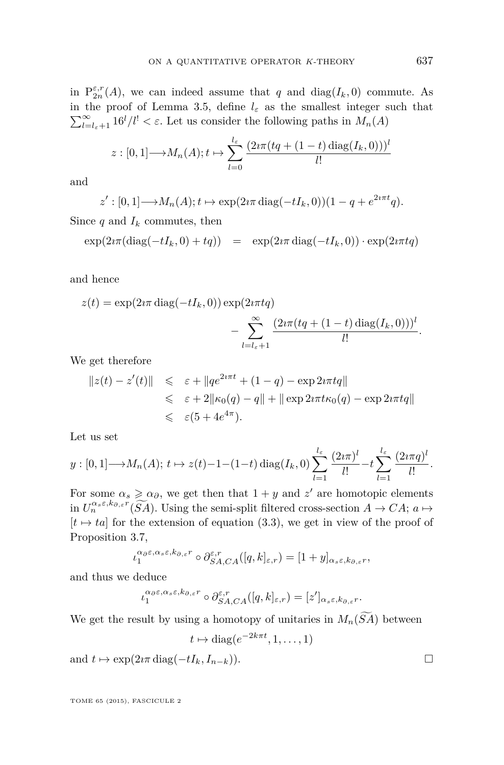in  $P_{2n}^{\epsilon,r}(A)$ , we can indeed assume that *q* and diag( $I_k$ , 0) commute. As in the proof of Lemma [3.5,](#page-28-0) define  $l_{\varepsilon}$  as the smallest integer such that  $\sum_{l=l_{\varepsilon}+1}^{\infty} 16^{l}/l! < \varepsilon$ . Let us consider the following paths in  $M_{n}(A)$ 

$$
z: [0, 1] \longrightarrow M_n(A); t \mapsto \sum_{l=0}^{l_{\varepsilon}} \frac{(2i\pi(tq + (1-t)\operatorname{diag}(I_k, 0)))^{l}}{l!}
$$

and

$$
z': [0,1] \longrightarrow M_n(A); t \mapsto \exp(2i\pi \operatorname{diag}(-tI_k,0))(1-q+e^{2i\pi t}q).
$$

Since  $q$  and  $I_k$  commutes, then

$$
\exp(2i\pi(\text{diag}(-tI_k,0)+tq)) = \exp(2i\pi\,\text{diag}(-tI_k,0)) \cdot \exp(2i\pi tq)
$$

and hence

$$
z(t) = \exp(2i\pi \operatorname{diag}(-tI_k, 0)) \exp(2i\pi tq)
$$

$$
- \sum_{l=l_{\varepsilon}+1}^{\infty} \frac{(2i\pi(tq + (1-t)\operatorname{diag}(I_k, 0)))^{l}}{l!}.
$$

We get therefore

$$
||z(t) - z'(t)|| \leq \varepsilon + ||qe^{2i\pi t} + (1 - q) - \exp(2i\pi t q||
$$
  
\n
$$
\leq \varepsilon + 2||\kappa_0(q) - q|| + ||\exp(2i\pi t \kappa_0(q) - \exp(2i\pi t q||))
$$
  
\n
$$
\leq \varepsilon(5 + 4e^{4\pi}).
$$

Let us set

$$
y:[0,1]\longrightarrow M_n(A); t\mapsto z(t)-1-(1-t)\operatorname{diag}(I_k,0)\sum_{l=1}^{l_{\varepsilon}}\frac{(2\imath\pi)^l}{l!}-t\sum_{l=1}^{l_{\varepsilon}}\frac{(2\imath\pi q)^l}{l!}.
$$

For some  $\alpha_s \geq \alpha_{\partial}$ , we get then that  $1 + y$  and  $z'$  are homotopic elements in  $U_n^{\alpha_s \varepsilon, k_{\partial,\varepsilon}r}(\widetilde{SA})$ . Using the semi-split filtered cross-section  $A \to CA$ ;  $a \mapsto$  $[t \mapsto ta]$  for the extension of equation [\(3.3\)](#page-32-0), we get in view of the proof of Proposition [3.7,](#page-29-0)

$$
\iota_1^{\alpha_\partial\varepsilon,\alpha_s\varepsilon,k_{\partial,\varepsilon}r}\circ \partial_{SA,CA}^{\varepsilon,r}([q,k]_{\varepsilon,r})=[1+y]_{\alpha_s\varepsilon,k_{\partial,\varepsilon}r},
$$

and thus we deduce

$$
\iota_1^{\alpha_{\partial}\varepsilon,\alpha_s\varepsilon,k_{\partial,\varepsilon}r} \circ \partial_{SA,CA}^{\varepsilon,r}([q,k]_{\varepsilon,r}) = [z']_{\alpha_s\varepsilon,k_{\partial,\varepsilon}r}.
$$

We get the result by using a homotopy of unitaries in  $M_n(\widetilde{SA})$  between

$$
t \mapsto \text{diag}(e^{-2k\pi t}, 1, \dots, 1)
$$

and  $t \mapsto \exp(2i\pi \operatorname{diag}(-tI_k, I_{n-k}))$ .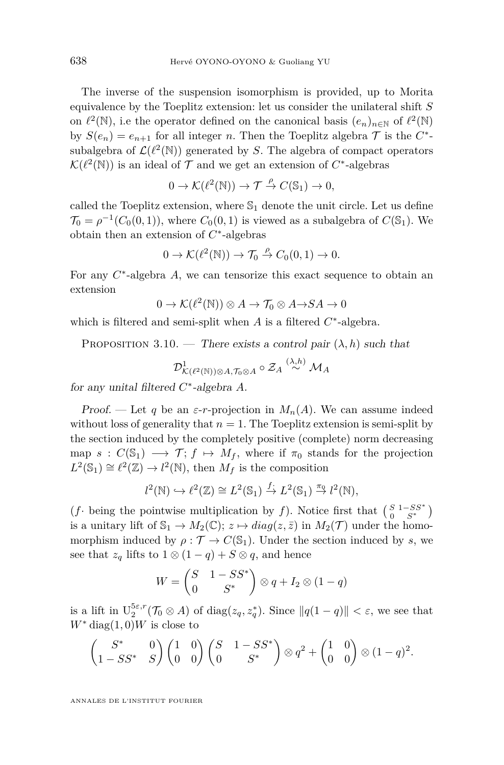<span id="page-34-0"></span>The inverse of the suspension isomorphism is provided, up to Morita equivalence by the Toeplitz extension: let us consider the unilateral shift *S* on  $\ell^2(\mathbb{N})$ , i.e the operator defined on the canonical basis  $(e_n)_{n\in\mathbb{N}}$  of  $\ell^2(\mathbb{N})$ by  $S(e_n) = e_{n+1}$  for all integer *n*. Then the Toeplitz algebra  $\mathcal T$  is the  $C^*$ subalgebra of  $\mathcal{L}(\ell^2(\mathbb{N}))$  generated by *S*. The algebra of compact operators  $\mathcal{K}(\ell^2(\mathbb{N}))$  is an ideal of  $\mathcal T$  and we get an extension of  $C^*$ -algebras

$$
0 \to \mathcal{K}(\ell^2(\mathbb{N})) \to \mathcal{T} \stackrel{\rho}{\to} C(\mathbb{S}_1) \to 0,
$$

called the Toeplitz extension, where  $\mathbb{S}_1$  denote the unit circle. Let us define  $\mathcal{T}_0 = \rho^{-1}(C_0(0,1))$ , where  $C_0(0,1)$  is viewed as a subalgebra of  $C(\mathbb{S}_1)$ . We obtain then an extension of *C* ∗ -algebras

$$
0 \to \mathcal{K}(\ell^2(\mathbb{N})) \to \mathcal{T}_0 \stackrel{\rho}{\to} C_0(0,1) \to 0.
$$

For any  $C^*$ -algebra  $A$ , we can tensorize this exact sequence to obtain an extension

$$
0 \to \mathcal{K}(\ell^2(\mathbb{N})) \otimes A \to \mathcal{T}_0 \otimes A \to SA \to 0
$$

which is filtered and semi-split when  $A$  is a filtered  $C^*$ -algebra.

PROPOSITION 3.10. — There exists a control pair  $(\lambda, h)$  such that

$$
\mathcal{D}^1_{\mathcal{K}(\ell^2(\mathbb{N}))\otimes A,\mathcal{T}_0\otimes A}\circ \mathcal{Z}_A\stackrel{(\lambda,h)}{\sim}\mathcal{M}_A
$$

for any unital filtered *C* ∗ -algebra *A*.

Proof. — Let q be an  $\varepsilon$ -*r*-projection in  $M_n(A)$ . We can assume indeed without loss of generality that  $n = 1$ . The Toeplitz extension is semi-split by the section induced by the completely positive (complete) norm decreasing map  $s : C(\mathbb{S}_1) \longrightarrow \mathcal{T}; f \mapsto M_f$ , where if  $\pi_0$  stands for the projection  $L^2(\mathbb{S}_1) \cong \ell^2(\mathbb{Z}) \to \ell^2(\mathbb{N})$ , then  $M_f$  is the composition

$$
l^2(\mathbb{N}) \hookrightarrow l^2(\mathbb{Z}) \cong L^2(\mathbb{S}_1) \stackrel{f}{\to} L^2(\mathbb{S}_1) \stackrel{\pi_0}{\to} l^2(\mathbb{N}),
$$

 $(f \cdot \text{ being the pointwise multiplication by } f)$ . Notice first that  $\begin{pmatrix} S & 1 - SS^* \\ 0 & S^* \end{pmatrix}$ is a unitary lift of  $\mathbb{S}_1 \to M_2(\mathbb{C})$ ;  $z \mapsto diag(z, \bar{z})$  in  $M_2(\mathcal{T})$  under the homomorphism induced by  $\rho : \mathcal{T} \to C(\mathbb{S}_1)$ . Under the section induced by *s*, we see that  $z_q$  lifts to  $1 \otimes (1 - q) + S \otimes q$ , and hence

$$
W = \begin{pmatrix} S & 1 - SS^* \\ 0 & S^* \end{pmatrix} \otimes q + I_2 \otimes (1 - q)
$$

is a lift in  $U_2^{5\varepsilon,r}(\mathcal{T}_0 \otimes A)$  of  $diag(z_q, z_q^*)$ . Since  $||q(1-q)|| < \varepsilon$ , we see that  $W^*$  diag(1,0)*W* is close to

$$
\begin{pmatrix} S^* & 0 \ 1 - SS^* & S \end{pmatrix} \begin{pmatrix} 1 & 0 \ 0 & 0 \end{pmatrix} \begin{pmatrix} S & 1 - SS^* \ 0 & S^* \end{pmatrix} \otimes q^2 + \begin{pmatrix} 1 & 0 \ 0 & 0 \end{pmatrix} \otimes (1 - q)^2.
$$

ANNALES DE L'INSTITUT FOURIER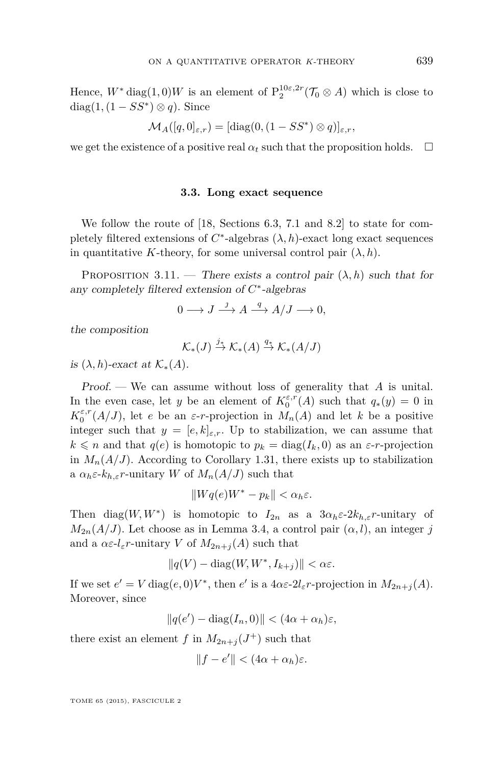<span id="page-35-0"></span>Hence,  $W^*$  diag(1,0) $W$  is an element of  $P_2^{10\varepsilon,2r}(\mathcal{T}_0 \otimes A)$  which is close to diag $(1, (1 - SS^*) \otimes q)$ . Since

$$
\mathcal{M}_A([q,0]_{\varepsilon,r}) = [\text{diag}(0,(1-SS^*)\otimes q)]_{\varepsilon,r},
$$

we get the existence of a positive real  $\alpha_t$  such that the proposition holds.  $\Box$ 

#### **3.3. Long exact sequence**

We follow the route of [\[18,](#page-69-0) Sections 6.3, 7.1 and 8.2] to state for completely filtered extensions of  $C^*$ -algebras  $(\lambda, h)$ -exact long exact sequences in quantitative *K*-theory, for some universal control pair  $(\lambda, h)$ .

PROPOSITION 3.11. — There exists a control pair  $(\lambda, h)$  such that for any completely filtered extension of *C* ∗ -algebras

$$
0 \longrightarrow J \stackrel{j}{\longrightarrow} A \stackrel{q}{\longrightarrow} A/J \longrightarrow 0,
$$

the composition

$$
\mathcal{K}_{*}(J) \stackrel{j_{*}}{\to} \mathcal{K}_{*}(A) \stackrel{q_{*}}{\to} \mathcal{K}_{*}(A/J)
$$

is  $(\lambda, h)$ -exact at  $\mathcal{K}_*(A)$ .

Proof. — We can assume without loss of generality that *A* is unital. In the even case, let *y* be an element of  $K_0^{\varepsilon,r}(A)$  such that  $q_*(y) = 0$  in  $K_0^{\varepsilon,r}(A/J)$ , let *e* be an *ε*-*r*-projection in  $M_n(A)$  and let *k* be a positive integer such that  $y = [e, k]_{\epsilon,r}$ . Up to stabilization, we can assume that  $k \leq n$  and that  $q(e)$  is homotopic to  $p_k = \text{diag}(I_k, 0)$  as an  $\varepsilon$ -*r*-projection in  $M_n(A/J)$ . According to Corollary [1.31,](#page-20-0) there exists up to stabilization a  $\alpha_h \varepsilon$ - $k_{h,\varepsilon}$ *r*-unitary *W* of  $M_n(A/J)$  such that

$$
||Wq(e)W^* - p_k|| < \alpha_h \varepsilon.
$$

Then diag( $W, W^*$ ) is homotopic to  $I_{2n}$  as a  $3\alpha_h \varepsilon \text{-} 2k_{h,\varepsilon} r$ -unitary of  $M_{2n}(A/J)$ . Let choose as in Lemma [3.4,](#page-27-0) a control pair  $(\alpha, l)$ , an integer *j* and a  $\alpha \in l_{\varepsilon} r$ -unitary *V* of  $M_{2n+i}(A)$  such that

$$
||q(V) - \text{diag}(W, W^*, I_{k+j})|| < \alpha \varepsilon.
$$

If we set  $e' = V \text{ diag}(e, 0)V^*$ , then  $e'$  is a  $4\alpha \varepsilon \text{-} 2l_{\varepsilon}r$ -projection in  $M_{2n+j}(A)$ . Moreover, since

 $||q(e') - \text{diag}(I_n, 0)|| < (4\alpha + \alpha_h)\varepsilon,$ 

there exist an element *f* in  $M_{2n+j}(J^+)$  such that

$$
||f - e'|| < (4\alpha + \alpha_h)\varepsilon.
$$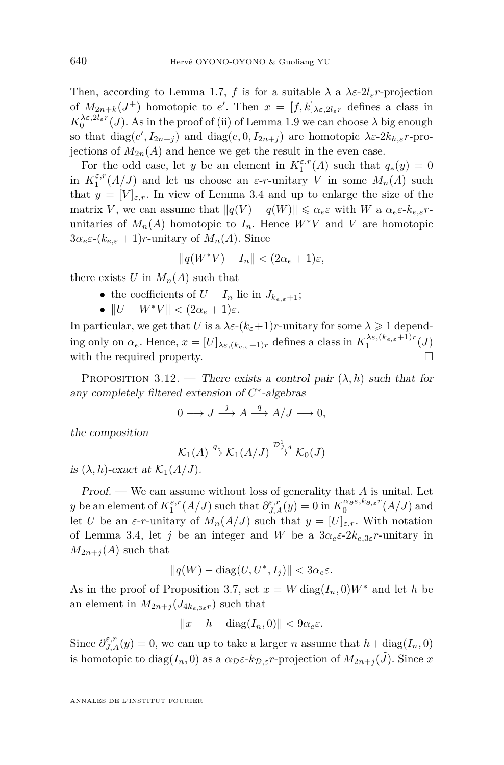<span id="page-36-0"></span>Then, according to Lemma [1.7,](#page-7-0) f is for a suitable  $\lambda$  a  $\lambda \varepsilon$ -2*l*<sub> $\varepsilon$ </sub>*r*-projection of  $M_{2n+k}(J^+)$  homotopic to *e'*. Then  $x = [f,k]_{\lambda \varepsilon, 2l_{\varepsilon}r}$  defines a class in  $K_0^{\lambda \varepsilon, 2l_\varepsilon r}(J)$ . As in the proof of (ii) of Lemma [1.9](#page-7-0) we can choose  $\lambda$  big enough so that  $diag(e', I_{2n+j})$  and  $diag(e, 0, I_{2n+j})$  are homotopic  $\lambda \varepsilon$ -2 $k_{h,\varepsilon}$ *r*-projections of  $M_{2n}(A)$  and hence we get the result in the even case.

For the odd case, let *y* be an element in  $K_1^{\varepsilon,r}(A)$  such that  $q_*(y) = 0$ in  $K_1^{\varepsilon,r}(A/J)$  and let us choose an  $\varepsilon$ -*r*-unitary *V* in some  $M_n(A)$  such that  $y = [V]_{\varepsilon,r}$ . In view of Lemma [3.4](#page-27-0) and up to enlarge the size of the matrix *V*, we can assume that  $||q(V) - q(W)|| \leq \alpha_e \varepsilon$  with *W* a  $\alpha_e \varepsilon$ - $k_{e,\varepsilon}$ *r*unitaries of  $M_n(A)$  homotopic to  $I_n$ . Hence  $W^*V$  and V are homotopic  $3\alpha_e \varepsilon^2 (k_{e,\varepsilon} + 1)r$ -unitary of  $M_n(A)$ . Since

$$
||q(W^*V) - I_n|| < (2\alpha_e + 1)\varepsilon,
$$

there exists *U* in  $M_n(A)$  such that

- the coefficients of  $U I_n$  lie in  $J_{k_{e,\varepsilon}+1}$ ;
- $||U W^*V|| < (2\alpha_e + 1)\varepsilon$ .

In particular, we get that *U* is a  $\lambda \varepsilon$ - $(k_{\varepsilon}+1)r$ -unitary for some  $\lambda \geq 1$  depending only on  $\alpha_e$ . Hence,  $x = [U]_{\lambda \varepsilon, (k_{e,\varepsilon}+1)r}$  defines a class in  $K_1^{\lambda \varepsilon, (k_{e,\varepsilon}+1)r}(J)$ with the required property.

PROPOSITION 3.12. — There exists a control pair  $(\lambda, h)$  such that for any completely filtered extension of *C* ∗ -algebras

$$
0 \longrightarrow J \stackrel{j}{\longrightarrow} A \stackrel{q}{\longrightarrow} A/J \longrightarrow 0,
$$

the composition

$$
\mathcal{K}_1(A) \stackrel{q_*}{\to} \mathcal{K}_1(A/J) \stackrel{\mathcal{D}_{J,A}^1}{\to} \mathcal{K}_0(J)
$$

is  $(\lambda, h)$ -exact at  $\mathcal{K}_1(A/J)$ .

Proof. — We can assume without loss of generality that *A* is unital. Let *y* be an element of  $K_1^{\varepsilon,r}(A/J)$  such that  $\partial_{J,A}^{\varepsilon,r}(y) = 0$  in  $K_0^{\alpha,\varepsilon,k_{\partial,\varepsilon}r}(A/J)$  and let *U* be an *ε*-*r*-unitary of  $M_n(A/J)$  such that  $y = [U]_{\varepsilon,r}$ . With notation of Lemma [3.4,](#page-27-0) let *j* be an integer and *W* be a  $3\alpha_e \epsilon^2 2k_{e,3\epsilon} r$ -unitary in  $M_{2n+j}(A)$  such that

$$
||q(W) - \text{diag}(U, U^*, I_j)|| < 3\alpha_e \varepsilon.
$$

As in the proof of Proposition [3.7,](#page-29-0) set  $x = W \text{diag}(I_n, 0)W^*$  and let *h* be an element in  $M_{2n+j}(J_{4k_{e,3s}r})$  such that

$$
||x - h - \text{diag}(I_n, 0)|| < 9\alpha_e \varepsilon.
$$

Since  $\partial_{J,A}^{\varepsilon,r}(y) = 0$ , we can up to take a larger *n* assume that  $h + \text{diag}(I_n, 0)$ is homotopic to diag( $I_n$ , 0) as a  $\alpha_{\mathcal{D}} \varepsilon$ -*k*<sub>D</sub>, $\varepsilon$ *r*-projection of  $M_{2n+i}(\tilde{J})$ . Since *x*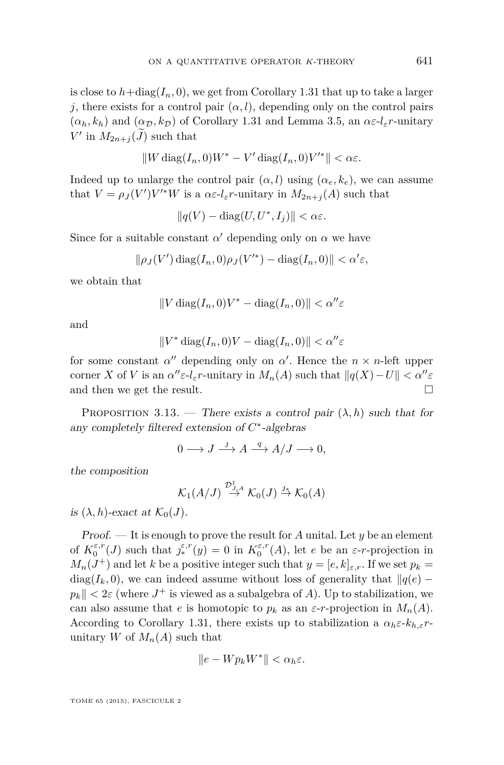<span id="page-37-0"></span>is close to  $h + diag(I_n, 0)$ , we get from Corollary [1.31](#page-20-0) that up to take a larger *j*, there exists for a control pair  $(\alpha, l)$ , depending only on the control pairs  $(\alpha_h, k_h)$  and  $(\alpha_{\mathcal{D}}, k_{\mathcal{D}})$  of Corollary [1.31](#page-20-0) and Lemma [3.5,](#page-28-0) an  $\alpha \varepsilon \cdot l_{\varepsilon} r$ -unitary  $V'$  in  $M_{2n+j}(\tilde{J})$  such that

$$
||W \operatorname{diag}(I_n, 0)W^* - V' \operatorname{diag}(I_n, 0)V'^*|| < \alpha \varepsilon.
$$

Indeed up to unlarge the control pair  $(\alpha, l)$  using  $(\alpha_e, k_e)$ , we can assume that  $V = \rho_J(V')V'^*W$  is a  $\alpha \varepsilon \cdot l_\varepsilon r$ -unitary in  $M_{2n+j}(A)$  such that

 $||q(V) - \text{diag}(U, U^*, I_j)|| < \alpha \varepsilon$ .

Since for a suitable constant  $\alpha'$  depending only on  $\alpha$  we have

$$
\|\rho_J(V')\operatorname{diag}(I_n,0)\rho_J(V'^*)-\operatorname{diag}(I_n,0)\|<\alpha'\varepsilon,
$$

we obtain that

$$
||V \operatorname{diag}(I_n, 0)V^* - \operatorname{diag}(I_n, 0)|| < \alpha'' \varepsilon
$$

and

$$
||V^* \operatorname{diag}(I_n, 0)V - \operatorname{diag}(I_n, 0)|| < \alpha'' \varepsilon
$$

for some constant  $\alpha''$  depending only on  $\alpha'$ . Hence the  $n \times n$ -left upper corner *X* of *V* is an  $\alpha'' \varepsilon \cdot l_{\varepsilon} r$ -unitary in  $M_n(A)$  such that  $||q(X) - U|| < \alpha'' \varepsilon$ and then we get the result.  $\Box$ 

PROPOSITION 3.13. — There exists a control pair  $(\lambda, h)$  such that for any completely filtered extension of *C* ∗ -algebras

$$
0 \longrightarrow J \stackrel{j}{\longrightarrow} A \stackrel{q}{\longrightarrow} A/J \longrightarrow 0,
$$

the composition

$$
\mathcal{K}_1(A/J) \stackrel{\mathcal{D}_{J,A}^1}{\rightarrow} \mathcal{K}_0(J) \stackrel{\jmath_*}{\rightarrow} \mathcal{K}_0(A)
$$

is  $(\lambda, h)$ -exact at  $\mathcal{K}_0(J)$ .

Proof. — It is enough to prove the result for *A* unital. Let *y* be an element of  $K_0^{\varepsilon,r}(J)$  such that  $\int_*^{\varepsilon,r}(y) = 0$  in  $K_0^{\varepsilon,r}(A)$ , let *e* be an *ε*-*r*-projection in  $M_n(J^+)$  and let *k* be a positive integer such that  $y = [e, k]_{\varepsilon,r}$ . If we set  $p_k =$ diag( $I_k$ , 0), we can indeed assume without loss of generality that  $\|q(e)$  $p_k$   $\parallel$  < 2*ε* (where  $J^+$  is viewed as a subalgebra of *A*). Up to stabilization, we can also assume that *e* is homotopic to  $p_k$  as an  $\varepsilon$ -*r*-projection in  $M_n(A)$ . According to Corollary [1.31,](#page-20-0) there exists up to stabilization a  $\alpha_h \varepsilon \n-k_{h,\varepsilon} r$ unitary *W* of  $M_n(A)$  such that

$$
||e - W p_k W^*|| < \alpha_h \varepsilon.
$$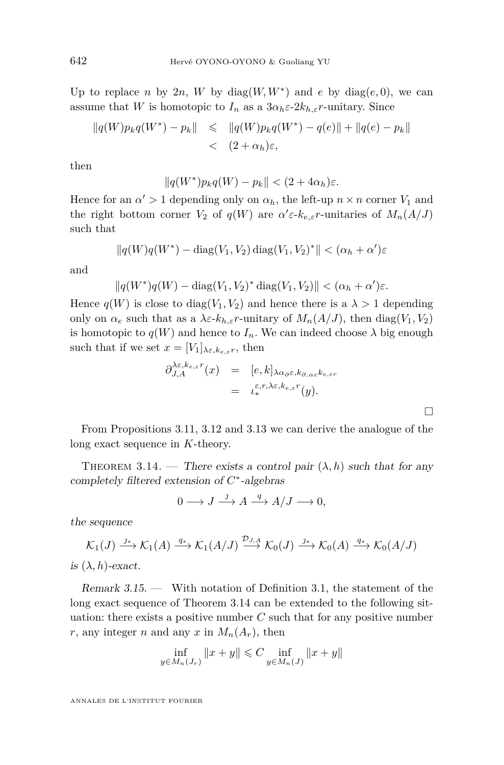<span id="page-38-0"></span>Up to replace *n* by 2*n*, *W* by diag $(W, W^*)$  and *e* by diag $(e, 0)$ , we can assume that *W* is homotopic to  $I_n$  as a  $3\alpha_h \varepsilon \text{-} 2k_{h,\varepsilon} r$ -unitary. Since

$$
||q(W)p_kq(W^*) - p_k|| \le ||q(W)p_kq(W^*) - q(e)|| + ||q(e) - p_k||
$$
  
<  $(2 + \alpha_h)\varepsilon,$ 

then

$$
||q(W^*)p_kq(W)-p_k|| < (2+4\alpha_h)\varepsilon.
$$

Hence for an  $\alpha' > 1$  depending only on  $\alpha_h$ , the left-up  $n \times n$  corner  $V_1$  and the right bottom corner  $V_2$  of  $q(W)$  are  $\alpha' \in k_{e,\varepsilon} r$ -unitaries of  $M_n(A/J)$ such that

$$
||q(W)q(W^*) - \text{diag}(V_1, V_2) \text{ diag}(V_1, V_2)^*|| < (\alpha_h + \alpha')\varepsilon
$$

and

$$
||q(W^*)q(W) - \operatorname{diag}(V_1, V_2)^* \operatorname{diag}(V_1, V_2)|| < (\alpha_h + \alpha')\varepsilon.
$$

Hence  $q(W)$  is close to diag( $V_1, V_2$ ) and hence there is a  $\lambda > 1$  depending only on  $\alpha_e$  such that as a  $\lambda \varepsilon$ - $k_{h,\varepsilon}$ *r*-unitary of  $M_n(A/J)$ , then diag( $V_1, V_2$ ) is homotopic to  $q(W)$  and hence to  $I_n$ . We can indeed choose  $\lambda$  big enough such that if we set  $x = [V_1]_{\lambda \varepsilon, k_{e,\varepsilon}r}$ , then

$$
\partial_{J,A}^{\lambda \varepsilon, k_{e,\varepsilon}r}(x) = [e,k]_{\lambda \alpha_{\partial} \varepsilon, k_{\partial, \alpha \varepsilon} k_{e,\varepsilon}r}
$$
  

$$
= \iota_{*}^{\varepsilon,r,\lambda \varepsilon, k_{e,\varepsilon}r}(y).
$$

 $\Box$ 

From Propositions [3.11,](#page-35-0) [3.12](#page-36-0) and [3.13](#page-37-0) we can derive the analogue of the long exact sequence in *K*-theory.

THEOREM 3.14. — There exists a control pair  $(\lambda, h)$  such that for any completely filtered extension of *C* ∗ -algebras

$$
0 \longrightarrow J \stackrel{\jmath}{\longrightarrow} A \stackrel{q}{\longrightarrow} A/J \longrightarrow 0,
$$

the sequence

$$
\mathcal{K}_1(J) \xrightarrow{j_*} \mathcal{K}_1(A) \xrightarrow{q_*} \mathcal{K}_1(A/J) \xrightarrow{\mathcal{D}_{J,A}} \mathcal{K}_0(J) \xrightarrow{j_*} \mathcal{K}_0(A) \xrightarrow{q_*} \mathcal{K}_0(A/J)
$$

is  $(\lambda, h)$ -exact.

Remark 3.15. — With notation of Definition [3.1,](#page-26-0) the statement of the long exact sequence of Theorem 3.14 can be extended to the following situation: there exists a positive number  $C$  such that for any positive number *r*, any integer *n* and any *x* in  $M_n(A_r)$ , then

$$
\inf_{y \in M_n(J_r)} \|x + y\| \leq C \inf_{y \in M_n(J)} \|x + y\|
$$

ANNALES DE L'INSTITUT FOURIER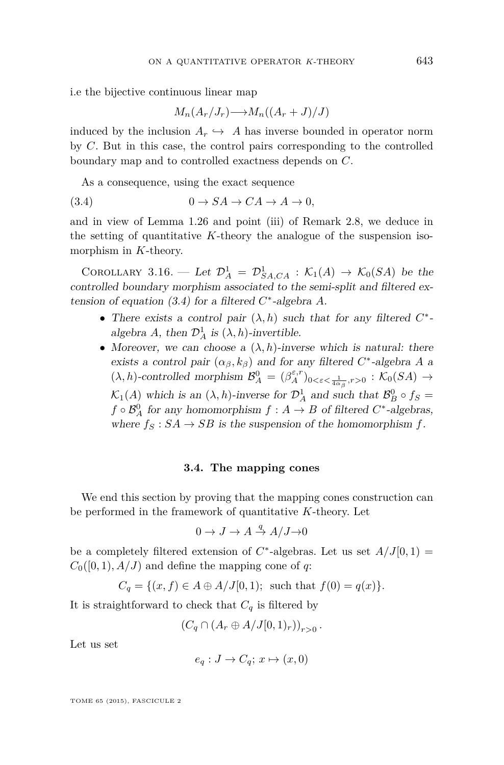<span id="page-39-0"></span>i.e the bijective continuous linear map

$$
M_n(A_r/J_r) \longrightarrow M_n((A_r+J)/J)
$$

induced by the inclusion  $A_r \hookrightarrow A$  has inverse bounded in operator norm by *C*. But in this case, the control pairs corresponding to the controlled boundary map and to controlled exactness depends on *C*.

As a consequence, using the exact sequence

$$
(3.4) \t\t 0 \to SA \to CA \to A \to 0,
$$

and in view of Lemma [1.26](#page-14-0) and point (iii) of Remark [2.8,](#page-24-0) we deduce in the setting of quantitative *K*-theory the analogue of the suspension isomorphism in *K*-theory.

COROLLARY 3.16. — Let  $\mathcal{D}_A^1 = \mathcal{D}_{SA,CA}^1 : \mathcal{K}_1(A) \to \mathcal{K}_0(SA)$  be the controlled boundary morphism associated to the semi-split and filtered extension of equation  $(3.4)$  for a filtered  $C^*$ -algebra  $A$ .

- There exists a control pair  $(\lambda, h)$  such that for any filtered  $C^*$ algebra *A*, then  $\mathcal{D}_A^1$  is  $(\lambda, h)$ -invertible.
- Moreover, we can choose a  $(\lambda, h)$ -inverse which is natural: there exists a control pair  $(\alpha_{\beta}, k_{\beta})$  and for any filtered  $C^*$ -algebra *A* a  $(\lambda, h)$ -controlled morphism  $\mathcal{B}_A^0 = (\beta_A^{\varepsilon,r})_{0 < \varepsilon < \frac{1}{4\alpha_\beta}, r > 0} : \mathcal{K}_0(SA) \to$  $\mathcal{K}_1(A)$  which is an  $(\lambda, h)$ -inverse for  $\mathcal{D}_A^1$  and such that  $\mathcal{B}_B^0 \circ f_S =$  $f \circ \mathcal{B}^0_A$  for any homomorphism  $f : A \to B$  of filtered  $C^*$ -algebras, where  $f_S : SA \to SB$  is the suspension of the homomorphism  $f$ .

#### **3.4. The mapping cones**

We end this section by proving that the mapping cones construction can be performed in the framework of quantitative *K*-theory. Let

$$
0 \to J \to A \stackrel{q}{\to} A/J \to 0
$$

be a completely filtered extension of  $C^*$ -algebras. Let us set  $A/J[0,1) =$  $C_0([0,1), A/J)$  and define the mapping cone of *q*:

$$
C_q = \{(x, f) \in A \oplus A/J[0, 1); \text{ such that } f(0) = q(x)\}.
$$

It is straightforward to check that  $C_q$  is filtered by

$$
(C_q \cap (A_r \oplus A/J[0,1)_r))_{r>0}.
$$

Let us set

$$
e_q: J \to C_q; x \mapsto (x, 0)
$$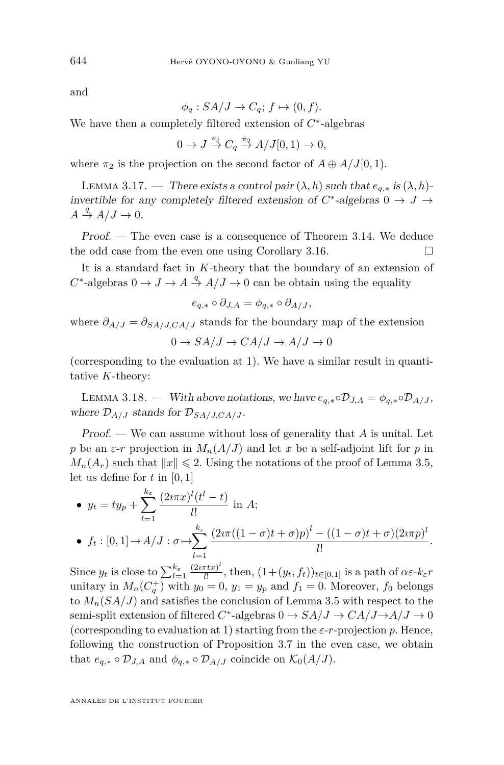and

$$
\phi_q: SA/J \to C_q; f \mapsto (0, f).
$$

We have then a completely filtered extension of *C* ∗ -algebras

$$
0 \to J \stackrel{e_j}{\to} C_q \stackrel{\pi_2}{\to} A/J[0,1) \to 0,
$$

where  $\pi_2$  is the projection on the second factor of  $A \oplus A/J[0,1)$ .

LEMMA 3.17. — There exists a control pair  $(\lambda, h)$  such that  $e_{q,*}$  is  $(\lambda, h)$ invertible for any completely filtered extension of  $C^*$ -algebras  $0 \to J \to$  $A \stackrel{q}{\rightarrow} A/J \rightarrow 0.$ 

Proof. — The even case is a consequence of Theorem [3.14.](#page-38-0) We deduce the odd case from the even one using Corollary [3.16.](#page-39-0)  $\Box$ 

It is a standard fact in *K*-theory that the boundary of an extension of  $C^*$ -algebras  $0 \to J \to A \stackrel{q}{\to} A/J \to 0$  can be obtain using the equality

$$
e_{q,*} \circ \partial_{J,A} = \phi_{q,*} \circ \partial_{A/J},
$$

where  $\partial_{A/J} = \partial_{S A/J, C A/J}$  stands for the boundary map of the extension

$$
0 \to SA/J \to CA/J \to A/J \to 0
$$

(corresponding to the evaluation at 1). We have a similar result in quantitative *K*-theory:

LEMMA 3.18. — With above notations, we have  $e_{a,*} \circ \mathcal{D}_{J,A} = \phi_{a,*} \circ \mathcal{D}_{A/J}$ , where  $\mathcal{D}_{A/J}$  stands for  $\mathcal{D}_{SA/J,CA/J}$ .

Proof. — We can assume without loss of generality that *A* is unital. Let *p* be an  $\varepsilon$ -*r* projection in  $M_n(A/J)$  and let *x* be a self-adjoint lift for *p* in  $M_n(A_r)$  such that  $||x|| \leq 2$ . Using the notations of the proof of Lemma [3.5,](#page-28-0) let us define for *t* in [0*,* 1]

• 
$$
y_t = ty_p + \sum_{l=1}^{k_{\epsilon}} \frac{(2i\pi x)^l (t^l - t)}{l!}
$$
 in A;  
\n•  $f_t : [0, 1] \rightarrow A/J : \sigma \mapsto \sum_{l=1}^{k_{\epsilon}} \frac{(2i\pi((1-\sigma)t + \sigma)p)^l - ((1-\sigma)t + \sigma)(2i\pi p)^l}{l!}.$ 

Since  $y_t$  is close to  $\sum_{l=1}^{k_{\varepsilon}} \frac{(2i\pi tx)^l}{l!}$  $\frac{f(x)}{l!}$ , then,  $(1+(y_t, f_t))_{t\in[0,1]}$  is a path of  $\alpha \varepsilon$ - $k_{\varepsilon} r$ unitary in  $M_n(C_q^+)$  with  $y_0 = 0$ ,  $y_1 = y_p$  and  $f_1 = 0$ . Moreover,  $f_0$  belongs to  $M_n(SA/J)$  and satisfies the conclusion of Lemma [3.5](#page-28-0) with respect to the semi-split extension of filtered  $C^*$ -algebras  $0 \to SA/J \to CA/J \to A/J \to 0$ (corresponding to evaluation at 1) starting from the *ε*-*r*-projection *p*. Hence, following the construction of Proposition [3.7](#page-29-0) in the even case, we obtain that  $e_{q,*} \circ \mathcal{D}_{J,A}$  and  $\phi_{q,*} \circ \mathcal{D}_{A/J}$  coincide on  $\mathcal{K}_0(A/J)$ .

<span id="page-40-0"></span>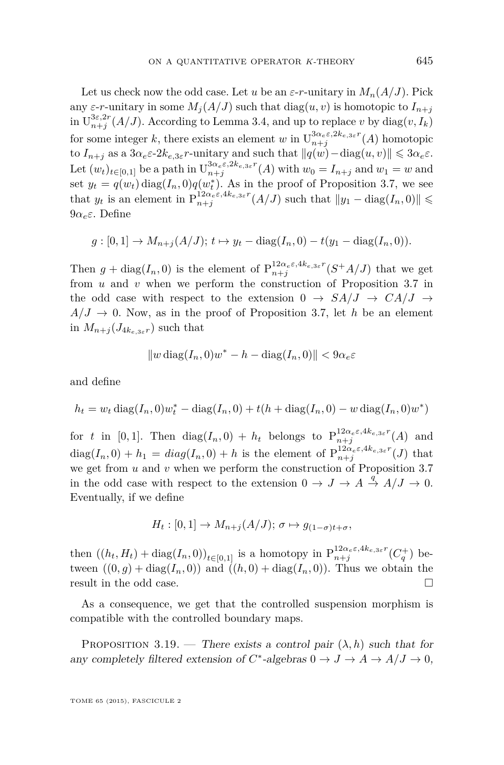<span id="page-41-0"></span>Let us check now the odd case. Let *u* be an  $\varepsilon$ -*r*-unitary in  $M_n(A/J)$ . Pick any  $\varepsilon$ -*r*-unitary in some  $M_i(A/J)$  such that  $diag(u, v)$  is homotopic to  $I_{n+j}$ in  $U_{n+j}^{3\varepsilon,2r}(A/J)$ . According to Lemma [3.4,](#page-27-0) and up to replace *v* by diag $(v, I_k)$ for some integer *k*, there exists an element *w* in  $U_{n+j}^{3\alpha_e\varepsilon,2k_e,3\varepsilon}$ <sup>*r*</sup>(*A*) homotopic to  $I_{n+j}$  as a  $3\alpha_e \varepsilon \cdot 2k_{e,3\varepsilon}r$ -unitary and such that  $||q(w) - \text{diag}(u, v)|| \leq 3\alpha_e \varepsilon$ . Let  $(w_t)_{t \in [0,1]}$  be a path in  $\mathrm{U}_{n+j}^{3\alpha_{e}\varepsilon,2k_{e,3\varepsilon}r}(A)$  with  $w_0 = I_{n+j}$  and  $w_1 = w$  and set  $y_t = q(w_t) \text{diag}(I_n, 0)q(w_t^*)$ . As in the proof of Proposition [3.7,](#page-29-0) we see *t* that  $y_t$  is an element in  $P_{n+j}^{12\alpha_e\varepsilon, 4k_e, 3\varepsilon}$ <sup>*r*</sup> $(A/J)$  such that  $||y_1 - \text{diag}(I_n, 0)|| \le$ 9*αeε*. Define

$$
g: [0,1] \to M_{n+j}(A/J); t \mapsto y_t - \text{diag}(I_n, 0) - t(y_1 - \text{diag}(I_n, 0)).
$$

Then  $g + \text{diag}(I_n, 0)$  is the element of  $P_{n+j}^{12\alpha_e\varepsilon, 4k_e, 3\varepsilon}$ <sup>*r*</sup>( $S^+A/J$ ) that we get from *u* and *v* when we perform the construction of Proposition [3.7](#page-29-0) in the odd case with respect to the extension  $0 \rightarrow S A/J \rightarrow CA/J \rightarrow$  $A/J \rightarrow 0$ . Now, as in the proof of Proposition [3.7,](#page-29-0) let *h* be an element in  $M_{n+j}(J_{4k_{e,3\varepsilon}r})$  such that

$$
||w \operatorname{diag}(I_n, 0)w^* - h - \operatorname{diag}(I_n, 0)|| < 9\alpha_e \varepsilon
$$

and define

$$
h_t = w_t \operatorname{diag}(I_n, 0)w_t^* - \operatorname{diag}(I_n, 0) + t(h + \operatorname{diag}(I_n, 0) - w \operatorname{diag}(I_n, 0)w^*)
$$

for *t* in [0,1]. Then  $diag(I_n, 0) + h_t$  belongs to  $P_{n+j}^{12\alpha_e \epsilon, 4k_{e,3\epsilon}r}(A)$  and  $diag(I_n, 0) + h_1 = diag(I_n, 0) + h$  is the element of  $P_{n+j}^{12\alpha_{e}\epsilon, 4k_{e,3\epsilon}r}(J)$  that we get from *u* and *v* when we perform the construction of Proposition [3.7](#page-29-0) in the odd case with respect to the extension  $0 \to J \to A \stackrel{q}{\to} A/J \to 0$ . Eventually, if we define

$$
H_t: [0,1] \to M_{n+j}(A/J); \sigma \mapsto g_{(1-\sigma)t+\sigma},
$$

then  $((h_t, H_t) + \text{diag}(I_n, 0))_{t \in [0,1]}$  is a homotopy in  $P_{n+j}^{12\alpha_e\varepsilon, 4k_{e,3\varepsilon}r}(C_q^+)$  between  $((0, g) + \text{diag}(I_n, 0))$  and  $((h, 0) + \text{diag}(I_n, 0))$ . Thus we obtain the result in the odd case.

As a consequence, we get that the controlled suspension morphism is compatible with the controlled boundary maps.

PROPOSITION 3.19. — There exists a control pair  $(\lambda, h)$  such that for any completely filtered extension of  $C^*$ -algebras  $0 \to J \to A \to A/J \to 0$ ,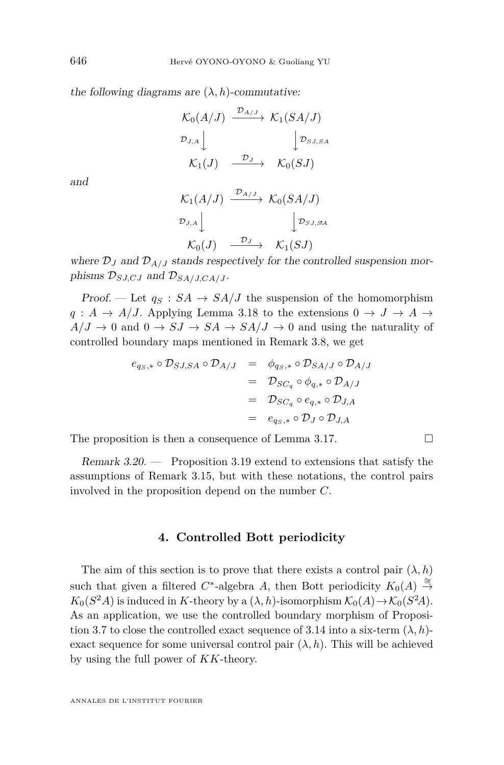the following diagrams are  $(\lambda, h)$ -commutative:

$$
\begin{array}{ccc}\n\mathcal{K}_0(A/J) & \xrightarrow{\mathcal{D}_{A/J}} & \mathcal{K}_1(SA/J) \\
\mathcal{D}_{J,A} & & \downarrow \mathcal{D}_{SJ,SA} \\
\mathcal{K}_1(J) & \xrightarrow{\mathcal{D}_J} & \mathcal{K}_0(SJ)\n\end{array}
$$

and

$$
\begin{array}{ccc}\n\mathcal{K}_1(A/J) & \xrightarrow{\mathcal{D}_{A/J}} & \mathcal{K}_0(SA/J) \\
\mathcal{D}_{J,A} & & \downarrow \mathcal{D}_{SJ,SA} \\
\mathcal{K}_0(J) & \xrightarrow{\mathcal{D}_J} & \mathcal{K}_1(SJ)\n\end{array}
$$

where  $\mathcal{D}_J$  and  $\mathcal{D}_{A/J}$  stands respectively for the controlled suspension morphisms  $\mathcal{D}_{SJ,CJ}$  and  $\mathcal{D}_{SA/J,CA/J}$ .

Proof. — Let  $q_S : SA \rightarrow SA/J$  the suspension of the homomorphism  $q: A \rightarrow A/J$ . Applying Lemma [3.18](#page-40-0) to the extensions  $0 \rightarrow J \rightarrow A \rightarrow$  $A/J \to 0$  and  $0 \to SJ \to SA \to SA/J \to 0$  and using the naturality of controlled boundary maps mentioned in Remark [3.8,](#page-32-0) we get

$$
e_{q_S,*} \circ \mathcal{D}_{S J, SA} \circ \mathcal{D}_{A/J} = \phi_{q_S,*} \circ \mathcal{D}_{SA/J} \circ \mathcal{D}_{A/J}
$$
  
=  $\mathcal{D}_{SC_q} \circ \phi_{q,*} \circ \mathcal{D}_{A/J}$   
=  $\mathcal{D}_{SC_q} \circ e_{q,*} \circ \mathcal{D}_{J,A}$   
=  $e_{q_S,*} \circ \mathcal{D}_J \circ \mathcal{D}_{J,A}$ 

The proposition is then a consequence of Lemma [3.17.](#page-40-0)  $\Box$ 

Remark 3.20. — Proposition [3.19](#page-41-0) extend to extensions that satisfy the assumptions of Remark [3.15,](#page-38-0) but with these notations, the control pairs involved in the proposition depend on the number *C*.

#### **4. Controlled Bott periodicity**

The aim of this section is to prove that there exists a control pair  $(\lambda, h)$ such that given a filtered  $C^*$ -algebra *A*, then Bott periodicity  $K_0(A) \stackrel{\cong}{\rightarrow}$  $K_0(S^2A)$  is induced in *K*-theory by a  $(\lambda, h)$ -isomorphism  $\mathcal{K}_0(A) \to \mathcal{K}_0(S^2A)$ . As an application, we use the controlled boundary morphism of Proposi-tion [3.7](#page-29-0) to close the controlled exact sequence of [3.14](#page-38-0) into a six-term  $(\lambda, h)$ exact sequence for some universal control pair  $(\lambda, h)$ . This will be achieved by using the full power of *KK*-theory.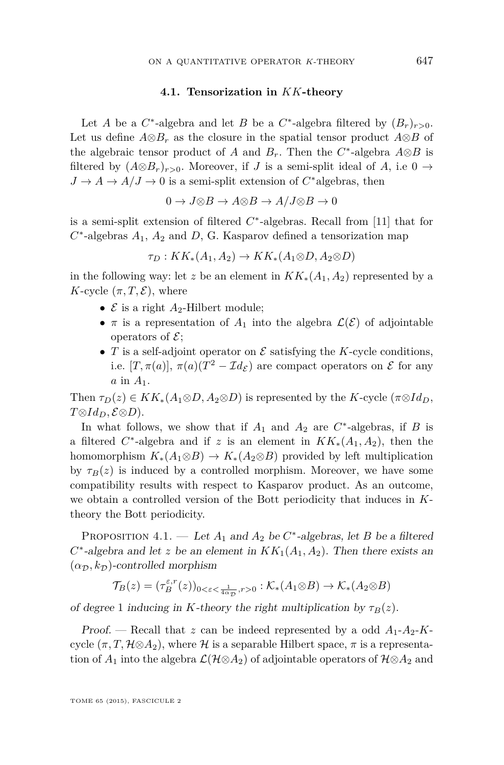#### **4.1. Tensorization in** *KK***-theory**

<span id="page-43-0"></span>Let *A* be a  $C^*$ -algebra and let *B* be a  $C^*$ -algebra filtered by  $(B_r)_{r>0}$ . Let us define  $A \otimes B_r$  as the closure in the spatial tensor product  $A \otimes B$  of the algebraic tensor product of *A* and  $B_r$ . Then the  $C^*$ -algebra  $A \otimes B$  is filtered by  $(A \otimes B_r)_{r>0}$ . Moreover, if *J* is a semi-split ideal of *A*, i.e 0 →  $J \to A \to A/J \to 0$  is a semi-split extension of  $C^*$  algebras, then

$$
0 \to J{\otimes} B \to A{\otimes} B \to A/J{\otimes} B \to 0
$$

is a semi-split extension of filtered *C* ∗ -algebras. Recall from [\[11\]](#page-69-0) that for  $C^*$ -algebras  $A_1$ ,  $A_2$  and  $D$ , G. Kasparov defined a tensorization map

$$
\tau_D: KK_*(A_1, A_2) \to KK_*(A_1 \otimes D, A_2 \otimes D)
$$

in the following way: let *z* be an element in  $KK_*(A_1, A_2)$  represented by a *K*-cycle  $(\pi, T, \mathcal{E})$ , where

- $\mathcal E$  is a right  $A_2$ -Hilbert module;
- $\pi$  is a representation of  $A_1$  into the algebra  $\mathcal{L}(\mathcal{E})$  of adjointable operators of  $\mathcal{E}$ ;
- $T$  is a self-adjoint operator on  $\mathcal E$  satisfying the *K*-cycle conditions, i.e.  $[T, \pi(a)]$ ,  $\pi(a)(T^2 - \mathcal{I}d_{\mathcal{E}})$  are compact operators on  $\mathcal E$  for any *a* in *A*1.

Then  $\tau_D(z) \in KK_*(A_1 \otimes D, A_2 \otimes D)$  is represented by the *K*-cycle ( $\pi \otimes Id_D$ *, T*⊗*IdD,* E⊗*D*).

In what follows, we show that if  $A_1$  and  $A_2$  are  $C^*$ -algebras, if  $B$  is a filtered  $C^*$ -algebra and if *z* is an element in  $KK_*(A_1, A_2)$ , then the homomorphism  $K_*(A_1 \otimes B) \to K_*(A_2 \otimes B)$  provided by left multiplication by  $\tau_B(z)$  is induced by a controlled morphism. Moreover, we have some compatibility results with respect to Kasparov product. As an outcome, we obtain a controlled version of the Bott periodicity that induces in *K*theory the Bott periodicity.

PROPOSITION 4.1. — Let  $A_1$  and  $A_2$  be  $C^*$ -algebras, let  $B$  be a filtered  $C^*$ -algebra and let *z* be an element in  $KK_1(A_1, A_2)$ . Then there exists an  $(\alpha_{\mathcal{D}}, k_{\mathcal{D}})$ -controlled morphism

$$
\mathcal{T}_B(z) = (\tau_B^{\varepsilon,r}(z))_{0 < \varepsilon < \frac{1}{4\alpha_D}, r > 0} : \mathcal{K}_*(A_1 \otimes B) \to \mathcal{K}_*(A_2 \otimes B)
$$

of degree 1 inducing in *K*-theory the right multiplication by  $\tau_B(z)$ .

Proof. — Recall that *z* can be indeed represented by a odd  $A_1$ - $A_2$ - $K$ cycle  $(\pi, T, \mathcal{H} \otimes A_2)$ , where  $\mathcal{H}$  is a separable Hilbert space,  $\pi$  is a representation of  $A_1$  into the algebra  $\mathcal{L}(\mathcal{H} \otimes A_2)$  of adjointable operators of  $\mathcal{H} \otimes A_2$  and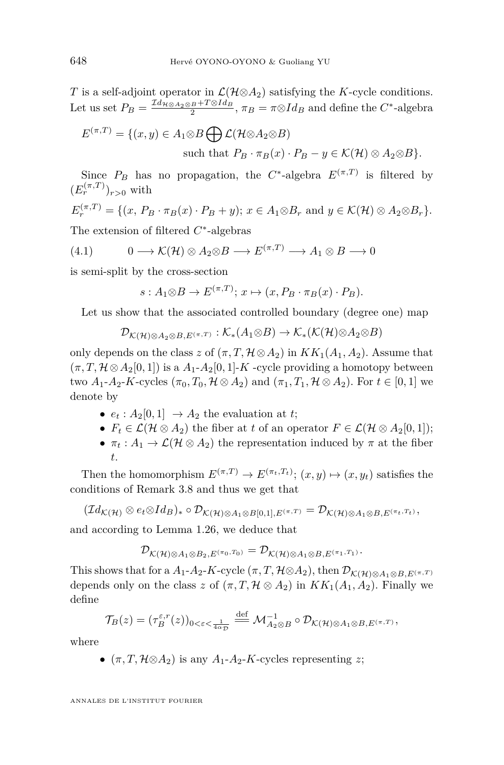<span id="page-44-0"></span>*T* is a self-adjoint operator in  $\mathcal{L}(\mathcal{H} \otimes A_2)$  satisfying the *K*-cycle conditions. Let us set  $P_B = \frac{\mathcal{I} d_{\mathcal{H} \otimes A_2 \otimes B} + T \otimes Id_B}{2}$ ,  $\pi_B = \pi \otimes Id_B$  and define the *C*<sup>\*</sup>-algebra

$$
E^{(\pi,T)} = \{(x,y) \in A_1 \otimes B \bigoplus \mathcal{L}(\mathcal{H} \otimes A_2 \otimes B)
$$
  
such that  $P_B \cdot \pi_B(x) \cdot P_B - y \in \mathcal{K}(\mathcal{H}) \otimes A_2 \otimes B\}.$ 

Since  $P_B$  has no propagation, the  $C^*$ -algebra  $E^{(\pi,T)}$  is filtered by  $(E_r^{(\pi,T)})_{r>0}$  with

$$
E_r^{(\pi,T)} = \{(x, P_B \cdot \pi_B(x) \cdot P_B + y); x \in A_1 \otimes B_r \text{ and } y \in \mathcal{K}(\mathcal{H}) \otimes A_2 \otimes B_r\}.
$$

The extension of filtered *C* ∗ -algebras

$$
(4.1) \t 0 \longrightarrow \mathcal{K}(\mathcal{H}) \otimes A_2 \otimes B \longrightarrow E^{(\pi, T)} \longrightarrow A_1 \otimes B \longrightarrow 0
$$

is semi-split by the cross-section

$$
s: A_1 \otimes B \to E^{(\pi, T)}; x \mapsto (x, P_B \cdot \pi_B(x) \cdot P_B).
$$

Let us show that the associated controlled boundary (degree one) map

$$
\mathcal{D}_{\mathcal{K}(\mathcal{H})\otimes A_2\otimes B, E^{(\pi, T)}} : \mathcal{K}_*(A_1 \otimes B) \to \mathcal{K}_*(\mathcal{K}(\mathcal{H})\otimes A_2 \otimes B)
$$

only depends on the class *z* of  $(\pi, T, \mathcal{H} \otimes A_2)$  in  $KK_1(A_1, A_2)$ . Assume that  $(\pi, T, \mathcal{H} \otimes A_2[0,1])$  is a  $A_1$ - $A_2[0,1]$ -K -cycle providing a homotopy between two  $A_1$ - $A_2$ -K-cycles  $(\pi_0, T_0, \mathcal{H} \otimes A_2)$  and  $(\pi_1, T_1, \mathcal{H} \otimes A_2)$ . For  $t \in [0, 1]$  we denote by

- $e_t: A_2[0,1] \rightarrow A_2$  the evaluation at *t*;
- $F_t \in \mathcal{L}(\mathcal{H} \otimes A_2)$  the fiber at *t* of an operator  $F \in \mathcal{L}(\mathcal{H} \otimes A_2[0,1])$ ;
- $\pi_t : A_1 \to \mathcal{L}(\mathcal{H} \otimes A_2)$  the representation induced by  $\pi$  at the fiber *t*.

Then the homomorphism  $E^{(\pi,T)} \to E^{(\pi_t,T_t)}$ ;  $(x, y) \mapsto (x, y_t)$  satisfies the conditions of Remark [3.8](#page-32-0) and thus we get that

$$
(\mathcal{I}d_{\mathcal{K}(\mathcal{H})}\otimes e_t\otimes Id_B)_*\circ \mathcal{D}_{\mathcal{K}(\mathcal{H})\otimes A_1\otimes B[0,1],E^{(\pi,T)}}=\mathcal{D}_{\mathcal{K}(\mathcal{H})\otimes A_1\otimes B,E^{(\pi_t,T_t)}},
$$

and according to Lemma [1.26,](#page-14-0) we deduce that

$$
\mathcal{D}_{\mathcal{K}(\mathcal{H})\otimes A_1\otimes B_2,E^{(\pi_0,T_0)}}=\mathcal{D}_{\mathcal{K}(\mathcal{H})\otimes A_1\otimes B,E^{(\pi_1,T_1)}}.
$$

This shows that for a  $A_1$ - $A_2$ - $K$ -cycle  $(\pi, T, \mathcal{H} \otimes A_2)$ , then  $\mathcal{D}_{\mathcal{K}(\mathcal{H}) \otimes A_1 \otimes B_1 E^{(\pi, T)}}$ depends only on the class *z* of  $(\pi, T, \mathcal{H} \otimes A_2)$  in  $KK_1(A_1, A_2)$ . Finally we define

$$
\mathcal{T}_B(z)=(\tau_B^{\varepsilon,r}(z))_{0<\varepsilon<\frac{1}{4\alpha_{\mathcal{D}}}}\stackrel{\text{def}}{=\!\!=}\mathcal{M}_{A_2\otimes B}^{-1}\circ \mathcal{D}_{\mathcal{K}(\mathcal{H})\otimes A_1\otimes B,E^{(\pi,T)}},
$$

where

•  $(\pi, T, \mathcal{H} \otimes A_2)$  is any  $A_1$ - $A_2$ -K-cycles representing *z*;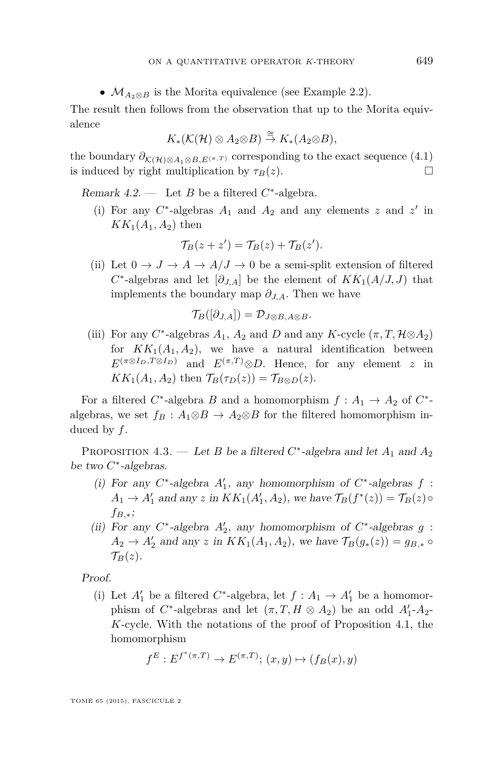•  $M_{A_2 \otimes B}$  is the Morita equivalence (see Example [2.2\)](#page-22-0).

<span id="page-45-0"></span>The result then follows from the observation that up to the Morita equivalence

$$
K_*(\mathcal{K}(\mathcal{H}) \otimes A_2 \otimes B) \stackrel{\cong}{\rightarrow} K_*(A_2 \otimes B),
$$

the boundary  $\partial_{\mathcal{K}(\mathcal{H})\otimes A_1\otimes B, E^{(\pi,T)}}$  corresponding to the exact sequence [\(4.1\)](#page-44-0) is induced by right multiplication by  $\tau_B(z)$ .

Remark  $4.2$  — Let *B* be a filtered  $C^*$ -algebra.

(i) For any  $C^*$ -algebras  $A_1$  and  $A_2$  and any elements  $z$  and  $z'$  in  $KK_1(A_1, A_2)$  then

$$
\mathcal{T}_B(z+z') = \mathcal{T}_B(z) + \mathcal{T}_B(z').
$$

(ii) Let  $0 \to J \to A \to A/J \to 0$  be a semi-split extension of filtered  $C^*$ -algebras and let  $[\partial_{J,A}]$  be the element of  $KK_1(A/J, J)$  that implements the boundary map *∂J,A*. Then we have

$$
\mathcal{T}_B([\partial_{J,A}])=\mathcal{D}_{J\otimes B,A\otimes B}.
$$

(iii) For any  $C^*$ -algebras  $A_1$ ,  $A_2$  and  $D$  and any  $K$ -cycle  $(\pi, T, \mathcal{H} \otimes A_2)$ for  $KK_1(A_1, A_2)$ , we have a natural identification between  $E^{(\pi \otimes I_D, T \otimes I_D)}$  and  $E^{(\pi, T)} \otimes D$ . Hence, for any element *z* in  $KK_1(A_1, A_2)$  then  $\mathcal{T}_B(\tau_D(z)) = \mathcal{T}_{B \otimes D}(z)$ .

For a filtered  $C^*$ -algebra  $B$  and a homomorphism  $f: A_1 \to A_2$  of  $C^*$ algebras, we set  $f_B: A_1 \otimes B \to A_2 \otimes B$  for the filtered homomorphism induced by *f*.

PROPOSITION 4.3. — Let *B* be a filtered  $C^*$ -algebra and let  $A_1$  and  $A_2$ be two C<sup>\*</sup>-algebras.

- (i) For any  $C^*$ -algebra  $A'_1$  , any homomorphism of  $C^*$ -algebras  $f$  :  $A_1 \rightarrow A'_1$  and any *z* in  $KK_1(A'_1, A_2)$ , we have  $\mathcal{T}_B(f^*(z)) = \mathcal{T}_B(z) \circ$ *fB,*<sup>∗</sup>;
- (ii) For any  $C^*$ -algebra  $A'_2$ , any homomorphism of  $C^*$ -algebras  $g$  :  $A_2 \to A'_2$  and any *z* in  $KK_1(A_1, A_2)$ , we have  $\mathcal{T}_B(g_*(z)) = g_{B,*} \circ$  $\mathcal{T}_B(z)$ .

Proof.

(i) Let  $A'_1$  be a filtered  $C^*$ -algebra, let  $f: A_1 \rightarrow A'_1$  be a homomorphism of  $C^*$ -algebras and let  $(\pi, T, H \otimes A_2)$  be an odd  $A'_1$ - $A_2$ -*K*-cycle. With the notations of the proof of Proposition [4.1,](#page-43-0) the homomorphism

$$
f^{E}: E^{f^{*}(\pi,T)} \to E^{(\pi,T)}; (x, y) \mapsto (f_{B}(x), y)
$$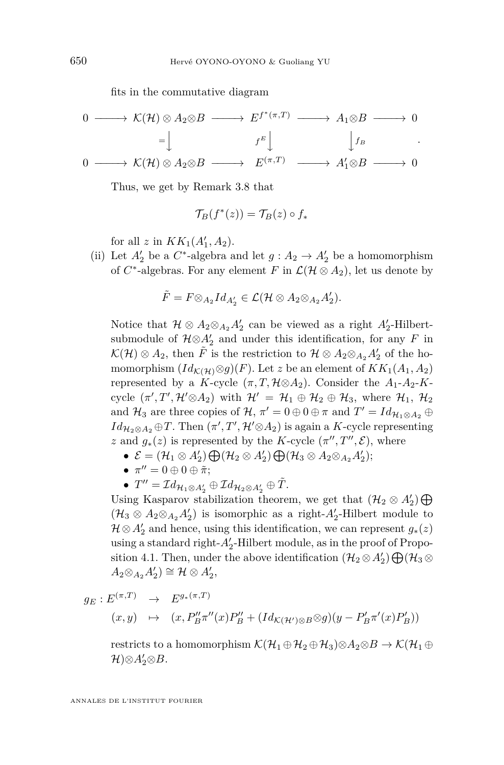fits in the commutative diagram

$$
\begin{array}{ccccccc}\n0 & \longrightarrow & \mathcal{K}(\mathcal{H}) \otimes A_2 \otimes B & \longrightarrow & E^{f^*(\pi, T)} & \longrightarrow & A_1 \otimes B & \longrightarrow & 0 \\
& & & & & & & \\
\downarrow & & & & & & & & \\
0 & \longrightarrow & \mathcal{K}(\mathcal{H}) \otimes A_2 \otimes B & \longrightarrow & E^{(\pi, T)} & \longrightarrow & A_1' \otimes B & \longrightarrow & 0\n\end{array}
$$

Thus, we get by Remark [3.8](#page-32-0) that

$$
\mathcal{T}_B(f^*(z)) = \mathcal{T}_B(z) \circ f_*
$$

for all *z* in  $KK_1(A'_1, A_2)$ .

(ii) Let  $A'_2$  be a  $C^*$ -algebra and let  $g: A_2 \to A'_2$  be a homomorphism of  $C^*$ -algebras. For any element  $F$  in  $\mathcal{L}(\mathcal{H} \otimes A_2)$ , let us denote by

$$
\tilde{F}=F{\otimes}_{A_2}Id_{A_2'}\in{\mathcal L}({\mathcal H}\otimes A_2{\otimes}_{A_2}A_2').
$$

Notice that  $\mathcal{H} \otimes A_2 \otimes_{A_2} A'_2$  can be viewed as a right  $A'_2$ -Hilbertsubmodule of  $\mathcal{H} \otimes A'_2$  and under this identification, for any *F* in  $\mathcal{K}(\mathcal{H}) \otimes A_2$ , then  $\tilde{F}$  is the restriction to  $\mathcal{H} \otimes A_2 \otimes_{A_2} A'_2$  of the homomorphism  $(Id_{\mathcal{K}(\mathcal{H})}\otimes g)(F)$ . Let *z* be an element of  $KK_1(A_1, A_2)$ represented by a *K*-cycle  $(\pi, T, \mathcal{H} \otimes A_2)$ . Consider the  $A_1$ - $A_2$ -*K*cycle  $(\pi', T', \mathcal{H}' \otimes A_2)$  with  $\mathcal{H}' = \mathcal{H}_1 \oplus \mathcal{H}_2 \oplus \mathcal{H}_3$ , where  $\mathcal{H}_1$ ,  $\mathcal{H}_2$ and  $\mathcal{H}_3$  are three copies of  $\mathcal{H}$ ,  $\pi' = 0 \oplus 0 \oplus \pi$  and  $T' = Id_{\mathcal{H}_1 \otimes A_2} \oplus$  $Id_{\mathcal{H}_2 \otimes A_2} \oplus T$ . Then  $(\pi', T', \mathcal{H}' \otimes A_2)$  is again a *K*-cycle representing *z* and  $g_*(z)$  is represented by the *K*-cycle  $(\pi'', T'', \mathcal{E})$ , where

- $\mathcal{E} = (\mathcal{H}_1 \otimes A'_2) \bigoplus (\mathcal{H}_2 \otimes A'_2) \bigoplus (\mathcal{H}_3 \otimes A_2 \otimes_{A_2} A'_2);$
- $\bullet\ \pi^{\prime\prime}=0\oplus 0\oplus \tilde{\pi};$
- $T'' = \mathcal{I} d_{\mathcal{H}_1 \otimes A'_2} \oplus \mathcal{I} d_{\mathcal{H}_2 \otimes A'_2} \oplus \tilde{T}.$

Using Kasparov stabilization theorem, we get that  $(\mathcal{H}_2 \otimes A'_2) \bigoplus$  $(\mathcal{H}_3 \otimes A_2 \otimes_{A_2} A_2')$  is isomorphic as a right- $A_2'$ -Hilbert module to  $\mathcal{H} \otimes A'_2$  and hence, using this identification, we can represent  $g_*(z)$ using a standard right- $A'_2$ -Hilbert module, as in the proof of Propo-sition [4.1.](#page-43-0) Then, under the above identification  $(\mathcal{H}_2 \otimes A'_2) \bigoplus (\mathcal{H}_3 \otimes A'_1)$  $A_2 \otimes_{A_2} A'_2$   $\cong \mathcal{H} \otimes A'_2$ 

$$
g_E: E^{(\pi,T)} \to E^{g_*(\pi,T)}
$$

$$
(x,y) \quad \mapsto \quad (x,P''_B\pi''(x)P''_B + (Id_{\mathcal{K}(\mathcal{H}')\otimes B}\otimes g)(y-P'_B\pi'(x)P'_B))
$$

restricts to a homomorphism  $\mathcal{K}(\mathcal{H}_1 \oplus \mathcal{H}_2 \oplus \mathcal{H}_3) \otimes A_2 \otimes B \to \mathcal{K}(\mathcal{H}_1 \oplus$  $\mathcal{H}$ )⊗ $A'_2$ ⊗ $B$ .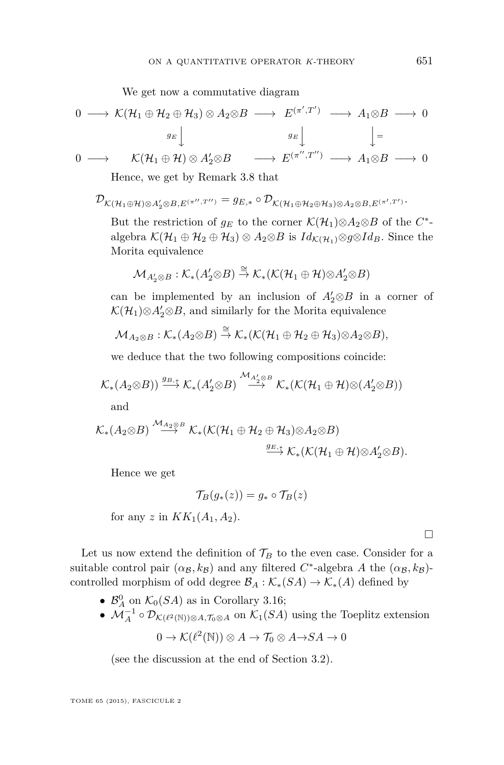We get now a commutative diagram

$$
0 \longrightarrow \mathcal{K}(\mathcal{H}_1 \oplus \mathcal{H}_2 \oplus \mathcal{H}_3) \otimes A_2 \otimes B \longrightarrow E^{(\pi',T')} \longrightarrow A_1 \otimes B \longrightarrow 0
$$
  
\n
$$
g_E \downarrow \qquad \qquad g_E \downarrow \qquad \qquad \downarrow =
$$
  
\n
$$
0 \longrightarrow \qquad \mathcal{K}(\mathcal{H}_1 \oplus \mathcal{H}) \otimes A_2' \otimes B \qquad \longrightarrow E^{(\pi'',T'')} \longrightarrow A_1 \otimes B \longrightarrow 0
$$

Hence, we get by Remark [3.8](#page-32-0) that

$$
\mathcal{D}_{\mathcal{K}(\mathcal{H}_1\oplus\mathcal{H})\otimes A_2'\otimes B,E^{(\pi'',T'')} }=g_{E,*}\circ\mathcal{D}_{\mathcal{K}(\mathcal{H}_1\oplus\mathcal{H}_2\oplus\mathcal{H}_3)\otimes A_2\otimes B,E^{(\pi',T')}}.
$$

But the restriction of  $g_E$  to the corner  $\mathcal{K}(\mathcal{H}_1) \otimes A_2 \otimes B$  of the  $C^*$ algebra  $\mathcal{K}(\mathcal{H}_1 \oplus \mathcal{H}_2 \oplus \mathcal{H}_3) \otimes A_2 \otimes B$  is  $Id_{\mathcal{K}(\mathcal{H}_1)} \otimes g \otimes Id_B$ . Since the Morita equivalence

$$
\mathcal{M}_{A_2' \otimes B} : \mathcal{K}_*(A_2' \otimes B) \stackrel{\cong}{\to} \mathcal{K}_*(\mathcal{K}(\mathcal{H}_1 \oplus \mathcal{H}) \otimes A_2' \otimes B)
$$

can be implemented by an inclusion of  $A'_2 \otimes B$  in a corner of  $\mathcal{K}(\mathcal{H}_1) \otimes A'_2 \otimes B$ , and similarly for the Morita equivalence

$$
\mathcal{M}_{A_2\otimes B}: \mathcal{K}_*(A_2\otimes B)\stackrel{\cong}{\to} \mathcal{K}_*(\mathcal{K}(\mathcal{H}_1\oplus \mathcal{H}_2\oplus \mathcal{H}_3)\otimes A_2\otimes B),
$$

we deduce that the two following compositions coincide:

$$
\mathcal{K}_{*}(A_{2} \otimes B)) \stackrel{g_{B,*}}{\longrightarrow} \mathcal{K}_{*}(A'_{2} \otimes B) \stackrel{\mathcal{M}_{A'_{2}} \otimes B}{\longrightarrow} \mathcal{K}_{*}(\mathcal{K}(\mathcal{H}_{1} \oplus \mathcal{H}) \otimes (A'_{2} \otimes B))
$$

and

$$
\mathcal{K}_{*}(A_{2} \otimes B) \stackrel{\mathcal{M}_{A_{2}} \otimes B}{\longrightarrow} \mathcal{K}_{*}(\mathcal{K}(\mathcal{H}_{1} \oplus \mathcal{H}_{2} \oplus \mathcal{H}_{3}) \otimes A_{2} \otimes B) \stackrel{g_{E,*}}{\longrightarrow} \mathcal{K}_{*}(\mathcal{K}(\mathcal{H}_{1} \oplus \mathcal{H}) \otimes A_{2}' \otimes B).
$$

Hence we get

$$
\mathcal{T}_B(g_*(z)) = g_* \circ \mathcal{T}_B(z)
$$

for any *z* in  $KK_1(A_1, A_2)$ .

Let us now extend the definition of  $\mathcal{T}_B$  to the even case. Consider for a suitable control pair  $(\alpha_{\mathcal{B}}, k_{\mathcal{B}})$  and any filtered  $C^*$ -algebra *A* the  $(\alpha_{\mathcal{B}}, k_{\mathcal{B}})$ controlled morphism of odd degree  $\mathcal{B}_A : \mathcal{K}_*(SA) \to \mathcal{K}_*(A)$  defined by

- $\mathcal{B}_A^0$  on  $\mathcal{K}_0(SA)$  as in Corollary [3.16;](#page-39-0)
- $\mathcal{M}_A^{-1} \circ \mathcal{D}_{\mathcal{K}(\ell^2(\mathbb{N}))\otimes A, \mathcal{T}_0 \otimes A}$  on  $\mathcal{K}_1(SA)$  using the Toeplitz extension

$$
0 \to \mathcal{K}(\ell^2(\mathbb{N})) \otimes A \to \mathcal{T}_0 \otimes A \to SA \to 0
$$

(see the discussion at the end of Section [3.2\)](#page-29-0).

TOME 65 (2015), FASCICULE 2

 $\Box$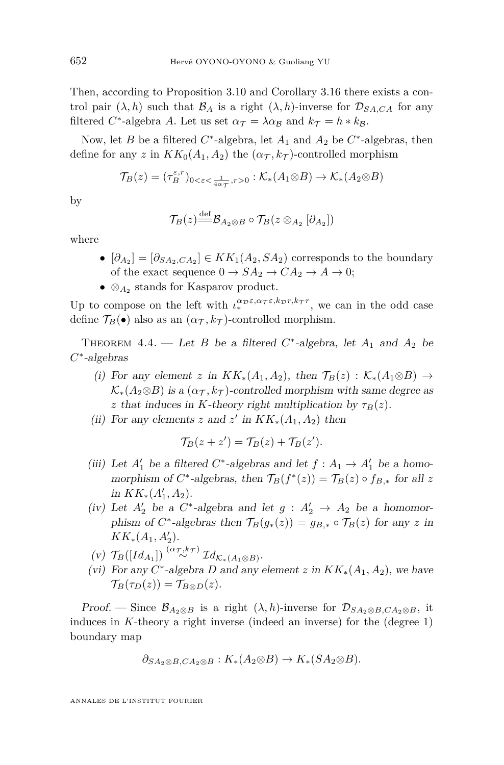Then, according to Proposition [3.10](#page-34-0) and Corollary [3.16](#page-39-0) there exists a control pair  $(\lambda, h)$  such that  $\mathcal{B}_A$  is a right  $(\lambda, h)$ -inverse for  $\mathcal{D}_{S A, C A}$  for any filtered *C*<sup>\*</sup>-algebra *A*. Let us set  $\alpha_{\mathcal{T}} = \lambda \alpha_{\mathcal{B}}$  and  $k_{\mathcal{T}} = h * k_{\mathcal{B}}$ .

Now, let *B* be a filtered  $C^*$ -algebra, let  $A_1$  and  $A_2$  be  $C^*$ -algebras, then define for any *z* in  $KK_0(A_1, A_2)$  the  $(\alpha_{\tau}, k_{\tau})$ -controlled morphism

$$
\mathcal{T}_B(z) = (\tau_B^{\varepsilon,r})_{0 < \varepsilon < \frac{1}{4\alpha\tau}, r > 0} : \mathcal{K}_*(A_1 \otimes B) \to \mathcal{K}_*(A_2 \otimes B)
$$

by

$$
\mathcal{T}_B(z) \stackrel{\text{def}}{=\!\!=} \mathcal{B}_{A_2 \otimes B} \circ \mathcal{T}_B(z \otimes_{A_2} [\partial_{A_2}])
$$

where

- $[\partial_{A_2}] = [\partial_{SA_2,CA_2}] \in KK_1(A_2,SA_2)$  corresponds to the boundary of the exact sequence  $0 \to SA_2 \to CA_2 \to A \to 0;$
- ⊗*A*<sup>2</sup> stands for Kasparov product.

Up to compose on the left with  $\iota_*^{\alpha_{\mathcal{D}}\varepsilon,\alpha_{\mathcal{T}}\varepsilon,k_{\mathcal{D}}r,k_{\mathcal{T}}r}$ , we can in the odd case define  $\mathcal{T}_B(\bullet)$  also as an  $(\alpha_{\mathcal{T}}, k_{\mathcal{T}})$ -controlled morphism.

THEOREM  $4.4.$  — Let *B* be a filtered  $C^*$ -algebra, let  $A_1$  and  $A_2$  be *C* ∗ -algebras

- (i) For any element *z* in  $KK_*(A_1, A_2)$ , then  $\mathcal{T}_B(z) : \mathcal{K}_*(A_1 \otimes B) \rightarrow$  $\mathcal{K}_*(A_2 \otimes B)$  is a  $(\alpha_{\mathcal{T}}, k_{\mathcal{T}})$ -controlled morphism with same degree as *z* that induces in *K*-theory right multiplication by  $\tau_B(z)$ .
- (ii) For any elements *z* and *z*' in  $KK_*(A_1, A_2)$  then

$$
\mathcal{T}_B(z+z') = \mathcal{T}_B(z) + \mathcal{T}_B(z').
$$

- (iii) Let  $A'_1$  be a filtered  $C^*$ -algebras and let  $f : A_1 \rightarrow A'_1$  be a homomorphism of *C*<sup>\*</sup>-algebras, then  $\mathcal{T}_B(f^*(z)) = \mathcal{T}_B(z) \circ f_{B,*}$  for all z  $in$   $KK_*(A'_1, A_2)$ .
- (iv) Let  $A'_2$  be a  $C^*$ -algebra and let  $g: A'_2 \rightarrow A_2$  be a homomorphism of  $C^*$ -algebras then  $\mathcal{T}_B(g_*(z)) = g_{B,*} \circ \mathcal{T}_B(z)$  for any *z* in  $KK_*(A_1, A'_2).$
- $(\mathbf{v})$   $\mathcal{T}_B([Id_{A_1}]) \stackrel{(\alpha_{\mathcal{T}}, k_{\mathcal{T}})}{\sim} \mathcal{I} d_{\mathcal{K}_*(A_1 \otimes B)}.$
- (vi) For any  $C^*$ -algebra *D* and any element *z* in  $KK_*(A_1, A_2)$ , we have  $\mathcal{T}_B(\tau_D(z)) = \mathcal{T}_{B\otimes D}(z).$

Proof. — Since  $\mathcal{B}_{A_2\otimes B}$  is a right  $(\lambda, h)$ -inverse for  $\mathcal{D}_{SA_2\otimes B, CA_2\otimes B}$ , it induces in *K*-theory a right inverse (indeed an inverse) for the (degree 1) boundary map

$$
\partial_{SA_2 \otimes B, CA_2 \otimes B} : K_*(A_2 \otimes B) \to K_*(SA_2 \otimes B).
$$

ANNALES DE L'INSTITUT FOURIER

<span id="page-48-0"></span>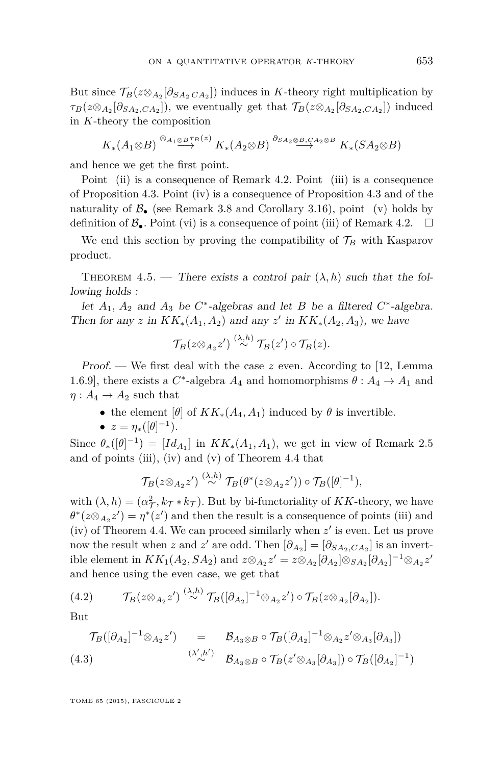<span id="page-49-0"></span>But since  $\mathcal{T}_{B}(z \otimes_{A_2} [\partial_{SA_2} C_{A_2}])$  induces in *K*-theory right multiplication by  $\tau_B(z \otimes_{A_2} [\partial_{SA_2,CA_2}])$ , we eventually get that  $\mathcal{T}_B(z \otimes_{A_2} [\partial_{SA_2,CA_2}])$  induced in *K*-theory the composition

$$
K_*(A_1 \otimes B) \stackrel{\otimes_{A_1 \otimes B} \tau_B(z)}{\longrightarrow} K_*(A_2 \otimes B) \stackrel{\partial_{SA_2 \otimes B, CA_2 \otimes B}}{\longrightarrow} K_*(SA_2 \otimes B)
$$

and hence we get the first point.

Point (ii) is a consequence of Remark [4.2.](#page-45-0) Point (iii) is a consequence of Proposition [4.3.](#page-45-0) Point (iv) is a consequence of Proposition [4.3](#page-45-0) and of the naturality of  $\mathcal{B}_{\bullet}$  (see Remark [3.8](#page-32-0) and Corollary [3.16\)](#page-39-0), point (v) holds by definition of  $\mathcal{B}_{\bullet}$ . Point (vi) is a consequence of point (iii) of Remark [4.2.](#page-45-0)  $\Box$ 

We end this section by proving the compatibility of  $\mathcal{T}_B$  with Kasparov product.

THEOREM 4.5. — There exists a control pair  $(\lambda, h)$  such that the following holds :

let  $A_1$ ,  $A_2$  and  $A_3$  be  $C^*$ -algebras and let  $B$  be a filtered  $C^*$ -algebra. Then for any *z* in  $KK_*(A_1, A_2)$  and any *z*' in  $KK_*(A_2, A_3)$ , we have

$$
\mathcal{T}_B(z \otimes_{A_2} z') \stackrel{(\lambda, h)}{\sim} \mathcal{T}_B(z') \circ \mathcal{T}_B(z).
$$

Proof. — We first deal with the case *z* even. According to [\[12,](#page-69-0) Lemma 1.6.9], there exists a  $C^*$ -algebra  $A_4$  and homomorphisms  $\theta: A_4 \to A_1$  and  $\eta: A_4 \to A_2$  such that

- the element  $[\theta]$  of  $KK_*(A_4, A_1)$  induced by  $\theta$  is invertible.
- $\bullet$  *z* = *η*<sub>\*</sub>([θ]<sup>-1</sup>).

Since  $\theta_*([\theta]^{-1}) = [Id_{A_1}]$  in  $KK_*(A_1, A_1)$ , we get in view of Remark [2.5](#page-23-0) and of points (iii), (iv) and (v) of Theorem [4.4](#page-48-0) that

$$
\mathcal{T}_B(z \otimes_{A_2} z') \stackrel{(\lambda, h)}{\sim} \mathcal{T}_B(\theta^*(z \otimes_{A_2} z')) \circ \mathcal{T}_B([\theta]^{-1}),
$$

with  $(\lambda, h) = (\alpha_{\mathcal{T}}^2, k_{\mathcal{T}} * k_{\mathcal{T}})$ . But by bi-functoriality of *KK*-theory, we have  $\theta^*(z \otimes_{A_2} z') = \eta^*(z')$  and then the result is a consequence of points (iii) and (iv) of Theorem [4.4.](#page-48-0) We can proceed similarly when  $z'$  is even. Let us prove now the result when *z* and *z*' are odd. Then  $[\partial_{A_2}] = [\partial_{SA_2,CA_2}]$  is an invert $i$ ble element in  $KK_1(A_2, SA_2)$  and  $z \otimes_{A_2} z' = z \otimes_{A_2} [\partial_{A_2}] \otimes_{SA_2} [\partial_{A_2}]^{-1} \otimes_{A_2} z'$ and hence using the even case, we get that

(4.2) 
$$
\mathcal{T}_B(z \otimes_{A_2} z') \stackrel{(\lambda, h)}{\sim} \mathcal{T}_B([\partial_{A_2}]^{-1} \otimes_{A_2} z') \circ \mathcal{T}_B(z \otimes_{A_2} [\partial_{A_2}]).
$$

But

$$
\mathcal{T}_B([\partial_{A_2}]^{-1} \otimes_{A_2} z') = \mathcal{B}_{A_3 \otimes B} \circ \mathcal{T}_B([\partial_{A_2}]^{-1} \otimes_{A_2} z' \otimes_{A_3} [\partial_{A_3}])
$$
  
(4.3) 
$$
\overset{(\lambda', h')}{\sim} \mathcal{B}_{A_3 \otimes B} \circ \mathcal{T}_B(z' \otimes_{A_3} [\partial_{A_3}]) \circ \mathcal{T}_B([\partial_{A_2}]^{-1})
$$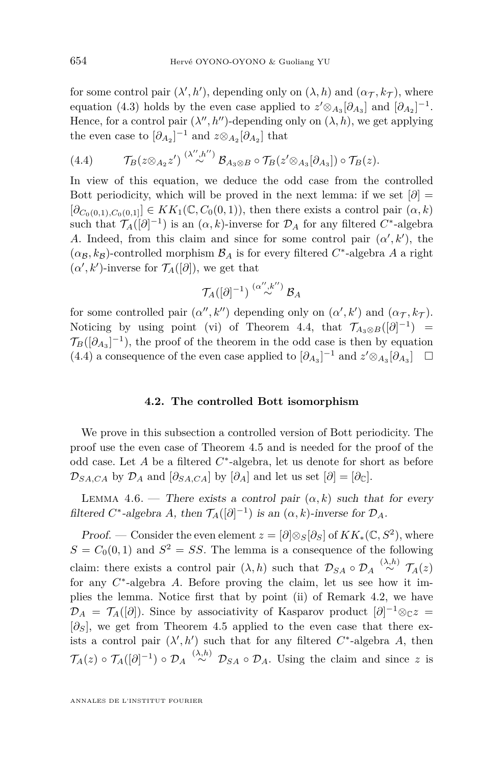<span id="page-50-0"></span>for some control pair  $(\lambda', h')$ , depending only on  $(\lambda, h)$  and  $(\alpha_{\mathcal{T}}, k_{\mathcal{T}})$ , where equation [\(4.3\)](#page-49-0) holds by the even case applied to  $z' \otimes_{A_3} [\partial_{A_3}]$  and  $[\partial_{A_2}]^{-1}$ . Hence, for a control pair  $(\lambda'', h'')$ -depending only on  $(\lambda, h)$ , we get applying the even case to  $[\partial_{A_2}]^{-1}$  and  $z \otimes_{A_2} [\partial_{A_2}]$  that

(4.4) 
$$
\mathcal{T}_B(z \otimes_{A_2} z') \stackrel{(\lambda'',h'')}{\sim} \mathcal{B}_{A_3 \otimes B} \circ \mathcal{T}_B(z' \otimes_{A_3} [\partial_{A_3}]) \circ \mathcal{T}_B(z).
$$

In view of this equation, we deduce the odd case from the controlled Bott periodicity, which will be proved in the next lemma: if we set  $[\partial]$  =  $[\partial_{C_0(0,1),C_0(0,1)}] \in KK_1(\mathbb{C}, C_0(0,1)),$  then there exists a control pair  $(\alpha, k)$ such that  $\mathcal{T}_A([\partial]^{-1})$  is an  $(\alpha, k)$ -inverse for  $\mathcal{D}_A$  for any filtered  $C^*$ -algebra *A*. Indeed, from this claim and since for some control pair  $(\alpha', k')$ , the  $(\alpha_{\mathcal{B}}, k_{\mathcal{B}})$ -controlled morphism  $\mathcal{B}_A$  is for every filtered  $C^*$ -algebra A a right  $(\alpha', k')$ -inverse for  $\mathcal{T}_A([\partial]),$  we get that

$$
\mathcal T_A([\partial]^{-1})\stackrel{(\alpha'',k'')}{\sim}\mathcal B_A
$$

for some controlled pair  $(\alpha'', k'')$  depending only on  $(\alpha', k')$  and  $(\alpha_{\mathcal{T}}, k_{\mathcal{T}})$ . Noticing by using point (vi) of Theorem [4.4,](#page-48-0) that  $\mathcal{T}_{A_3\otimes B}([\partial]^{-1})$  =  $\mathcal{T}_{B}([\partial_{A_3}]^{-1})$ , the proof of the theorem in the odd case is then by equation (4.4) a consequence of the even case applied to  $[\partial_{A_3}]^{-1}$  and  $z' \otimes_{A_3} [\partial_{A_3}]$ 

#### **4.2. The controlled Bott isomorphism**

We prove in this subsection a controlled version of Bott periodicity. The proof use the even case of Theorem [4.5](#page-49-0) and is needed for the proof of the odd case. Let *A* be a filtered *C* ∗ -algebra, let us denote for short as before  $\mathcal{D}_{SA,CA}$  by  $\mathcal{D}_A$  and  $[\partial_{SA,CA}]$  by  $[\partial_A]$  and let us set  $[\partial] = [\partial_{\mathbb{C}}]$ .

LEMMA 4.6. — There exists a control pair  $(\alpha, k)$  such that for every filtered *C*<sup>\*</sup>-algebra *A*, then  $\mathcal{T}_A([\partial]^{-1})$  is an  $(\alpha, k)$ -inverse for  $\mathcal{D}_A$ .

Proof. — Consider the even element  $z = [\partial] \otimes_S [\partial_S]$  of  $KK_*(\mathbb{C}, S^2)$ , where  $S = C_0(0, 1)$  and  $S^2 = SS$ . The lemma is a consequence of the following claim: there exists a control pair  $(\lambda, h)$  such that  $\mathcal{D}_{SA} \circ \mathcal{D}_A \stackrel{(\lambda, h)}{\sim} \mathcal{T}_A(z)$ for any  $C^*$ -algebra  $A$ . Before proving the claim, let us see how it implies the lemma. Notice first that by point (ii) of Remark [4.2,](#page-45-0) we have  $\mathcal{D}_A = \mathcal{T}_A([\partial])$ . Since by associativity of Kasparov product  $[\partial]^{-1} \otimes_{\mathbb{C}} z =$  $[\partial_S]$ , we get from Theorem [4.5](#page-49-0) applied to the even case that there exists a control pair  $(\lambda', h')$  such that for any filtered  $C^*$ -algebra A, then  $\mathcal{T}_A(z) \circ \mathcal{T}_A([\partial]^{-1}) \circ \mathcal{D}_A \overset{(\lambda,h)}{\sim} \mathcal{D}_{SA} \circ \mathcal{D}_A$ . Using the claim and since *z* is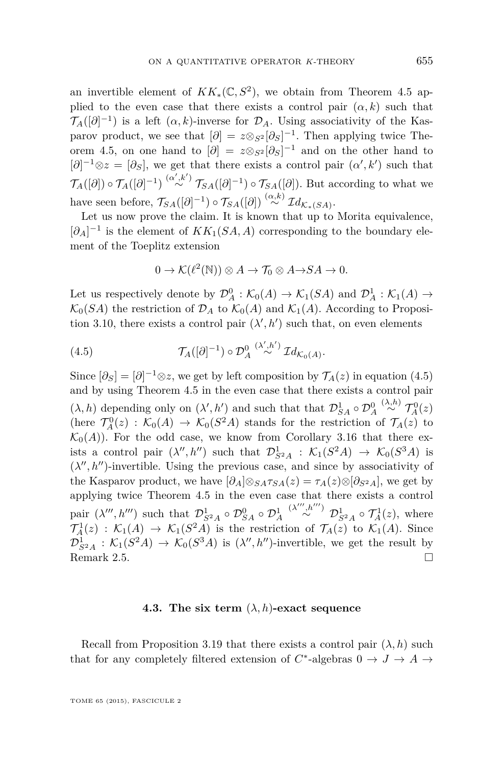an invertible element of  $KK_*(\mathbb{C}, S^2)$ , we obtain from Theorem [4.5](#page-49-0) applied to the even case that there exists a control pair  $(\alpha, k)$  such that  $\mathcal{T}_A([\partial]^{-1})$  is a left  $(\alpha, k)$ -inverse for  $\mathcal{D}_A$ . Using associativity of the Kasparov product, we see that  $[\partial] = z \otimes_{S^2} [\partial_S]^{-1}$ . Then applying twice The-orem [4.5,](#page-49-0) on one hand to  $[\partial] = z \otimes_{S^2} [\partial_S]^{-1}$  and on the other hand to  $[\partial]^{-1} \otimes z = [\partial_S]$ , we get that there exists a control pair  $(\alpha', k')$  such that  $\mathcal{T}_A([\partial]) \circ \mathcal{T}_A([\partial]^{-1}) \stackrel{(\alpha',k')}{\sim} \mathcal{T}_{SA}([\partial]^{-1}) \circ \mathcal{T}_{SA}([\partial])$ . But according to what we have seen before,  $\mathcal{T}_{SA}([\partial]^{-1}) \circ \mathcal{T}_{SA}([\partial]) \stackrel{(\alpha,k)}{\sim} \mathcal{I} d_{\mathcal{K}_*(SA)}$ .

Let us now prove the claim. It is known that up to Morita equivalence,  $[\partial_A]^{-1}$  is the element of  $KK_1(SA, A)$  corresponding to the boundary element of the Toeplitz extension

$$
0 \to \mathcal{K}(\ell^2(\mathbb{N})) \otimes A \to \mathcal{T}_0 \otimes A \to SA \to 0.
$$

Let us respectively denote by  $\mathcal{D}_{A}^{0}$  :  $\mathcal{K}_{0}(A) \to \mathcal{K}_{1}(SA)$  and  $\mathcal{D}_{A}^{1}$  :  $\mathcal{K}_{1}(A) \to$  $\mathcal{K}_0(SA)$  the restriction of  $\mathcal{D}_A$  to  $\mathcal{K}_0(A)$  and  $\mathcal{K}_1(A)$ . According to Proposi-tion [3.10,](#page-34-0) there exists a control pair  $(\lambda', h')$  such that, on even elements

(4.5) 
$$
\mathcal{T}_A([\partial]^{-1}) \circ \mathcal{D}_A^0 \stackrel{(\lambda',h')}{\sim} \mathcal{I}d_{\mathcal{K}_0(A)}.
$$

Since  $[\partial_S] = [\partial]^{-1} \otimes z$ , we get by left composition by  $\mathcal{T}_A(z)$  in equation (4.5) and by using Theorem [4.5](#page-49-0) in the even case that there exists a control pair  $(\lambda, h)$  depending only on  $(\lambda', h')$  and such that that  $\mathcal{D}_{SA}^1 \circ \mathcal{D}_A^0$  $\stackrel{(\lambda,h)}{\sim} \mathcal{T}_A^0(z)$ (here  $\mathcal{T}_A^0(z) : \mathcal{K}_0(A) \to \mathcal{K}_0(S^2A)$  stands for the restriction of  $\mathcal{T}_A(z)$  to  $\mathcal{K}_0(A)$ ). For the odd case, we know from Corollary [3.16](#page-39-0) that there exists a control pair  $(\lambda'', h'')$  such that  $\mathcal{D}_{S^2A}^1$  :  $\mathcal{K}_1(S^2A) \to \mathcal{K}_0(S^3A)$  is  $(\lambda'', h'')$ -invertible. Using the previous case, and since by associativity of the Kasparov product, we have  $[\partial_A] \otimes_{SA} \tau_{SA}(z) = \tau_A(z) \otimes [\partial_{S^2A}]$ , we get by applying twice Theorem [4.5](#page-49-0) in the even case that there exists a control pair  $(\lambda''', h''')$  such that  $\mathcal{D}_{S^2A}^1 \circ \mathcal{D}_{SA}^0 \circ \mathcal{D}_A^1$  $\stackrel{(\lambda''',h''')}{\sim} \mathcal{D}_{S^2A}^1 \circ \mathcal{T}_A^1(z)$ , where  $\mathcal{T}_A^1(z) : \mathcal{K}_1(A) \to \mathcal{K}_1(S^2A)$  is the restriction of  $\mathcal{T}_A(z)$  to  $\mathcal{K}_1(A)$ . Since  $\mathcal{D}_{S^2A}^1$  :  $\mathcal{K}_1(S^2A) \to \mathcal{K}_0(S^3A)$  is  $(\lambda'', h'')$ -invertible, we get the result by Remark [2.5.](#page-23-0)

#### **4.3. The six term**  $(\lambda, h)$ **-exact sequence**

Recall from Proposition [3.19](#page-41-0) that there exists a control pair  $(\lambda, h)$  such that for any completely filtered extension of  $C^*$ -algebras  $0 \to J \to A \to$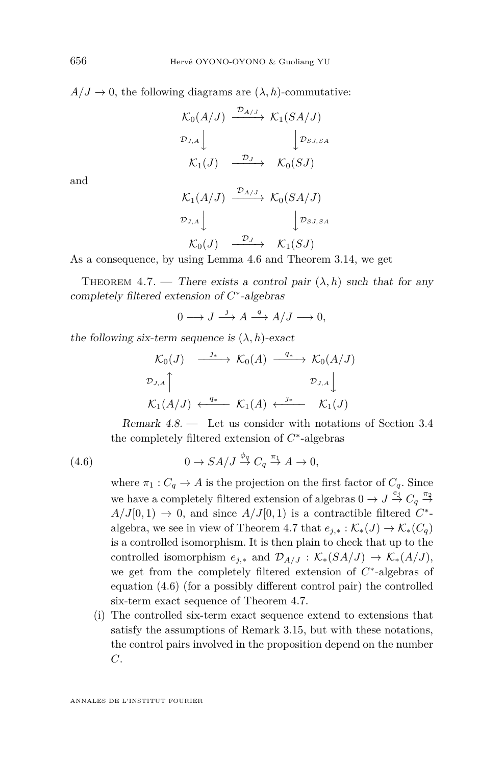$A/J \to 0$ , the following diagrams are  $(\lambda, h)$ -commutative:

$$
\begin{array}{ccc}\n\mathcal{K}_0(A/J) & \xrightarrow{\mathcal{D}_{A/J}} & \mathcal{K}_1(SA/J) \\
\mathcal{D}_{J,A} & & \downarrow \mathcal{D}_{SJ,SA} \\
\mathcal{K}_1(J) & \xrightarrow{\mathcal{D}_J} & \mathcal{K}_0(SJ)\n\end{array}
$$

and

$$
\begin{array}{ccc}\n\mathcal{K}_1(A/J) & \xrightarrow{\mathcal{D}_{A/J}} & \mathcal{K}_0(SA/J) \\
\mathcal{D}_{J,A} & & \downarrow \mathcal{D}_{SJ,SA} \\
\mathcal{K}_0(J) & \xrightarrow{\mathcal{D}_J} & \mathcal{K}_1(SJ)\n\end{array}
$$

As a consequence, by using Lemma [4.6](#page-50-0) and Theorem [3.14,](#page-38-0) we get

THEOREM 4.7. — There exists a control pair  $(\lambda, h)$  such that for any completely filtered extension of *C* ∗ -algebras

$$
0 \longrightarrow J \stackrel{j}{\longrightarrow} A \stackrel{q}{\longrightarrow} A/J \longrightarrow 0,
$$

the following six-term sequence is  $(\lambda, h)$ -exact

$$
\begin{array}{ccc}\n\mathcal{K}_0(J) & \xrightarrow{\jmath_*} & \mathcal{K}_0(A) & \xrightarrow{q_*} & \mathcal{K}_0(A/J) \\
\mathcal{D}_{J,A} \uparrow & & \mathcal{D}_{J,A} \downarrow \\
\mathcal{K}_1(A/J) & \xleftarrow{q_*} & \mathcal{K}_1(A) & \xrightarrow{\jmath_*} & \mathcal{K}_1(J)\n\end{array}
$$

Remark 4.8. — Let us consider with notations of Section [3.4](#page-39-0) the completely filtered extension of *C* ∗ -algebras

(4.6) 
$$
0 \to SA/J \overset{\phi_q}{\to} C_q \overset{\pi_1}{\to} A \to 0,
$$

where  $\pi_1 : C_q \to A$  is the projection on the first factor of  $C_q$ . Since we have a completely filtered extension of algebras  $0 \to J \stackrel{e_j}{\to} C_q \stackrel{\pi_2}{\to}$  $A/J[0,1) \rightarrow 0$ , and since  $A/J[0,1)$  is a contractible filtered  $C^*$ algebra, we see in view of Theorem 4.7 that  $e_{j,*}: \mathcal{K}_*(J) \to \mathcal{K}_*(C_q)$ is a controlled isomorphism. It is then plain to check that up to the controlled isomorphism  $e_{j,*}$  and  $\mathcal{D}_{A/J}: \mathcal{K}_*(SA/J) \to \mathcal{K}_*(A/J)$ , we get from the completely filtered extension of  $C^*$ -algebras of equation (4.6) (for a possibly different control pair) the controlled six-term exact sequence of Theorem 4.7.

(i) The controlled six-term exact sequence extend to extensions that satisfy the assumptions of Remark [3.15,](#page-38-0) but with these notations, the control pairs involved in the proposition depend on the number *C*.

ANNALES DE L'INSTITUT FOURIER

<span id="page-52-0"></span>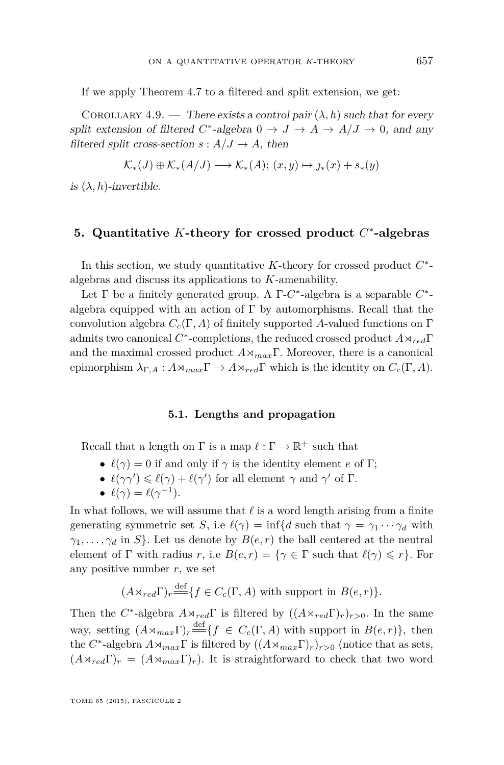<span id="page-53-0"></span>If we apply Theorem [4.7](#page-52-0) to a filtered and split extension, we get:

COROLLARY 4.9. — There exists a control pair  $(\lambda, h)$  such that for every split extension of filtered  $C^*$ -algebra  $0 \to J \to A \to A/J \to 0$ , and any filtered split cross-section  $s: A/J \to A$ , then

$$
\mathcal{K}_{*}(J) \oplus \mathcal{K}_{*}(A/J) \longrightarrow \mathcal{K}_{*}(A); (x, y) \mapsto j_{*}(x) + s_{*}(y)
$$

is  $(\lambda, h)$ -invertible.

# **5. Quantitative** *K***-theory for crossed product** *C* ∗ **-algebras**

In this section, we study quantitative *K*-theory for crossed product *C* ∗ algebras and discuss its applications to *K*-amenability.

Let Γ be a finitely generated group. A Γ-*C*<sup>\*</sup>-algebra is a separable *C*<sup>\*</sup>algebra equipped with an action of  $\Gamma$  by automorphisms. Recall that the convolution algebra  $C_c(\Gamma, A)$  of finitely supported A-valued functions on  $\Gamma$ admits two canonical *C* ∗ -completions, the reduced crossed product *A*o*red*Γ and the maximal crossed product  $A \rtimes_{max} \Gamma$ . Moreover, there is a canonical epimorphism  $\lambda_{\Gamma,A}: A \rtimes_{max} \Gamma \to A \rtimes_{red} \Gamma$  which is the identity on  $C_c(\Gamma, A)$ .

#### **5.1. Lengths and propagation**

Recall that a length on  $\Gamma$  is a map  $\ell : \Gamma \to \mathbb{R}^+$  such that

- $\ell(\gamma) = 0$  if and only if  $\gamma$  is the identity element *e* of Γ;
- $\ell(\gamma\gamma') \leq \ell(\gamma) + \ell(\gamma')$  for all element  $\gamma$  and  $\gamma'$  of  $\Gamma$ .
- $\ell(\gamma) = \ell(\gamma^{-1}).$

In what follows, we will assume that  $\ell$  is a word length arising from a finite generating symmetric set *S*, i.e  $\ell(\gamma) = \inf\{d \text{ such that } \gamma = \gamma_1 \cdots \gamma_d \text{ with }\}$  $\gamma_1, \ldots, \gamma_d$  in *S*. Let us denote by  $B(e, r)$  the ball centered at the neutral element of  $\Gamma$  with radius *r*, i.e  $B(e, r) = \{ \gamma \in \Gamma \text{ such that } \ell(\gamma) \leq r \}.$  For any positive number *r*, we set

$$
(A \rtimes_{red} \Gamma)_r \stackrel{\text{def}}{=\!\!\!=} \{ f \in C_c(\Gamma, A) \text{ with support in } B(e, r) \}.
$$

Then the *C*<sup>\*</sup>-algebra  $A \rtimes_{red} \Gamma$  is filtered by  $((A \rtimes_{red} \Gamma)_r)_{r>0}$ . In the same way, setting  $(A \rtimes_{max} \Gamma)_r \stackrel{\text{def}}{=} \{f \in C_c(\Gamma, A) \text{ with support in } B(e, r)\},\$ then the  $C^*$ -algebra  $A \rtimes_{max} \Gamma$  is filtered by  $((A \rtimes_{max} \Gamma)_r)_{r>0}$  (notice that as sets,  $(A \rtimes_{red} \Gamma)_r = (A \rtimes_{max} \Gamma)_r$ ). It is straightforward to check that two word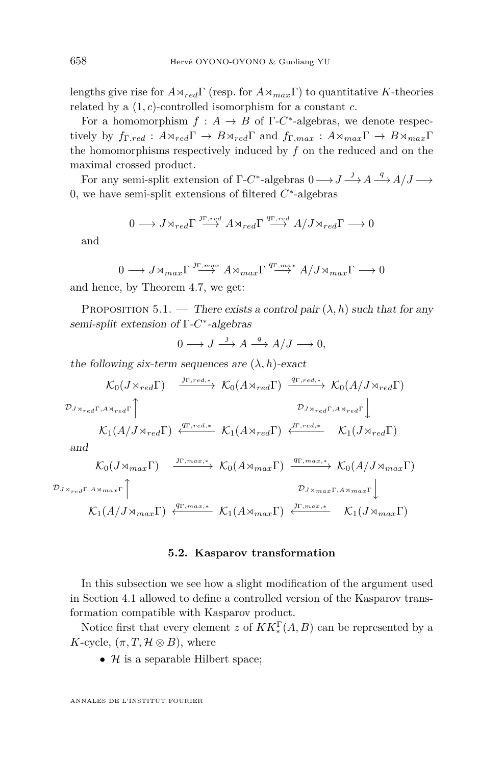lengths give rise for  $A \rtimes_{red} \Gamma$  (resp. for  $A \rtimes_{max} \Gamma$ ) to quantitative *K*-theories related by a (1*, c*)-controlled isomorphism for a constant *c*.

For a homomorphism  $f : A \to B$  of  $\Gamma$ -*C*<sup>\*</sup>-algebras, we denote respectively by  $f_{\Gamma, red}: A \rtimes_{red} \Gamma \to B \rtimes_{red} \Gamma$  and  $f_{\Gamma, max}: A \rtimes_{max} \Gamma \to B \rtimes_{max} \Gamma$ the homomorphisms respectively induced by *f* on the reduced and on the maximal crossed product.

For any semi-split extension of  $\Gamma$ -*C*<sup>\*</sup>-algebras  $0 \longrightarrow J \longrightarrow A \longrightarrow A/J \longrightarrow$ 0, we have semi-split extensions of filtered *C* ∗ -algebras

$$
0\longrightarrow J\rtimes_{red}\Gamma \stackrel{\jmath_{\Gamma,red}}{\longrightarrow} A\rtimes_{red}\Gamma \stackrel{q_{\Gamma,red}}{\longrightarrow} A/J\rtimes_{red}\Gamma \longrightarrow 0
$$

and

 $0 \longrightarrow J \rtimes_{max} \Gamma \stackrel{J\Gamma, max}{\longrightarrow} A \rtimes_{max} \Gamma \stackrel{q\Gamma, max}{\longrightarrow} A/J \rtimes_{max} \Gamma \longrightarrow 0$ 

and hence, by Theorem [4.7,](#page-52-0) we get:

PROPOSITION 5.1. — There exists a control pair  $(\lambda, h)$  such that for any semi-split extension of Γ-C<sup>\*</sup>-algebras

$$
0 \longrightarrow J \stackrel{j}{\longrightarrow} A \stackrel{q}{\longrightarrow} A/J \longrightarrow 0,
$$

the following six-term sequences are  $(\lambda, h)$ -exact

$$
\mathcal{K}_{0}(J \rtimes_{red} \Gamma) \xrightarrow{\jmath_{\Gamma, red,*}} \mathcal{K}_{0}(A \rtimes_{red} \Gamma) \xrightarrow{\qquad q_{\Gamma, red,*}} \mathcal{K}_{0}(A/J \rtimes_{red} \Gamma)
$$
\n
$$
\mathcal{D}_{J \rtimes_{red} \Gamma, A \rtimes_{red} \Gamma} \uparrow \qquad \qquad \mathcal{D}_{J \rtimes_{red} \Gamma, A \rtimes_{red} \Gamma} \downarrow
$$
\n
$$
\mathcal{K}_{1}(A/J \rtimes_{red} \Gamma) \xleftarrow{\qquad q_{\Gamma, red,*}} \mathcal{K}_{1}(A \rtimes_{red} \Gamma) \xleftarrow{\qquad \qquad \qquad \qquad \mathcal{K}_{1}(J \rtimes_{red} \Gamma)}
$$
\nand\n
$$
\mathcal{K}_{0}(J \rtimes_{max} \Gamma) \xrightarrow{\jmath_{\Gamma, max,*}} \mathcal{K}_{0}(A \rtimes_{max} \Gamma) \xrightarrow{\qquad q_{\Gamma, max,*}} \mathcal{K}_{0}(A/J \rtimes_{max} \Gamma)
$$

$$
\mathcal{D}_{J \times_{real} \Gamma, A \times max \Gamma} \uparrow
$$
\n
$$
\mathcal{L}_{1}(A/J \times_{max} \Gamma) \xleftarrow{q_{\Gamma, max,*}} \mathcal{K}_{1}(A \times_{max} \Gamma) \xleftarrow{J \Gamma, max \Gamma} \mathcal{K}_{1}(J \times_{max} \Gamma)
$$

#### **5.2. Kasparov transformation**

In this subsection we see how a slight modification of the argument used in Section [4.1](#page-43-0) allowed to define a controlled version of the Kasparov transformation compatible with Kasparov product.

Notice first that every element *z* of  $KK_*^{\Gamma}(A, B)$  can be represented by a *K*-cycle,  $(\pi, T, \mathcal{H} \otimes B)$ , where

•  $\mathcal H$  is a separable Hilbert space;

ANNALES DE L'INSTITUT FOURIER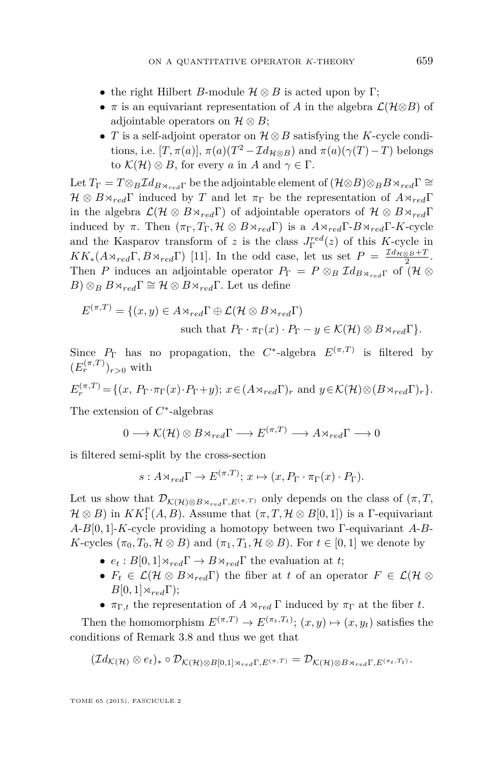- the right Hilbert *B*-module  $\mathcal{H} \otimes B$  is acted upon by Γ;
- $\pi$  is an equivariant representation of *A* in the algebra  $\mathcal{L}(\mathcal{H}\otimes B)$  of adjointable operators on  $\mathcal{H} \otimes B$ ;
- *T* is a self-adjoint operator on H ⊗*B* satisfying the *K*-cycle conditions, i.e.  $[T, \pi(a)]$ ,  $\pi(a)(T^2 - \mathcal{I}d_{\mathcal{H}\otimes B})$  and  $\pi(a)(\gamma(T) - T)$  belongs to  $\mathcal{K}(\mathcal{H}) \otimes B$ , for every *a* in *A* and  $\gamma \in \Gamma$ .

Let  $T_{\Gamma} = T \otimes_B \mathcal{I} d_{B \times red\Gamma}$  be the adjointable element of  $(\mathcal{H} \otimes B) \otimes_B B \times_{red} \Gamma \cong$  $\mathcal{H} \otimes B \rtimes_{red} \Gamma$  induced by *T* and let  $\pi_{\Gamma}$  be the representation of  $A \rtimes_{red} \Gamma$ in the algebra  $\mathcal{L}(\mathcal{H} \otimes B \rtimes_{red} \Gamma)$  of adjointable operators of  $\mathcal{H} \otimes B \rtimes_{red} \Gamma$ induced by  $\pi$ . Then  $(\pi_{\Gamma}, T_{\Gamma}, \mathcal{H} \otimes B \rtimes_{red} \Gamma)$  is a  $A \rtimes_{red} \Gamma \text{-} B \rtimes_{red} \Gamma$ -*K*-cycle and the Kasparov transform of *z* is the class  $J_{\Gamma}^{red}(z)$  of this K-cycle in  $KK_*(A \rtimes_{red} \Gamma, B \rtimes_{red} \Gamma)$  [\[11\]](#page-69-0). In the odd case, let us set  $P = \frac{\mathcal{I}d_{\mathcal{H} \otimes B} + T}{2}$ . Then *P* induces an adjointable operator  $P_{\Gamma} = P \otimes_B \mathcal{I} d_{B \otimes_{\mathbb{Z}^d} \Gamma}$  of  $(\mathcal{H} \otimes$ *B*) ⊗*B*  $\otimes$ *B* $\otimes$ <sub>red</sub>Γ $\cong$  *H*  $\otimes$  *B* $\otimes$ <sub>red</sub>Γ. Let us define

$$
E^{(\pi,T)} = \{(x,y) \in A \rtimes_{red} \Gamma \oplus \mathcal{L}(\mathcal{H} \otimes B \rtimes_{red} \Gamma) \text{ such that } P_{\Gamma} \cdot \pi_{\Gamma}(x) \cdot P_{\Gamma} - y \in \mathcal{K}(\mathcal{H}) \otimes B \rtimes_{red} \Gamma \}.
$$

Since  $P_{\Gamma}$  has no propagation, the  $C^*$ -algebra  $E^{(\pi,T)}$  is filtered by  $(E_r^{(\pi,T)})_{r>0}$  with

$$
E_r^{(\pi,T)} = \{ (x, P_\Gamma \cdot \pi_\Gamma(x) \cdot P_\Gamma + y); \ x \in (A \rtimes_{red} \Gamma)_r \text{ and } y \in \mathcal{K}(\mathcal{H}) \otimes (B \rtimes_{red} \Gamma)_r \}.
$$

The extension of *C* ∗ -algebras

$$
0 \longrightarrow \mathcal{K}(\mathcal{H}) \otimes B \rtimes_{red} \Gamma \longrightarrow E^{(\pi, T)} \longrightarrow A \rtimes_{red} \Gamma \longrightarrow 0
$$

is filtered semi-split by the cross-section

$$
s: A \rtimes_{red} \Gamma \to E^{(\pi, T)}; x \mapsto (x, P_{\Gamma} \cdot \pi_{\Gamma}(x) \cdot P_{\Gamma}).
$$

Let us show that  $\mathcal{D}_{\mathcal{K}(\mathcal{H})\otimes B\rtimes_{red}\Gamma, E^{(\pi,\mathcal{T})}}$  only depends on the class of  $(\pi, T, \mathcal{T})$  $\mathcal{H} \otimes B$ ) in  $KK_1^{\Gamma}(A, B)$ . Assume that  $(\pi, T, \mathcal{H} \otimes B[0, 1])$  is a  $\Gamma$ -equivariant *A*-*B*[0*,* 1]-*K*-cycle providing a homotopy between two Γ-equivariant *A*-*B*-*K*-cycles  $(\pi_0, T_0, \mathcal{H} \otimes B)$  and  $(\pi_1, T_1, \mathcal{H} \otimes B)$ . For  $t \in [0, 1]$  we denote by

- $e_t : B[0,1] \rtimes_{red} \Gamma \rightarrow B \rtimes_{red} \Gamma$  the evaluation at *t*;
- $F_t \in \mathcal{L}(\mathcal{H} \otimes B \rtimes_{red} \Gamma)$  the fiber at *t* of an operator  $F \in \mathcal{L}(\mathcal{H} \otimes$  $B[0,1]\rtimes_{red}\Gamma);$
- $\pi_{\Gamma,t}$  the representation of  $A \rtimes_{red} \Gamma$  induced by  $\pi_{\Gamma}$  at the fiber *t*.

Then the homomorphism  $E^{(\pi,T)} \to E^{(\pi_t,T_t)}$ ;  $(x, y) \mapsto (x, y_t)$  satisfies the conditions of Remark [3.8](#page-32-0) and thus we get that

$$
(\mathcal{I}d_{\mathcal{K}(\mathcal{H})}\otimes e_t)_*\circ \mathcal{D}_{\mathcal{K}(\mathcal{H})\otimes B[0,1]\rtimes_{red}\Gamma,E^{(\pi,T)}}=\mathcal{D}_{\mathcal{K}(\mathcal{H})\otimes B\rtimes_{red}\Gamma,E^{(\pi_t,T_t)}}.
$$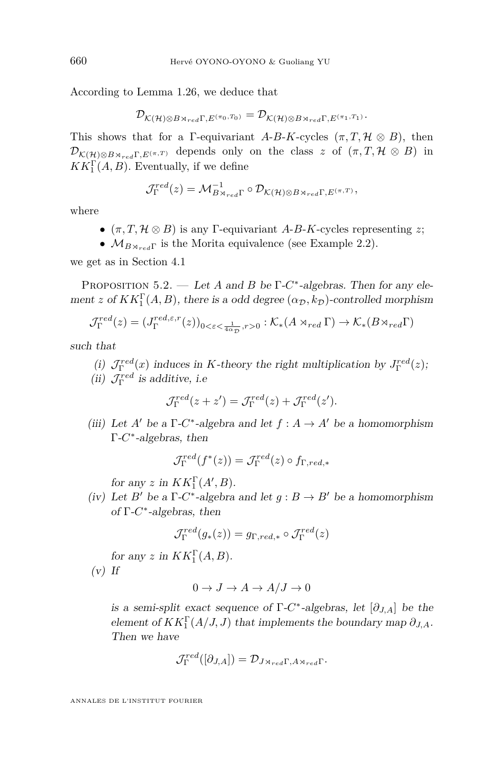According to Lemma [1.26,](#page-14-0) we deduce that

$$
\mathcal{D}_{\mathcal{K}(\mathcal{H})\otimes B\rtimes_{red}\Gamma, E^{(\pi_0, T_0)}}=\mathcal{D}_{\mathcal{K}(\mathcal{H})\otimes B\rtimes_{red}\Gamma, E^{(\pi_1, T_1)}}.
$$

This shows that for a  $\Gamma$ -equivariant *A-B-K-cycles*  $(\pi, T, \mathcal{H} \otimes B)$ , then  $\mathcal{D}_{\mathcal{K}(H)\otimes B\rtimes_{red}\Gamma, E^{(\pi,T)}}$  depends only on the class *z* of  $(\pi, T, \mathcal{H}\otimes B)$  in  $KK_1^{\Gamma}(A, B)$ . Eventually, if we define

$$
\mathcal{J}_{\Gamma}^{red}(z) = \mathcal{M}_{B \rtimes_{red} \Gamma}^{-1} \circ \mathcal{D}_{\mathcal{K}(\mathcal{H}) \otimes B \rtimes_{red} \Gamma, E^{(\pi, T)}},
$$

where

- $(\pi, T, \mathcal{H} \otimes B)$  is any  $\Gamma$ -equivariant *A-B-K*-cycles representing *z*;
- $M_{B\times_{red}Γ}$  is the Morita equivalence (see Example [2.2\)](#page-22-0).

we get as in Section [4.1](#page-43-0)

Proposition 5.2. — Let *A* and *B* be Γ-*C* ∗ -algebras. Then for any element *z* of  $KK_1^{\Gamma}(A, B)$ , there is a odd degree  $(\alpha_{\mathcal{D}}, k_{\mathcal{D}})$ -controlled morphism

$$
\mathcal{J}_{\Gamma}^{red}(z) = (J_{\Gamma}^{red,\varepsilon,r}(z))_{0<\varepsilon<\frac{1}{4\alpha_{\mathcal{D}}},r>0} : \mathcal{K}_*(A \rtimes_{red} \Gamma) \to \mathcal{K}_*(B \rtimes_{red} \Gamma)
$$

such that

- (*i*)  $\mathcal{J}_{\Gamma}^{red}(x)$  induces in *K*-theory the right multiplication by  $J_{\Gamma}^{red}(z)$ ;
- (ii)  $\mathcal{J}_{\Gamma}^{red}$  is additive, i.e

$$
\mathcal{J}_{\Gamma}^{red}(z+z') = \mathcal{J}_{\Gamma}^{red}(z) + \mathcal{J}_{\Gamma}^{red}(z').
$$

(iii) Let *A'* be a  $\Gamma$ -*C*<sup>\*</sup>-algebra and let  $f : A \to A'$  be a homomorphism Γ-*C* ∗ -algebras, then

$$
\mathcal{J}_{\Gamma}^{red}(f^*(z)) = \mathcal{J}_{\Gamma}^{red}(z) \circ f_{\Gamma, red,*}
$$

for any *z* in  $KK_1^{\Gamma}(A', B)$ .

(iv) Let *B*<sup> $\prime$ </sup> be a  $\Gamma$ -*C*<sup>\*</sup>-algebra and let  $g : B \to B'$  be a homomorphism of Γ-*C* ∗ -algebras, then

$$
\mathcal{J}_{\Gamma}^{red}(g_*(z)) = g_{\Gamma, red, *} \circ \mathcal{J}_{\Gamma}^{red}(z)
$$

for any *z* in  $KK_1^{\Gamma}(A, B)$ .

 $(v)$  If

$$
0 \to J \to A \to A/J \to 0
$$

is a semi-split exact sequence of  $\Gamma$ -*C*<sup>\*</sup>-algebras, let  $[\partial_{J,A}]$  be the element of  $KK_1^{\Gamma}(A/J, J)$  that implements the boundary map  $\partial_{J, A}$ . Then we have

$$
\mathcal{J}_{\Gamma}^{red}([\partial_{J,A}]) = \mathcal{D}_{J \rtimes_{red} \Gamma, A \rtimes_{red} \Gamma}.
$$

ANNALES DE L'INSTITUT FOURIER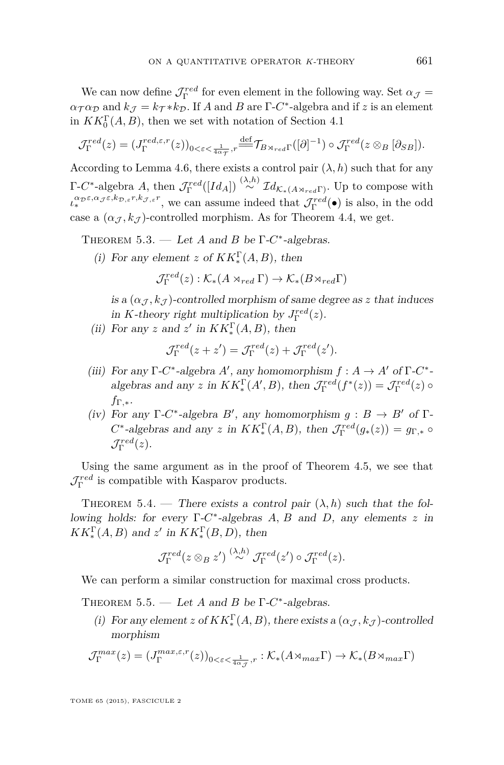<span id="page-57-0"></span>We can now define  $\mathcal{J}_{\Gamma}^{red}$  for even element in the following way. Set  $\alpha_{\mathcal{J}} =$  $\alpha_{\mathcal{T}} \alpha_{\mathcal{D}}$  and  $k_{\mathcal{J}} = k_{\mathcal{T}} * k_{\mathcal{D}}$ . If *A* and *B* are  $\Gamma$ -*C*<sup>\*</sup>-algebra and if *z* is an element in  $KK_0^{\Gamma}(A, B)$ , then we set with notation of Section [4.1](#page-43-0)

$$
\mathcal{J}_{\Gamma}^{red}(z) = (J_{\Gamma}^{red,\varepsilon,r}(z))_{0<\varepsilon<\frac{1}{4\alpha\tau},r} \stackrel{\text{def}}{=} \mathcal{T}_{B\rtimes_{red}\Gamma}([\partial]^{-1}) \circ \mathcal{J}_{\Gamma}^{red}(z\otimes_B[\partial_{SB}]).
$$

According to Lemma [4.6,](#page-50-0) there exists a control pair  $(\lambda, h)$  such that for any  $\Gamma$ -*C*<sup>\*</sup>-algebra *A*, then  $\mathcal{J}_{\Gamma}^{red}([Id_A]) \stackrel{(\lambda,h)}{\sim} \mathcal{I}d_{\mathcal{K}_*(A \rtimes_{red}\Gamma)}$ . Up to compose with Γ  $\iota_*^{\alpha_{\mathcal{D}}\varepsilon,\alpha_{\mathcal{J}}\varepsilon,k_{\mathcal{D},\varepsilon}r,k_{\mathcal{J},\varepsilon}r}$ , we can assume indeed that  $\mathcal{J}_{\Gamma}^{red}(\bullet)$  is also, in the odd case a  $(\alpha_{\mathcal{J}}, k_{\mathcal{J}})$ -controlled morphism. As for Theorem [4.4,](#page-48-0) we get.

THEOREM 5.3. — Let *A* and *B* be  $\Gamma$ -*C*<sup>\*</sup>-algebras.

(*i*) For any element *z* of  $KK_*^{\Gamma}(A, B)$ , then

$$
\mathcal{J}_{\Gamma}^{red}(z): \mathcal{K}_{*}(A \rtimes_{red} \Gamma) \to \mathcal{K}_{*}(B \rtimes_{red} \Gamma)
$$

is a  $(\alpha_{\mathcal{I}}, k_{\mathcal{I}})$ -controlled morphism of same degree as *z* that induces in *K*-theory right multiplication by  $J_{\Gamma}^{red}(z)$ .

(ii) For any *z* and *z'* in  $KK_*^{\Gamma}(A, B)$ , then

$$
\mathcal{J}_{\Gamma}^{red}(z+z') = \mathcal{J}_{\Gamma}^{red}(z) + \mathcal{J}_{\Gamma}^{red}(z').
$$

- (iii) For any  $\Gamma$ -*C*<sup>\*</sup>-algebra *A'*, any homomorphism  $f : A \to A'$  of  $\Gamma$ -*C*<sup>\*</sup>algebras and any *z* in  $KK_*^{\Gamma}(A', B)$ , then  $\mathcal{J}_{\Gamma}^{red}(f^*(z)) = \mathcal{J}_{\Gamma}^{red}(z) \circ$ *f*Γ*,*<sup>∗</sup>.
- (iv) For any  $\Gamma$ -*C*<sup>\*</sup>-algebra *B*<sup>*'*</sup>, any homomorphism *g* : *B*  $\rightarrow$  *B*<sup>*'*</sup> of  $\Gamma$ - $C^*$ -algebras and any *z* in  $KK_*^{\Gamma}(A, B)$ , then  $\mathcal{J}_{\Gamma}^{red}(g_*(z)) = g_{\Gamma, *} \circ$  $\mathcal{J}^{red}_\Gamma(z).$

Using the same argument as in the proof of Theorem [4.5,](#page-49-0) we see that  $\mathcal{J}_{\Gamma}^{red}$  is compatible with Kasparov products.

THEOREM 5.4. — There exists a control pair  $(\lambda, h)$  such that the following holds: for every Γ-*C* ∗ -algebras *A, B* and *D*, any elements *z* in  $KK_*^{\Gamma}(A, B)$  and  $z'$  in  $KK_*^{\Gamma}(B, D)$ , then

$$
\mathcal{J}_{\Gamma}^{red}(z \otimes_B z') \stackrel{(\lambda,h)}{\sim} \mathcal{J}_{\Gamma}^{red}(z') \circ \mathcal{J}_{\Gamma}^{red}(z).
$$

We can perform a similar construction for maximal cross products.

THEOREM 5.5. — Let *A* and *B* be  $\Gamma$ -*C*<sup>\*</sup>-algebras.

(i) For any element *z* of  $KK_*^{\Gamma}(A, B)$ , there exists a  $(\alpha_{\mathcal{J}}, k_{\mathcal{J}})$ -controlled morphism

$$
\mathcal{J}_{\Gamma}^{max}(z) = (J_{\Gamma}^{max,\varepsilon,r}(z))_{0<\varepsilon<\frac{1}{4\alpha_{\mathcal{J}}},r}: \mathcal{K}_{*}(A\rtimes_{max}\Gamma) \to \mathcal{K}_{*}(B\rtimes_{max}\Gamma)
$$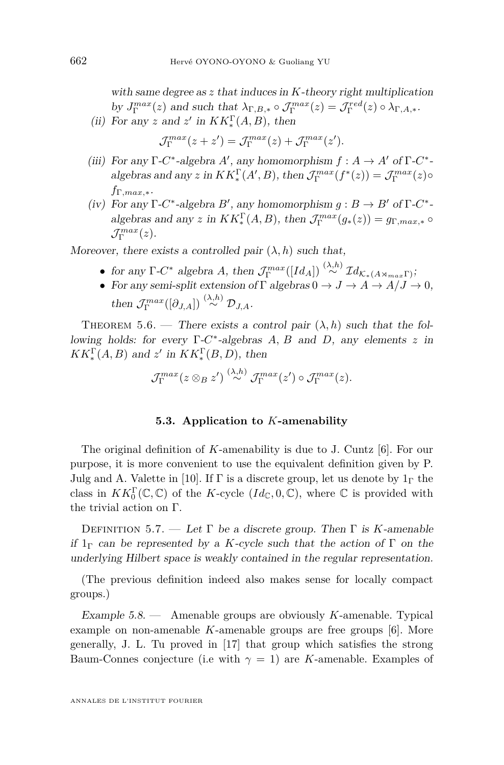<span id="page-58-0"></span>with same degree as *z* that induces in *K*-theory right multiplication by  $J_{\Gamma}^{max}(z)$  and such that  $\lambda_{\Gamma,B,*} \circ \mathcal{J}_{\Gamma}^{max}(z) = \mathcal{J}_{\Gamma}^{red}(z) \circ \lambda_{\Gamma,A,*}.$ 

(ii) For any *z* and *z'* in  $KK_*^{\Gamma}(A, B)$ , then

$$
\mathcal{J}_{\Gamma}^{max}(z+z') = \mathcal{J}_{\Gamma}^{max}(z) + \mathcal{J}_{\Gamma}^{max}(z').
$$

- (iii) For any  $\Gamma$ -*C*<sup>\*</sup>-algebra *A'*, any homomorphism  $f : A \to A'$  of  $\Gamma$ -*C*<sup>\*</sup>algebras and any *z* in  $KK_*^{\Gamma}(A', B)$ , then  $\mathcal{J}_{\Gamma}^{max}(f^*(z)) = \mathcal{J}_{\Gamma}^{max}(z) \circ$ *f*Γ*,max,*∗.
- (iv) For any  $\Gamma$ -*C*<sup>\*</sup>-algebra *B*', any homomorphism  $g : B \to B'$  of  $\Gamma$ -*C*<sup>\*</sup>algebras and any *z* in  $KK_*^{\Gamma}(A, B)$ , then  $\mathcal{J}_{\Gamma}^{max}(g_*(z)) = g_{\Gamma,max,*} \circ$  $\mathcal{J}_{\Gamma}^{max}(z).$

Moreover, there exists a controlled pair  $(\lambda, h)$  such that,

- for any  $\Gamma$ -*C*<sup>\*</sup> algebra *A*, then  $\mathcal{J}_{\Gamma}^{max}([Id_A]) \stackrel{(\lambda,h)}{\sim} \mathcal{I} d_{\mathcal{K}_*(A \rtimes_{max} \Gamma)}$ ;
- For any semi-split extension of  $\Gamma$  algebras  $0 \to J \to A \to A/J \to 0$ , then  $\mathcal{J}_{\Gamma}^{max}([\partial_{J,A}]) \stackrel{(\lambda,h)}{\sim} \mathcal{D}_{J,A}.$

THEOREM 5.6. — There exists a control pair  $(\lambda, h)$  such that the following holds: for every Γ-*C* ∗ -algebras *A, B* and *D*, any elements *z* in  $KK_*^{\Gamma}(A, B)$  and  $z'$  in  $KK_*^{\Gamma}(B, D)$ , then

$$
\mathcal{J}^{max}_{\Gamma}(z\otimes_B z') \stackrel{(\lambda,h)}{\sim} \mathcal{J}^{max}_{\Gamma}(z')\circ \mathcal{J}^{max}_{\Gamma}(z).
$$

#### **5.3. Application to** *K***-amenability**

The original definition of *K*-amenability is due to J. Cuntz [\[6\]](#page-69-0). For our purpose, it is more convenient to use the equivalent definition given by P. Julg and A. Valette in [\[10\]](#page-69-0). If  $\Gamma$  is a discrete group, let us denote by  $1_{\Gamma}$  the class in  $KK_0^{\Gamma}(\mathbb{C}, \mathbb{C})$  of the *K*-cycle  $(Id_{\mathbb{C}}, 0, \mathbb{C})$ , where  $\mathbb{C}$  is provided with the trivial action on Γ.

Definition 5.7. — Let Γ be a discrete group. Then Γ is *K*-amenable if  $1_{\Gamma}$  can be represented by a *K*-cycle such that the action of  $\Gamma$  on the underlying Hilbert space is weakly contained in the regular representation.

(The previous definition indeed also makes sense for locally compact groups.)

Example 5.8. — Amenable groups are obviously *K*-amenable. Typical example on non-amenable *K*-amenable groups are free groups [\[6\]](#page-69-0). More generally, J. L. Tu proved in [\[17\]](#page-69-0) that group which satisfies the strong Baum-Connes conjecture (i.e with  $\gamma = 1$ ) are *K*-amenable. Examples of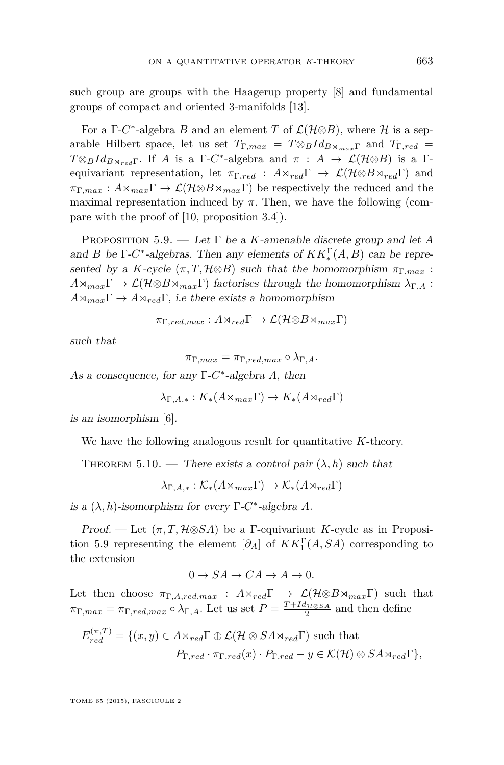such group are groups with the Haagerup property [\[8\]](#page-69-0) and fundamental groups of compact and oriented 3-manifolds [\[13\]](#page-69-0).

For a  $\Gamma$ -*C*<sup>\*</sup>-algebra *B* and an element *T* of  $\mathcal{L}(\mathcal{H}\otimes B)$ , where  $\mathcal{H}$  is a separable Hilbert space, let us set  $T_{\Gamma,max} = T \otimes_B Id_{B \rtimes_{max} \Gamma}$  and  $T_{\Gamma, red} =$  $T \otimes_B Id_{B \rtimes_{red} Γ}$ . If *A* is a Γ-*C*<sup>\*</sup>-algebra and *π* : *A* →  $\mathcal{L}(\mathcal{H} \otimes B)$  is a Γequivariant representation, let  $\pi_{\Gamma, red}$  :  $A \rtimes_{red} \Gamma \rightarrow \mathcal{L}(\mathcal{H} \otimes B \rtimes_{red} \Gamma)$  and  $\pi_{\Gamma,max}: A \rtimes_{max} \Gamma \to \mathcal{L}(\mathcal{H} \otimes B \rtimes_{max} \Gamma)$  be respectively the reduced and the maximal representation induced by  $\pi$ . Then, we have the following (compare with the proof of [\[10,](#page-69-0) proposition 3.4]).

Proposition 5.9. — Let Γ be a *K*-amenable discrete group and let *A* and *B* be  $\Gamma$ -*C*<sup>\*</sup>-algebras. Then any elements of  $KK_*^{\Gamma}(A, B)$  can be represented by a *K*-cycle  $(\pi, T, \mathcal{H} \otimes B)$  such that the homomorphism  $\pi_{\Gamma,max}$ :  $A\rtimes_{max}\Gamma \to \mathcal{L}(\mathcal{H}\otimes B\rtimes_{max}\Gamma)$  factorises through the homomorphism  $\lambda_{\Gamma,A}$ :  $A \rtimes_{max} \Gamma \rightarrow A \rtimes_{red} \Gamma$ , *i.e there exists a homomorphism* 

$$
\pi_{\Gamma, red, max}: A \rtimes_{red} \Gamma \to \mathcal{L}(\mathcal{H} \otimes B \rtimes_{max} \Gamma)
$$

such that

$$
\pi_{\Gamma,max} = \pi_{\Gamma, red,max} \circ \lambda_{\Gamma,A}.
$$

As a consequence, for any Γ-*C* ∗ -algebra *A*, then

$$
\lambda_{\Gamma,A,*}: K_*(A \rtimes_{max} \Gamma) \to K_*(A \rtimes_{red} \Gamma)
$$

is an isomorphism [\[6\]](#page-69-0).

We have the following analogous result for quantitative *K*-theory.

THEOREM 5.10. — There exists a control pair  $(\lambda, h)$  such that

 $\lambda_{\Gamma} A_* : \mathcal{K}_*(A \rtimes_{max} \Gamma) \to \mathcal{K}_*(A \rtimes_{red} \Gamma)$ 

is a  $(\lambda, h)$ -isomorphism for every  $\Gamma$ -*C*<sup>\*</sup>-algebra *A*.

Proof. — Let  $(\pi, T, \mathcal{H} \otimes SA)$  be a Γ-equivariant *K*-cycle as in Proposition 5.9 representing the element  $[\partial_A]$  of  $KK_1^{\Gamma}(A, SA)$  corresponding to the extension

$$
0 \to SA \to CA \to A \to 0.
$$

Let then choose  $\pi_{\Gamma,A,red,max}$  :  $A \rtimes_{red} \Gamma \rightarrow \mathcal{L}(\mathcal{H} \otimes B \rtimes_{max} \Gamma)$  such that  $\pi_{\Gamma,max} = \pi_{\Gamma, red,max} \circ \lambda_{\Gamma,A}$ . Let us set  $P = \frac{T + Id_{\mathcal{H}\otimes S_A}}{2}$  and then define

$$
E_{red}^{(\pi,T)} = \{(x,y) \in A \rtimes_{red} \Gamma \oplus \mathcal{L}(\mathcal{H} \otimes SA \rtimes_{red} \Gamma) \text{ such that}
$$
  

$$
P_{\Gamma, red} \cdot \pi_{\Gamma, red}(x) \cdot P_{\Gamma, red} - y \in \mathcal{K}(\mathcal{H}) \otimes SA \rtimes_{red} \Gamma \},
$$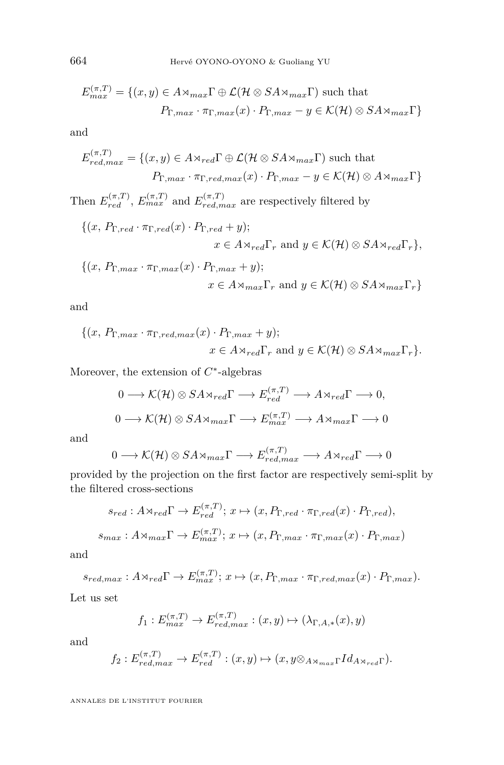$$
E_{max}^{(\pi,T)} = \{(x,y) \in A \rtimes_{max} \Gamma \oplus \mathcal{L}(\mathcal{H} \otimes SA \rtimes_{max} \Gamma) \text{ such that}
$$

$$
P_{\Gamma,max} \cdot \pi_{\Gamma,max}(x) \cdot P_{\Gamma,max} - y \in \mathcal{K}(\mathcal{H}) \otimes SA \rtimes_{max} \Gamma\}
$$

and

$$
E_{red,max}^{(\pi,T)} = \{(x,y) \in A \rtimes_{red} \Gamma \oplus \mathcal{L}(\mathcal{H} \otimes SA \rtimes_{max} \Gamma) \text{ such that}
$$

$$
P_{\Gamma,max} \cdot \pi_{\Gamma, red,max}(x) \cdot P_{\Gamma,max} - y \in \mathcal{K}(\mathcal{H}) \otimes A \rtimes_{max} \Gamma\}
$$

Then  $E_{red}^{(\pi,T)}$ ,  $E_{max}^{(\pi,T)}$  and  $E_{red,max}^{(\pi,T)}$  are respectively filtered by

$$
\{(x, P_{\Gamma, red} \cdot \pi_{\Gamma, red}(x) \cdot P_{\Gamma, red} + y); x \in A \rtimes_{red} \Gamma_r \text{ and } y \in \mathcal{K}(\mathcal{H}) \otimes SA \rtimes_{red} \Gamma_r \},\
$$

$$
\{(x, P_{\Gamma,max} \cdot \pi_{\Gamma,max}(x) \cdot P_{\Gamma,max} + y);
$$
  

$$
x \in A \rtimes_{max} \Gamma_r \text{ and } y \in \mathcal{K}(\mathcal{H}) \otimes SA \rtimes_{max} \Gamma_r\}
$$

and

$$
\{(x, P_{\Gamma,max} \cdot \pi_{\Gamma, red, max}(x) \cdot P_{\Gamma,max} + y);
$$
  

$$
x \in A \rtimes_{red} \Gamma_r \text{ and } y \in \mathcal{K}(\mathcal{H}) \otimes SA \rtimes_{max} \Gamma_r \}.
$$

Moreover, the extension of  $C^*$ -algebras

$$
0 \longrightarrow \mathcal{K}(\mathcal{H}) \otimes SA \times_{red} \Gamma \longrightarrow E_{red}^{(\pi, T)} \longrightarrow A \times_{red} \Gamma \longrightarrow 0,
$$
  

$$
0 \longrightarrow \mathcal{K}(\mathcal{H}) \otimes SA \times_{max} \Gamma \longrightarrow E_{max}^{(\pi, T)} \longrightarrow A \times_{max} \Gamma \longrightarrow 0
$$

and

$$
0 \longrightarrow \mathcal{K}(\mathcal{H}) \otimes SA \rtimes_{max} \Gamma \longrightarrow E_{red,max}^{(\pi, T)} \longrightarrow A \rtimes_{red} \Gamma \longrightarrow 0
$$

provided by the projection on the first factor are respectively semi-split by the filtered cross-sections

$$
s_{red}: A \rtimes_{red} \Gamma \to E_{red}^{(\pi, T)}; x \mapsto (x, P_{\Gamma, red} \cdot \pi_{\Gamma, red}(x) \cdot P_{\Gamma, red}),
$$
  

$$
s_{max}: A \rtimes_{max} \Gamma \to E_{max}^{(\pi, T)}; x \mapsto (x, P_{\Gamma, max} \cdot \pi_{\Gamma, max}(x) \cdot P_{\Gamma, max})
$$

and

$$
s_{red,max}: A \rtimes_{red} \Gamma \to E_{max}^{(\pi, T)}; x \mapsto (x, P_{\Gamma,max} \cdot \pi_{\Gamma, red,max}(x) \cdot P_{\Gamma,max}).
$$

Let us set

$$
f_1: E_{max}^{(\pi,T)} \to E_{red,max}^{(\pi,T)} : (x,y) \mapsto (\lambda_{\Gamma,A,*}(x),y)
$$

and

$$
f_2: E_{red,max}^{(\pi,T)} \to E_{red}^{(\pi,T)} : (x,y) \mapsto (x,y \otimes_{A \rtimes_{max} \Gamma} Id_{A \rtimes_{red} \Gamma}).
$$

ANNALES DE L'INSTITUT FOURIER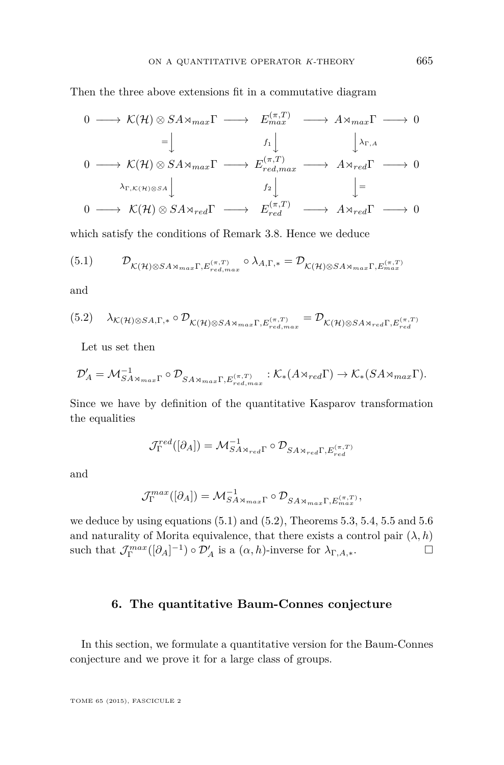Then the three above extensions fit in a commutative diagram

$$
0 \longrightarrow \mathcal{K}(\mathcal{H}) \otimes SA \rtimes_{max} \Gamma \longrightarrow E_{max}^{(\pi, T)} \longrightarrow A \rtimes_{max} \Gamma \longrightarrow 0
$$
  
\n
$$
= \downarrow f_1 \downarrow \qquad \qquad \downarrow \searrow_{r, A}
$$
  
\n
$$
0 \longrightarrow \mathcal{K}(\mathcal{H}) \otimes SA \rtimes_{max} \Gamma \longrightarrow E_{red,max}^{(\pi, T)} \longrightarrow A \rtimes_{red} \Gamma \longrightarrow 0
$$
  
\n
$$
\downarrow_{\Gamma, \mathcal{K}(\mathcal{H}) \otimes SA} \downarrow f_2 \downarrow \qquad \qquad \downarrow =
$$
  
\n
$$
0 \longrightarrow \mathcal{K}(\mathcal{H}) \otimes SA \rtimes_{red} \Gamma \longrightarrow E_{red}^{(\pi, T)} \longrightarrow A \rtimes_{red} \Gamma \longrightarrow 0
$$

which satisfy the conditions of Remark [3.8.](#page-32-0) Hence we deduce

$$
(5.1) \qquad \mathcal{D}_{\mathcal{K}(\mathcal{H})\otimes SA\rtimes_{max}\Gamma, E_{red,max}^{(\pi,T)}} \circ \lambda_{A,\Gamma,*} = \mathcal{D}_{\mathcal{K}(\mathcal{H})\otimes SA\rtimes_{max}\Gamma, E_{max}^{(\pi,T)}}
$$

and

$$
(5.2) \quad \lambda_{\mathcal{K}(\mathcal{H})\otimes SA,\Gamma,\ast}\circ \mathcal{D}_{\mathcal{K}(\mathcal{H})\otimes SA\rtimes_{max}\Gamma,\mathbb{E}_{red,max}^{(\pi,T)}}=\mathcal{D}_{\mathcal{K}(\mathcal{H})\otimes SA\rtimes_{red}\Gamma,\mathbb{E}_{red}^{(\pi,T)}}
$$

Let us set then

$$
\mathcal{D}'_A = \mathcal{M}_{SA \rtimes_{max} \Gamma}^{-1} \circ \mathcal{D}_{SA \rtimes_{max} \Gamma, E_{red,max}^{(\pi, T)}} : \mathcal{K}_*(A \rtimes_{red} \Gamma) \to \mathcal{K}_*(SA \rtimes_{max} \Gamma).
$$

Since we have by definition of the quantitative Kasparov transformation the equalities

$$
\mathcal{J}^{red}_{\Gamma}([\partial_A])=\mathcal{M}^{-1}_{SA\rtimes_{red}\Gamma}\circ \mathcal{D}_{SA\rtimes_{red}\Gamma,E_{red}^{(\pi,T)}}
$$

and

$$
\mathcal{J}_{\Gamma}^{max}([\partial_A]) = \mathcal{M}_{SA \rtimes_{max} \Gamma}^{-1} \circ \mathcal{D}_{SA \rtimes_{max} \Gamma, E_{max}^{(\pi, T)}},
$$

we deduce by using equations  $(5.1)$  and  $(5.2)$ , Theorems  $5.3, 5.4, 5.5$  $5.3, 5.4, 5.5$  $5.3, 5.4, 5.5$  $5.3, 5.4, 5.5$  $5.3, 5.4, 5.5$  and  $5.6$ and naturality of Morita equivalence, that there exists a control pair  $(\lambda, h)$ such that  $\mathcal{J}_{\Gamma}^{max}([\partial_{A}]^{-1}) \circ \mathcal{D}'_{A}$  is a  $(\alpha, h)$ -inverse for  $\lambda_{\Gamma,A,*}$ .

#### **6. The quantitative Baum-Connes conjecture**

In this section, we formulate a quantitative version for the Baum-Connes conjecture and we prove it for a large class of groups.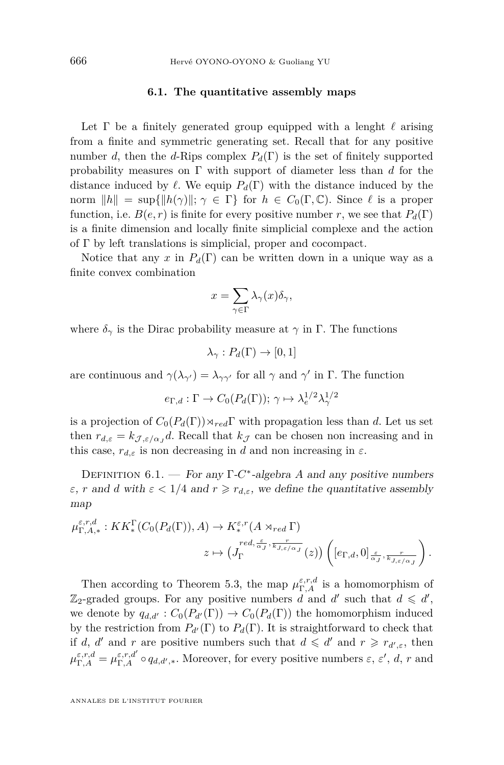#### **6.1. The quantitative assembly maps**

<span id="page-62-0"></span>Let  $\Gamma$  be a finitely generated group equipped with a lenght  $\ell$  arising from a finite and symmetric generating set. Recall that for any positive number *d*, then the *d*-Rips complex  $P_d(\Gamma)$  is the set of finitely supported probability measures on Γ with support of diameter less than *d* for the distance induced by  $\ell$ . We equip  $P_d(\Gamma)$  with the distance induced by the norm  $||h|| = \sup{||h(\gamma)||}$ ;  $\gamma \in \Gamma$ } for  $h \in C_0(\Gamma, \mathbb{C})$ . Since  $\ell$  is a proper function, i.e.  $B(e, r)$  is finite for every positive number *r*, we see that  $P_d(\Gamma)$ is a finite dimension and locally finite simplicial complexe and the action of Γ by left translations is simplicial, proper and cocompact.

Notice that any *x* in  $P_d(\Gamma)$  can be written down in a unique way as a finite convex combination

$$
x = \sum_{\gamma \in \Gamma} \lambda_{\gamma}(x) \delta_{\gamma},
$$

where  $\delta_{\gamma}$  is the Dirac probability measure at  $\gamma$  in  $\Gamma$ . The functions

$$
\lambda_{\gamma}: P_d(\Gamma) \to [0,1]
$$

are continuous and  $\gamma(\lambda_{\gamma'}) = \lambda_{\gamma\gamma'}$  for all  $\gamma$  and  $\gamma'$  in  $\Gamma$ . The function

$$
e_{\Gamma,d} : \Gamma \to C_0(P_d(\Gamma)); \gamma \mapsto \lambda_e^{1/2} \lambda_\gamma^{1/2}
$$

is a projection of  $C_0(P_d(\Gamma)) \rtimes_{red} \Gamma$  with propagation less than *d*. Let us set then  $r_{d,\varepsilon} = k_{\mathcal{J},\varepsilon/\alpha_J}d$ . Recall that  $k_{\mathcal{J}}$  can be chosen non increasing and in this case,  $r_{d,\varepsilon}$  is non decreasing in *d* and non increasing in  $\varepsilon$ .

DEFINITION  $6.1.$  – For any  $\Gamma$ -C<sup>\*</sup>-algebra *A* and any positive numbers *ε*, *r* and *d* with  $\varepsilon < 1/4$  and  $r \ge r_{d,\varepsilon}$ , we define the quantitative assembly map

$$
\mu_{\Gamma,A,*}^{\varepsilon,r,d}: KK^{\Gamma}_{*}(C_0(P_d(\Gamma)),A) \to K^{\varepsilon,r}_{*}(A \rtimes_{red} \Gamma)
$$

$$
z \mapsto (J_{\Gamma}^{red, \frac{\varepsilon}{\alpha_J}, \frac{r}{k_{J,\varepsilon/\alpha_J}}}(z)) \left( [e_{\Gamma,d}, 0]_{\frac{\varepsilon}{\alpha_J}, \frac{r}{k_{J,\varepsilon/\alpha_J}}} \right).
$$

Then according to Theorem [5.3,](#page-57-0) the map  $\mu_{\Gamma,A}^{\varepsilon,r,d}$  is a homomorphism of  $\mathbb{Z}_2$ -graded groups. For any positive numbers *d* and *d'* such that  $d \le d'$ , we denote by  $q_{d,d'}: C_0(P_{d'}(\Gamma)) \to C_0(P_d(\Gamma))$  the homomorphism induced by the restriction from  $P_{d}(\Gamma)$  to  $P_{d}(\Gamma)$ . It is straightforward to check that if *d*, *d'* and *r* are positive numbers such that  $d \le d'$  and  $r \ge r_{d',\varepsilon}$ , then  $\mu_{\Gamma,A}^{\varepsilon,r,d} = \mu_{\Gamma,A}^{\varepsilon,r,d'} \circ q_{d,d',*}$ . Moreover, for every positive numbers  $\varepsilon, \varepsilon', d, r$  and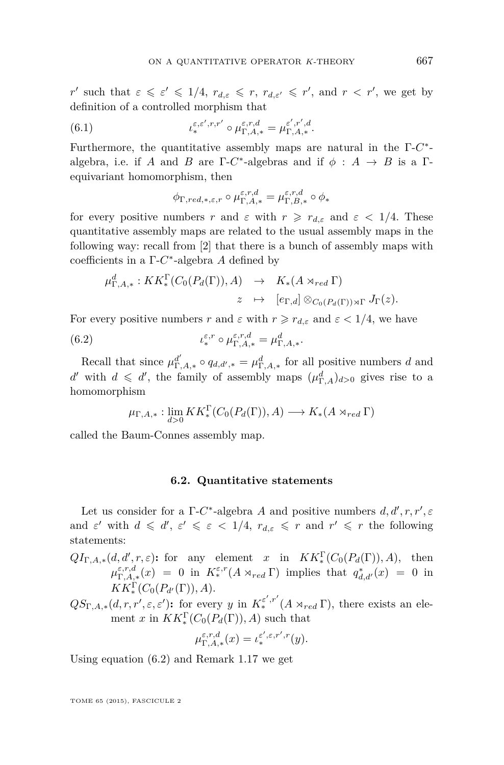<span id="page-63-0"></span>*r'* such that  $\varepsilon \leq \varepsilon' \leq 1/4$ ,  $r_{d,\varepsilon} \leq r$ ,  $r_{d,\varepsilon'} \leq r'$ , and  $r < r'$ , we get by definition of a controlled morphism that

(6.1) 
$$
\iota_*^{\varepsilon,\varepsilon',r,r'} \circ \mu_{\Gamma,A,*}^{\varepsilon,r,d} = \mu_{\Gamma,A,*}^{\varepsilon',r',d}.
$$

Furthermore, the quantitative assembly maps are natural in the Γ-*C* ∗ algebra, i.e. if *A* and *B* are  $\Gamma$ -*C*<sup>\*</sup>-algebras and if  $\phi$  :  $A \rightarrow B$  is a  $\Gamma$ equivariant homomorphism, then

$$
\phi_{\Gamma,red,*,\varepsilon,r}\circ \mu_{\Gamma,A,*}^{\varepsilon,r,d}=\mu_{\Gamma,B,*}^{\varepsilon,r,d}\circ \phi_*
$$

for every positive numbers *r* and  $\varepsilon$  with  $r \geq r_{d,\varepsilon}$  and  $\varepsilon < 1/4$ . These quantitative assembly maps are related to the usual assembly maps in the following way: recall from [\[2\]](#page-69-0) that there is a bunch of assembly maps with coefficients in a Γ-*C* ∗ -algebra *A* defined by

$$
\mu_{\Gamma,A,*}^d: KK_*^{\Gamma}(C_0(P_d(\Gamma)), A) \rightarrow K_*(A \rtimes_{red} \Gamma)
$$
  

$$
z \mapsto [e_{\Gamma,d}] \otimes_{C_0(P_d(\Gamma)) \rtimes \Gamma} J_{\Gamma}(z).
$$

For every positive numbers *r* and  $\varepsilon$  with  $r \ge r_{d,\varepsilon}$  and  $\varepsilon < 1/4$ , we have

(6.2) 
$$
\iota_*^{\varepsilon,r} \circ \mu_{\Gamma,A,*}^{\varepsilon,r,d} = \mu_{\Gamma,A,*}^d.
$$

Recall that since  $\mu_{\Gamma,A,*}^{d'} \circ q_{d,d',*} = \mu_{\Gamma,A,*}^d$  for all positive numbers *d* and *d*<sup>*d*</sup> with  $d \le d'$ , the family of assembly maps  $(\mu_{\Gamma,A}^d)_{d>0}$  gives rise to a homomorphism

$$
\mu_{\Gamma,A,*}: \lim_{d>0} KK^{\Gamma}_*(C_0(P_d(\Gamma)), A) \longrightarrow K_*(A \rtimes_{red} \Gamma)
$$

called the Baum-Connes assembly map.

#### **6.2. Quantitative statements**

Let us consider for a  $\Gamma$ -*C*<sup>\*</sup>-algebra *A* and positive numbers  $d, d', r, r', \varepsilon$ and  $\varepsilon'$  with  $d \leq d'$ ,  $\varepsilon' \leq \varepsilon < 1/4$ ,  $r_{d,\varepsilon} \leq r$  and  $r' \leq r$  the following statements:

 $QI_{\Gamma,A,*}(d,d',r,\varepsilon)$ : for any element *x* in  $KK^{\Gamma}_*(C_0(P_d(\Gamma)),A)$ , then  $\mu_{\Gamma,A,*}^{\varepsilon,r,d}(x) = 0$  in  $K_*^{\varepsilon,r}(A \rtimes_{red} \Gamma)$  implies that  $q_{d,d'}^*(x) = 0$  in  $KK_{*}^{\Gamma}(C_0(P_{d'}(\Gamma)), A).$ 

 $QS_{\Gamma,A,*}(d,r,r',\varepsilon,\varepsilon')$ : for every *y* in  $K_*^{\varepsilon',r'}(A \rtimes_{red} \Gamma)$ , there exists an element *x* in  $KK_*^{\Gamma}(C_0(P_d(\Gamma)), A)$  such that

$$
\mu_{\Gamma,A,*}^{\varepsilon,r,d}(x) = \iota_*^{\varepsilon',\varepsilon,r',r}(y).
$$

Using equation (6.2) and Remark [1.17](#page-10-0) we get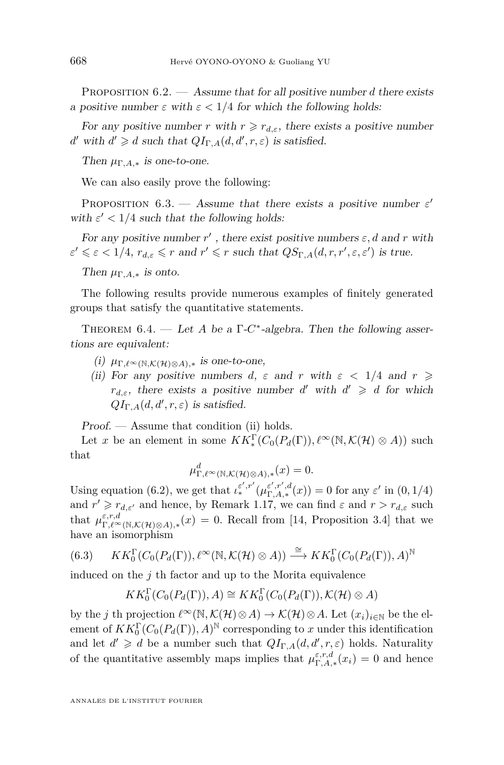<span id="page-64-0"></span>Proposition 6.2. — Assume that for all positive number *d* there exists a positive number  $\varepsilon$  with  $\varepsilon < 1/4$  for which the following holds:

For any positive number *r* with  $r \geq r_{d,\varepsilon}$ , there exists a positive number *d*<sup>'</sup> with  $d' \ge d$  such that  $QI_{\Gamma,A}(d,d',r,\varepsilon)$  is satisfied.

Then  $\mu_{\Gamma,A,*}$  is one-to-one.

We can also easily prove the following:

PROPOSITION 6.3. — Assume that there exists a positive number  $\varepsilon'$ with  $\varepsilon' < 1/4$  such that the following holds:

For any positive number  $r'$ , there exist positive numbers  $\varepsilon$ , d and  $r$  with  $\varepsilon' \leq \varepsilon < 1/4$ ,  $r_{d,\varepsilon} \leq r$  and  $r' \leq r$  such that  $QS_{\Gamma,A}(d,r,r',\varepsilon,\varepsilon')$  is true.

Then  $\mu_{\Gamma,A,*}$  is onto.

The following results provide numerous examples of finitely generated groups that satisfy the quantitative statements.

THEOREM  $6.4.$  — Let *A* be a  $\Gamma$ -*C*<sup>\*</sup>-algebra. Then the following assertions are equivalent:

- (i)  $\mu_{\Gamma,\ell^{\infty}(\mathbb{N},\mathcal{K}(\mathcal{H})\otimes A),*}$  is one-to-one,
- (ii) For any positive numbers  $d, \varepsilon$  and  $r$  with  $\varepsilon < 1/4$  and  $r \geq$ *r*<sub>*d,ε*</sub>, there exists a positive number *d'* with  $d' \ge d$  for which  $QI_{\Gamma,A}(d,d',r,\varepsilon)$  is satisfied.

Proof. — Assume that condition (ii) holds.

Let *x* be an element in some  $KK_*^{\Gamma}(C_0(P_d(\Gamma)), \ell^{\infty}(\mathbb{N}, \mathcal{K}(\mathcal{H}) \otimes A))$  such that

$$
\mu_{\Gamma,\ell^{\infty}(\mathbb{N},\mathcal{K}(\mathcal{H})\otimes A),*}^{d}(x)=0.
$$

Using equation [\(6.2\)](#page-63-0), we get that  $\iota_*^{\varepsilon',r'}(\mu_{\Gamma,A,*}^{\varepsilon',r',d}(x)) = 0$  for any  $\varepsilon'$  in  $(0,1/4)$ and  $r' \geq r_{d,\varepsilon'}$  and hence, by Remark [1.17,](#page-10-0) we can find  $\varepsilon$  and  $r > r_{d,\varepsilon}$  such that  $\mu_{\Gamma,\ell^{\infty}(\mathbb{N},\mathcal{K}(\mathcal{H})\otimes A),*}(x) = 0$ . Recall from [\[14,](#page-69-0) Proposition 3.4] that we have an isomorphism

(6.3) 
$$
KK_0^{\Gamma}(C_0(P_d(\Gamma)), \ell^{\infty}(\mathbb{N}, \mathcal{K}(\mathcal{H}) \otimes A)) \stackrel{\cong}{\longrightarrow} KK_0^{\Gamma}(C_0(P_d(\Gamma)), A)^{\mathbb{N}}
$$

induced on the *j* th factor and up to the Morita equivalence

$$
KK_0^{\Gamma}(C_0(P_d(\Gamma)), A) \cong KK_0^{\Gamma}(C_0(P_d(\Gamma)), \mathcal{K}(\mathcal{H}) \otimes A)
$$

by the *j* th projection  $\ell^{\infty}(\mathbb{N}, \mathcal{K}(\mathcal{H})\otimes A) \to \mathcal{K}(\mathcal{H})\otimes A$ . Let  $(x_i)_{i\in\mathbb{N}}$  be the element of  $KK_0^{\Gamma}(C_0(P_d(\Gamma)), A)^{\mathbb{N}}$  corresponding to *x* under this identification and let  $d' \geq d$  be a number such that  $QI_{\Gamma,A}(d,d',r,\varepsilon)$  holds. Naturality of the quantitative assembly maps implies that  $\mu_{\Gamma,A,*}^{\varepsilon,r,d}(x_i) = 0$  and hence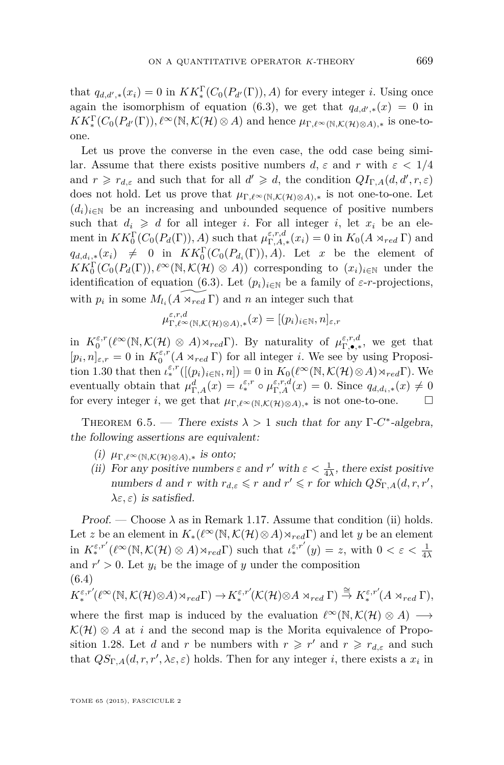<span id="page-65-0"></span>that  $q_{d,d',*}(x_i) = 0$  in  $KK_*^{\Gamma}(C_0(P_{d'}(\Gamma)), A)$  for every integer *i*. Using once again the isomorphism of equation [\(6.3\)](#page-64-0), we get that  $q_{d,d',*}(x) = 0$  in  $KK_*^{\Gamma}(C_0(P_{d'}(\Gamma)), \ell^{\infty}(\mathbb{N}, \mathcal{K}(\mathcal{H}) \otimes A)$  and hence  $\mu_{\Gamma, \ell^{\infty}(\mathbb{N}, \mathcal{K}(\mathcal{H}) \otimes A), *}$  is one-toone.

Let us prove the converse in the even case, the odd case being similar. Assume that there exists positive numbers  $d, \varepsilon$  and  $r$  with  $\varepsilon < 1/4$ and  $r \geq r_{d,\varepsilon}$  and such that for all  $d' \geq d$ , the condition  $QI_{\Gamma,A}(d,d',r,\varepsilon)$ does not hold. Let us prove that  $\mu_{\Gamma,\ell^{\infty}(\mathbb{N},\mathcal{K}(\mathcal{H})\otimes A),*}$  is not one-to-one. Let  $(d_i)_{i \in \mathbb{N}}$  be an increasing and unbounded sequence of positive numbers such that  $d_i \geq d$  for all integer *i*. For all integer *i*, let  $x_i$  be an element in  $KK_0^{\Gamma}(C_0(P_d(\Gamma)), A)$  such that  $\mu_{\Gamma,A,*}^{\varepsilon,r,d}(x_i) = 0$  in  $K_0(A \rtimes_{red} \Gamma)$  and  $q_{d,d_i,*}(x_i) \neq 0$  in  $KK_0^{\Gamma}(C_0(P_{d_i}(\Gamma)), A)$ . Let *x* be the element of  $KK_0^{\Gamma}(C_0(P_d(\Gamma)), \ell^{\infty}(\mathbb{N}, \mathcal{K}(\mathcal{H}) \otimes A))$  corresponding to  $(x_i)_{i \in \mathbb{N}}$  under the identification of equation [\(6.3\)](#page-64-0). Let  $(p_i)_{i \in \mathbb{N}}$  be a family of  $\varepsilon$ -*r*-projections, with  $p_i$  in some  $M_{l_i}(\widetilde{A \times_{red} \Gamma})$  and *n* an integer such that

$$
\mu_{\Gamma,\ell^\infty(\mathbb{N},\mathcal{K}(\mathcal{H})\otimes A),*}^{\varepsilon,r,d}(x)=[(p_i)_{i\in\mathbb{N}},n]_{\varepsilon,r}
$$

in  $K_0^{\varepsilon,r}(\ell^{\infty}(\mathbb{N},\mathcal{K}(\mathcal{H})\otimes A)\rtimes_{red}\Gamma)$ . By naturality of  $\mu_{\Gamma,\bullet,*}^{\varepsilon,r,d}$ , we get that  $[p_i, n]_{\varepsilon,r} = 0$  in  $K_0^{\varepsilon,r}(A \rtimes_{red} \Gamma)$  for all integer *i*. We see by using Proposi-tion [1.30](#page-18-0) that then  $\iota_*^{\varepsilon,r}([p_i)_{i\in\mathbb{N}}, n]) = 0$  in  $K_0(\ell^{\infty}(\mathbb{N}, \mathcal{K}(\mathcal{H})\otimes A)\rtimes_{red}\Gamma)$ . We eventually obtain that  $\mu_{\Gamma,A}^d(x) = \iota_*^{\varepsilon,r} \circ \mu_{\Gamma,A}^{\varepsilon,r,d}(x) = 0$ . Since  $q_{d,d_i,*}(x) \neq 0$ for every integer *i*, we get that  $\mu_{\Gamma,\ell^{\infty}(\mathbb{N},\mathcal{K}(\mathcal{H})\otimes A),*}$  is not one-to-one.

THEOREM 6.5. — There exists  $\lambda > 1$  such that for any  $\Gamma$ -*C*<sup>\*</sup>-algebra, the following assertions are equivalent:

- $(i)$   $\mu_{\Gamma,\ell^{\infty}(\mathbb{N},\mathcal{K}(\mathcal{H})\otimes A),*}$  is onto;
- (ii) For any positive numbers  $\varepsilon$  and  $r'$  with  $\varepsilon < \frac{1}{4\lambda}$ , there exist positive numbers *d* and *r* with  $r_{d,\varepsilon} \leq r$  and  $r' \leq r$  for which  $QS_{\Gamma,A}(d,r,r')$ ,  $\lambda \varepsilon, \varepsilon$ ) is satisfied.

Proof. — Choose  $\lambda$  as in Remark [1.17.](#page-10-0) Assume that condition (ii) holds. Let *z* be an element in  $K_*(\ell^{\infty}(\mathbb{N}, \mathcal{K}(\mathcal{H}) \otimes A) \rtimes_{red}\Gamma)$  and let *y* be an element  $\lim_{k \to \infty} K_*^{\varepsilon,r'}(\ell^{\infty}(\mathbb{N},\mathcal{K}(\mathcal{H})\otimes A)\times_{red}\Gamma)$  such that  $\iota_*^{\varepsilon,r'}(y) = z$ , with  $0 < \varepsilon < \frac{1}{4\lambda}$ and  $r' > 0$ . Let  $y_i$  be the image of  $y$  under the composition (6.4)

$$
K^{\varepsilon,r'}_* ( \ell^\infty(\mathbb{N},\mathcal{K}(\mathcal{H}) \otimes A ) \rtimes_{red} \Gamma) \to K^{\varepsilon,r'}_* ( \mathcal{K}(\mathcal{H}) \otimes A \rtimes_{red} \Gamma) \stackrel{\cong}{\to} K^{\varepsilon,r'}_* ( A \rtimes_{red} \Gamma),
$$

where the first map is induced by the evaluation  $\ell^{\infty}(\mathbb{N}, \mathcal{K}(\mathcal{H}) \otimes A) \longrightarrow$  $\mathcal{K}(\mathcal{H})\otimes A$  at *i* and the second map is the Morita equivalence of Propo-sition [1.28.](#page-18-0) Let *d* and *r* be numbers with  $r \geq r'$  and  $r \geq r_{d,\epsilon}$  and such that  $QS_{\Gamma,A}(d,r,r',\lambda \varepsilon,\varepsilon)$  holds. Then for any integer *i*, there exists a  $x_i$  in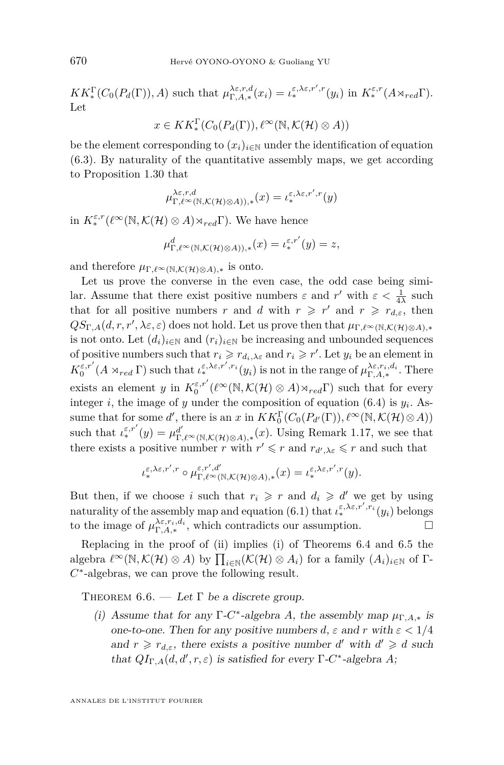$KK^{\Gamma}_{*}(C_0(P_d(\Gamma)), A)$  such that  $\mu_{\Gamma,A,*}^{\lambda \varepsilon,r,d}(x_i) = \iota_*^{\varepsilon,\lambda \varepsilon,r',r}(y_i)$  in  $K_*^{\varepsilon,r}(A \rtimes_{red} \Gamma)$ . Let

$$
x \in KK_*^{\Gamma}(C_0(P_d(\Gamma)), \ell^{\infty}(\mathbb{N}, \mathcal{K}(\mathcal{H}) \otimes A))
$$

be the element corresponding to  $(x_i)_{i\in\mathbb{N}}$  under the identification of equation [\(6.3\)](#page-64-0). By naturality of the quantitative assembly maps, we get according to Proposition [1.30](#page-18-0) that

$$
\mu_{\Gamma,\ell^\infty(\mathbb{N},\mathcal{K}(\mathcal{H})\otimes A)),*}^{\lambda\varepsilon,r,d}(x)=\iota_*^{\varepsilon,\lambda\varepsilon,r',r}(y)
$$

in  $K^{\varepsilon,r}_*(\ell^{\infty}(\mathbb{N},\mathcal{K}(\mathcal{H})\otimes A)\rtimes_{red}\Gamma)$ . We have hence

$$
\mu_{\Gamma,\ell^{\infty}(\mathbb{N},\mathcal{K}(\mathcal{H})\otimes A)),*}(x)=\iota_{*}^{\varepsilon,r'}(y)=z,
$$

and therefore  $\mu_{\Gamma,\ell^{\infty}(\mathbb{N},\mathcal{K}(\mathcal{H})\otimes A),\ast}$  is onto.

Let us prove the converse in the even case, the odd case being similar. Assume that there exist positive numbers  $\varepsilon$  and  $r'$  with  $\varepsilon < \frac{1}{4\lambda}$  such that for all positive numbers *r* and *d* with  $r \geq r'$  and  $r \geq r_{d,\varepsilon}$ , then  $QS_{\Gamma,A}(d,r,r',\lambda \varepsilon,\varepsilon)$  does not hold. Let us prove then that  $\mu_{\Gamma,\ell^{\infty}(\mathbb{N},\mathcal{K}(\mathcal{H})\otimes A),*}$ is not onto. Let  $(d_i)_{i \in \mathbb{N}}$  and  $(r_i)_{i \in \mathbb{N}}$  be increasing and unbounded sequences of positive numbers such that  $r_i \geq r_{d_i,\lambda \varepsilon}$  and  $r_i \geq r'$ . Let  $y_i$  be an element in  $K_0^{\varepsilon,r'}(A \rtimes_{red} \Gamma)$  such that  $\iota_*^{\varepsilon,\lambda_{\varepsilon,r'},r_i}(y_i)$  is not in the range of  $\mu_{\Gamma,A,*}^{\lambda_{\varepsilon,r_i,d_i}}$ . There exists an element *y* in  $K_0^{\varepsilon,r'}(\ell^{\infty}(\mathbb{N},\mathcal{K}(\mathcal{H})\otimes A)\times_{red}\Gamma)$  such that for every integer *i*, the image of *y* under the composition of equation [\(6.4\)](#page-65-0) is *y<sup>i</sup>* . Assume that for some *d'*, there is an *x* in  $KK_0^{\Gamma}(C_0(P_{d'}(\Gamma)), \ell^{\infty}(\mathbb{N}, \mathcal{K}(\mathcal{H}) \otimes A))$ such that  $\iota_*^{\varepsilon,r'}(y) = \mu_{\Gamma,\ell^{\infty}(\mathbb{N},\mathcal{K}(\mathcal{H})\otimes A),*}(x)$ . Using Remark [1.17,](#page-10-0) we see that there exists a positive number *r* with  $r' \leq r$  and  $r_{d',\lambda\epsilon} \leq r$  and such that

$$
\iota^{\varepsilon,\lambda\varepsilon,r',r}_* \circ \mu^{\varepsilon,r',d'}_{\Gamma,\ell^\infty(\mathbb{N},\mathcal{K}(\mathcal{H})\otimes A),*}(x) = \iota^{\varepsilon,\lambda\varepsilon,r',r}_*(y).
$$

But then, if we choose *i* such that  $r_i \geq r$  and  $d_i \geq d'$  we get by using naturality of the assembly map and equation [\(6.1\)](#page-63-0) that  $\iota_*^{\varepsilon,\lambda_{\varepsilon,r',r_i}}(y_i)$  belongs to the image of  $\mu_{\Gamma,A,*}^{\lambda \varepsilon,r_i,d_i}$ , which contradicts our assumption.

Replacing in the proof of (ii) implies (i) of Theorems [6.4](#page-64-0) and [6.5](#page-65-0) the algebra  $\ell^{\infty}(\mathbb{N}, \mathcal{K}(\mathcal{H}) \otimes A)$  by  $\prod_{i \in \mathbb{N}} (\mathcal{K}(\mathcal{H}) \otimes A_i)$  for a family  $(A_i)_{i \in \mathbb{N}}$  of  $\Gamma$ -*C* ∗ -algebras, we can prove the following result.

THEOREM  $6.6.$  — Let  $\Gamma$  be a discrete group.

(i) Assume that for any  $\Gamma$ -*C*<sup>\*</sup>-algebra *A*, the assembly map  $\mu_{\Gamma,A,*}$  is one-to-one. Then for any positive numbers  $d$ ,  $\varepsilon$  and  $r$  with  $\varepsilon < 1/4$ and  $r \ge r_{d,\varepsilon}$ , there exists a positive number *d'* with  $d' \ge d$  such that  $QI_{\Gamma,A}(d,d',r,\varepsilon)$  is satisfied for every  $\Gamma$ -*C*<sup>\*</sup>-algebra *A*;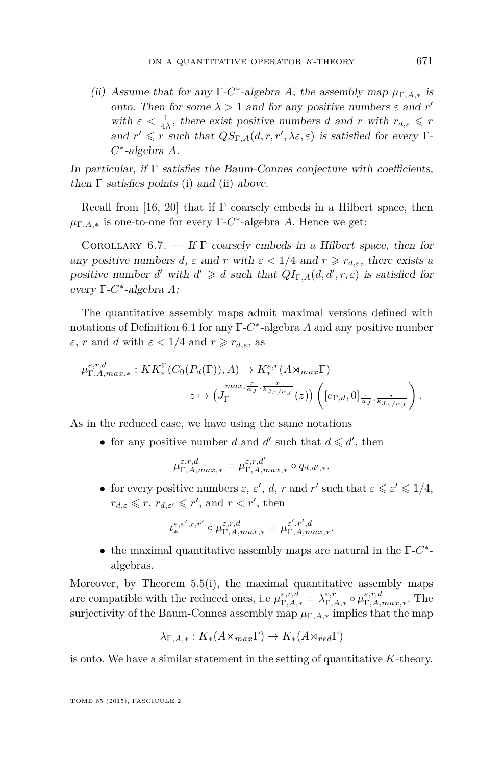(ii) Assume that for any  $\Gamma$ -*C*<sup>\*</sup>-algebra *A*, the assembly map  $\mu_{\Gamma,A,*}$  is onto. Then for some  $\lambda > 1$  and for any positive numbers  $\varepsilon$  and  $r'$ with  $\varepsilon < \frac{1}{4\lambda}$ , there exist positive numbers *d* and *r* with  $r_{d,\varepsilon} \le r$ and  $r' \leq r$  such that  $QS_{\Gamma,A}(d,r,r',\lambda \varepsilon,\varepsilon)$  is satisfied for every  $\Gamma$ -*C* ∗ -algebra *A*.

In particular, if  $\Gamma$  satisfies the Baum-Connes conjecture with coefficients, then  $\Gamma$  satisfies points (i) and (ii) above.

Recall from [\[16,](#page-69-0) [20\]](#page-70-0) that if  $\Gamma$  coarsely embeds in a Hilbert space, then  $\mu_{\Gamma,A,*}$  is one-to-one for every  $\Gamma$ -*C*<sup>\*</sup>-algebra *A*. Hence we get:

COROLLARY  $6.7.$  – If  $\Gamma$  coarsely embeds in a Hilbert space, then for any positive numbers *d*,  $\varepsilon$  and  $r$  with  $\varepsilon < 1/4$  and  $r \ge r_{d,\varepsilon}$ , there exists a positive number *d'* with  $d' \ge d$  such that  $QI_{\Gamma,A}(d,d',r,\varepsilon)$  is satisfied for every Γ-*C* ∗ -algebra *A*;

The quantitative assembly maps admit maximal versions defined with notations of Definition [6.1](#page-62-0) for any Γ-*C* ∗ -algebra *A* and any positive number *ε*, *r* and *d* with  $ε < 1/4$  and  $r \ge r_{d,ε}$ , as

$$
\mu_{\Gamma,A,max,*}^{\varepsilon,r,d}: KK_*^{\Gamma}(C_0(P_d(\Gamma)), A) \to K_*^{\varepsilon,r}(A \rtimes_{max} \Gamma)
$$

$$
z \mapsto (J_{\Gamma}^{max, \frac{\varepsilon}{\alpha_J}, \frac{r}{k_{J,\varepsilon/\alpha_J}}}(z)) \left( [e_{\Gamma,d}, 0]_{\frac{\varepsilon}{\alpha_J}, \frac{r}{k_{J,\varepsilon/\alpha_J}}} \right).
$$

As in the reduced case, we have using the same notations

• for any positive number *d* and *d'* such that  $d \le d'$ , then

$$
\mu_{\Gamma,A,max,*}^{\varepsilon,r,d} = \mu_{\Gamma,A,max,*}^{\varepsilon,r,d'} \circ q_{d,d',*}.
$$

• for every positive numbers  $\varepsilon$ ,  $\varepsilon'$ ,  $d$ ,  $r$  and  $r'$  such that  $\varepsilon \leq \varepsilon' \leq 1/4$ ,  $r_{d,\varepsilon} \leqslant r$ ,  $r_{d,\varepsilon'} \leqslant r'$ , and  $r < r'$ , then

$$
\iota^{\varepsilon,\varepsilon',r,r'}_*\circ \mu^{\varepsilon,r,d}_{\Gamma,A,max,*}=\mu^{\varepsilon',r',d}_{\Gamma,A,max,*}.
$$

• the maximal quantitative assembly maps are natural in the Γ-*C* ∗ algebras.

Moreover, by Theorem  $5.5(i)$  $5.5(i)$ , the maximal quantitative assembly maps are compatible with the reduced ones, i.e  $\mu_{\Gamma,A,*}^{\varepsilon,r,d} = \lambda_{\Gamma,A,*}^{\varepsilon,r} \circ \mu_{\Gamma,A,max,*}^{\varepsilon,r,d}$ . The surjectivity of the Baum-Connes assembly map  $\mu_{\Gamma,A,*}$  implies that the map

$$
\lambda_{\Gamma,A,*}: K_*(A \rtimes_{max} \Gamma) \to K_*(A \rtimes_{red} \Gamma)
$$

is onto. We have a similar statement in the setting of quantitative *K*-theory.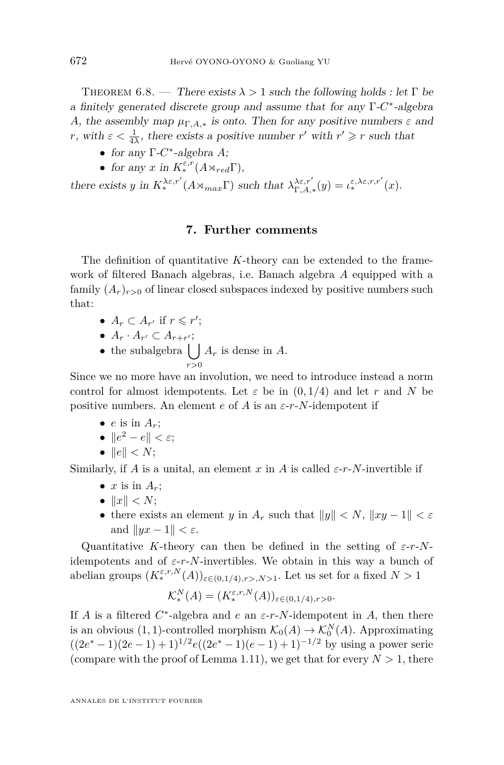THEOREM 6.8. — There exists  $\lambda > 1$  such the following holds : let  $\Gamma$  be a finitely generated discrete group and assume that for any Γ-C<sup>\*</sup>-algebra *A*, the assembly map  $\mu_{\Gamma,A,*}$  is onto. Then for any positive numbers  $\varepsilon$  and *r*, with  $\varepsilon < \frac{1}{4\lambda}$ , there exists a positive number *r'* with  $r' \ge r$  such that

- for any Γ-*C* ∗ -algebra *A*;
- for any *x* in  $K^{\varepsilon,r}_*(A \rtimes_{red} \Gamma),$

there exists *y* in  $K^{\lambda \varepsilon,r'}_{*}(A \rtimes_{max} \Gamma)$  such that  $\lambda^{\lambda \varepsilon,r'}_{\Gamma,A,*}(y) = \iota^{\varepsilon,\lambda \varepsilon,r,r'}_{*}(x)$ .

#### **7. Further comments**

The definition of quantitative *K*-theory can be extended to the framework of filtered Banach algebras, i.e. Banach algebra *A* equipped with a family  $(A_r)_{r>0}$  of linear closed subspaces indexed by positive numbers such that:

- $A_r \subset A_{r'}$  if  $r \leq r'$ ;
- $A_r \cdot A_{r'} \subset A_{r+r'};$
- the subalgebra  $\vert \ \vert$ *r>*0  $A_r$  is dense in  $A$ .

Since we no more have an involution, we need to introduce instead a norm control for almost idempotents. Let  $\varepsilon$  be in  $(0, 1/4)$  and let r and N be positive numbers. An element  $e$  of  $\overline{A}$  is an  $\varepsilon$ -*r*- $\overline{N}$ -idempotent if

- $\bullet$  *e* is in  $A_n$ ;
- $\|e^2 e\| < \varepsilon;$
- $||e|| < N$ ;

Similarly, if *A* is a unital, an element *x* in *A* is called  $\varepsilon$ -*r*-*N*-invertible if

- $x$  is in  $A_r$ ;
- $||x|| < N$ ;
- there exists an element *y* in  $A_r$  such that  $||y|| < N$ ,  $||xy 1|| < \varepsilon$ and  $\|yx - 1\| < \varepsilon$ .

Quantitative *K*-theory can then be defined in the setting of *ε*-*r*-*N*idempotents and of  $\varepsilon$ -*r*-*N*-invertibles. We obtain in this way a bunch of abelian groups  $(K^{\varepsilon,r,N}_*(A))_{\varepsilon \in (0,1/4), r > N>1}$ . Let us set for a fixed  $N > 1$ 

$$
\mathcal{K}_{*}^{N}(A) = (K_{*}^{\varepsilon,r,N}(A))_{\varepsilon \in (0,1/4), r > 0}.
$$

If *A* is a filtered  $C^*$ -algebra and *e* an  $\varepsilon$ -*r*-*N*-idempotent in *A*, then there is an obvious  $(1, 1)$ -controlled morphism  $\mathcal{K}_0(A) \to \mathcal{K}_0^N(A)$ . Approximating  $((2e^* - 1)(2e - 1) + 1)^{1/2}e((2e^* - 1)(e - 1) + 1)^{-1/2}$  by using a power serie (compare with the proof of Lemma [1.11\)](#page-8-0), we get that for every  $N > 1$ , there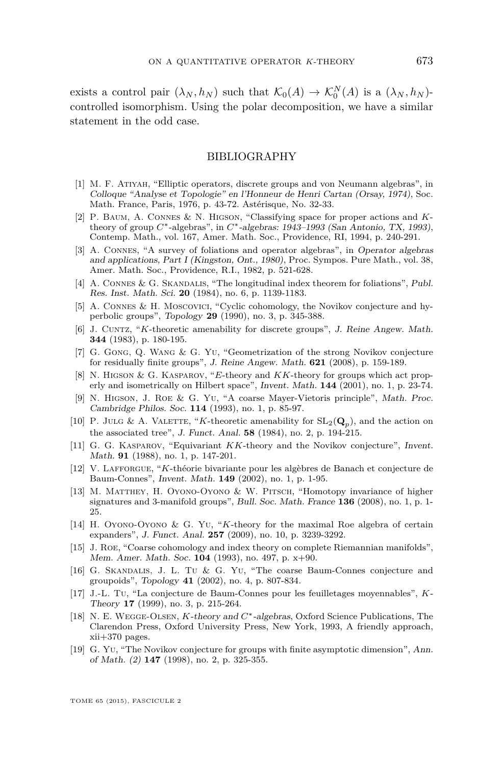<span id="page-69-0"></span>exists a control pair  $(\lambda_N, h_N)$  such that  $\mathcal{K}_0(A) \to \mathcal{K}_0^N(A)$  is a  $(\lambda_N, h_N)$ controlled isomorphism. Using the polar decomposition, we have a similar statement in the odd case.

#### BIBLIOGRAPHY

- [1] M. F. Atiyah, "Elliptic operators, discrete groups and von Neumann algebras", in Colloque "Analyse et Topologie" en l'Honneur de Henri Cartan (Orsay, 1974), Soc. Math. France, Paris, 1976, p. 43-72. Astérisque, No. 32-33.
- [2] P. Baum, A. Connes & N. Higson, "Classifying space for proper actions and *K*theory of group *C*∗-algebras", in *C*∗-algebras: 1943–1993 (San Antonio, TX, 1993), Contemp. Math., vol. 167, Amer. Math. Soc., Providence, RI, 1994, p. 240-291.
- [3] A. Connes, "A survey of foliations and operator algebras", in Operator algebras and applications, Part I (Kingston, Ont., 1980), Proc. Sympos. Pure Math., vol. 38, Amer. Math. Soc., Providence, R.I., 1982, p. 521-628.
- [4] A. CONNES & G. SKANDALIS, "The longitudinal index theorem for foliations", Publ. Res. Inst. Math. Sci. **20** (1984), no. 6, p. 1139-1183.
- [5] A. Connes & H. Moscovici, "Cyclic cohomology, the Novikov conjecture and hyperbolic groups", Topology **29** (1990), no. 3, p. 345-388.
- [6] J. Cuntz, "*K*-theoretic amenability for discrete groups", J. Reine Angew. Math. **344** (1983), p. 180-195.
- [7] G. Gong, Q. Wang & G. Yu, "Geometrization of the strong Novikov conjecture for residually finite groups", J. Reine Angew. Math. **621** (2008), p. 159-189.
- [8] N. Higson & G. Kasparov, "*E*-theory and *KK*-theory for groups which act properly and isometrically on Hilbert space", Invent. Math. **144** (2001), no. 1, p. 23-74.
- [9] N. Higson, J. Roe & G. Yu, "A coarse Mayer-Vietoris principle", Math. Proc. Cambridge Philos. Soc. **114** (1993), no. 1, p. 85-97.
- [10] P. JULG & A. VALETTE, "*K*-theoretic amenability for  $SL_2(\mathbf{Q}_p)$ , and the action on the associated tree", J. Funct. Anal. **58** (1984), no. 2, p. 194-215.
- [11] G. G. Kasparov, "Equivariant *KK*-theory and the Novikov conjecture", Invent. Math. **91** (1988), no. 1, p. 147-201.
- [12] V. Lafforgue, "*K*-théorie bivariante pour les algèbres de Banach et conjecture de Baum-Connes", Invent. Math. **149** (2002), no. 1, p. 1-95.
- [13] M. Matthey, H. Oyono-Oyono & W. Pitsch, "Homotopy invariance of higher signatures and 3-manifold groups", Bull. Soc. Math. France **136** (2008), no. 1, p. 1- 25.
- [14] H. Oyono-Oyono & G. Yu, "*K*-theory for the maximal Roe algebra of certain expanders", J. Funct. Anal. **257** (2009), no. 10, p. 3239-3292.
- [15] J. Roe, "Coarse cohomology and index theory on complete Riemannian manifolds", Mem. Amer. Math. Soc. **104** (1993), no. 497, p. x+90.
- [16] G. Skandalis, J. L. Tu & G. Yu, "The coarse Baum-Connes conjecture and groupoids", Topology **41** (2002), no. 4, p. 807-834.
- [17] J.-L. Tu, "La conjecture de Baum-Connes pour les feuilletages moyennables", *K*-Theory **17** (1999), no. 3, p. 215-264.
- [18] N. E. Wegge-Olsen, *K*-theory and *C*∗-algebras, Oxford Science Publications, The Clarendon Press, Oxford University Press, New York, 1993, A friendly approach, xii+370 pages.
- [19] G. Yu, "The Novikov conjecture for groups with finite asymptotic dimension", Ann. of Math. (2) **147** (1998), no. 2, p. 325-355.